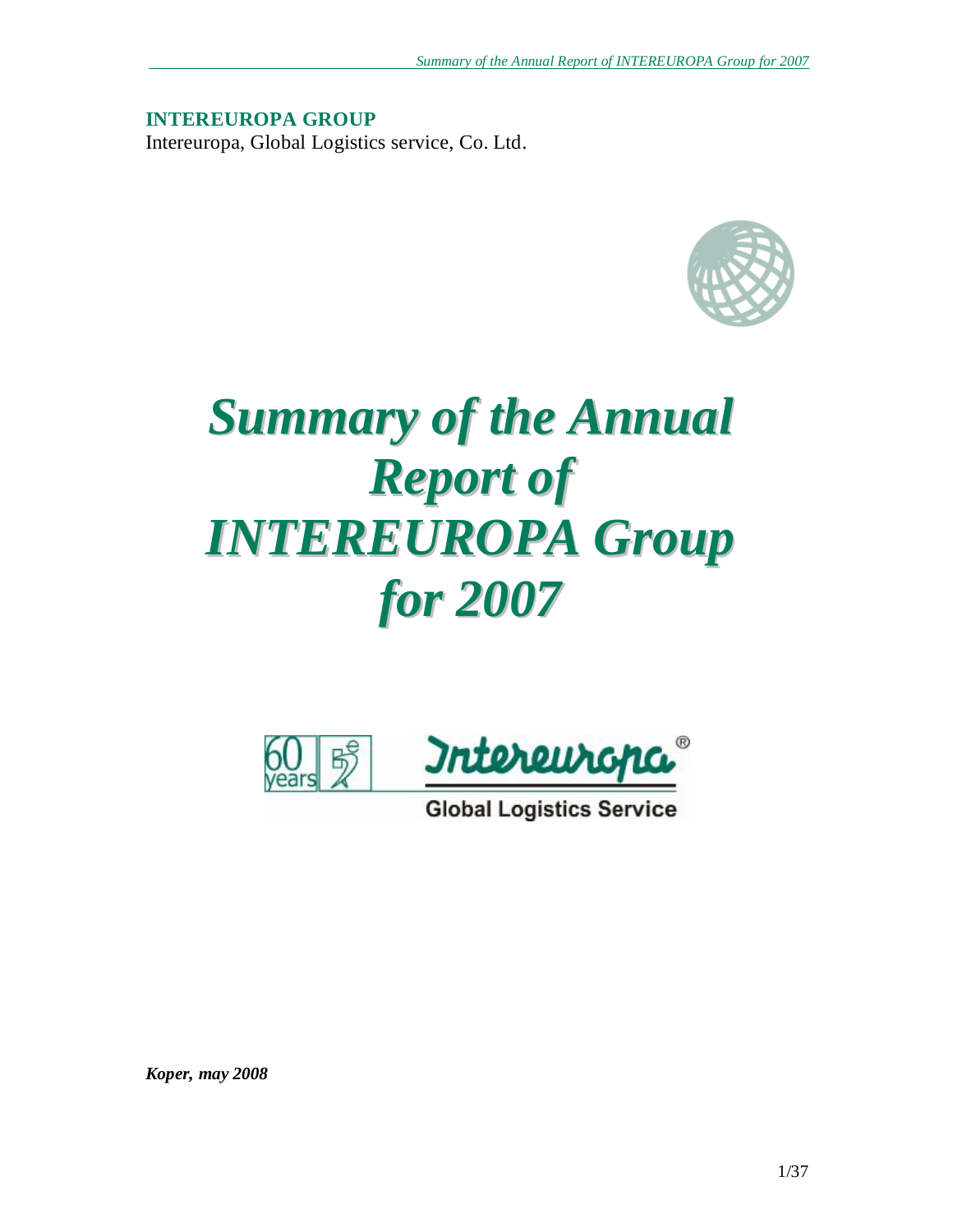**INTEREUROPA GROUP**  Intereuropa, Global Logistics service, Co. Ltd.



# *Summary of the Annual Report of INTEREUROPA Group for 2007*



**Global Logistics Service** 

*Koper, may 2008*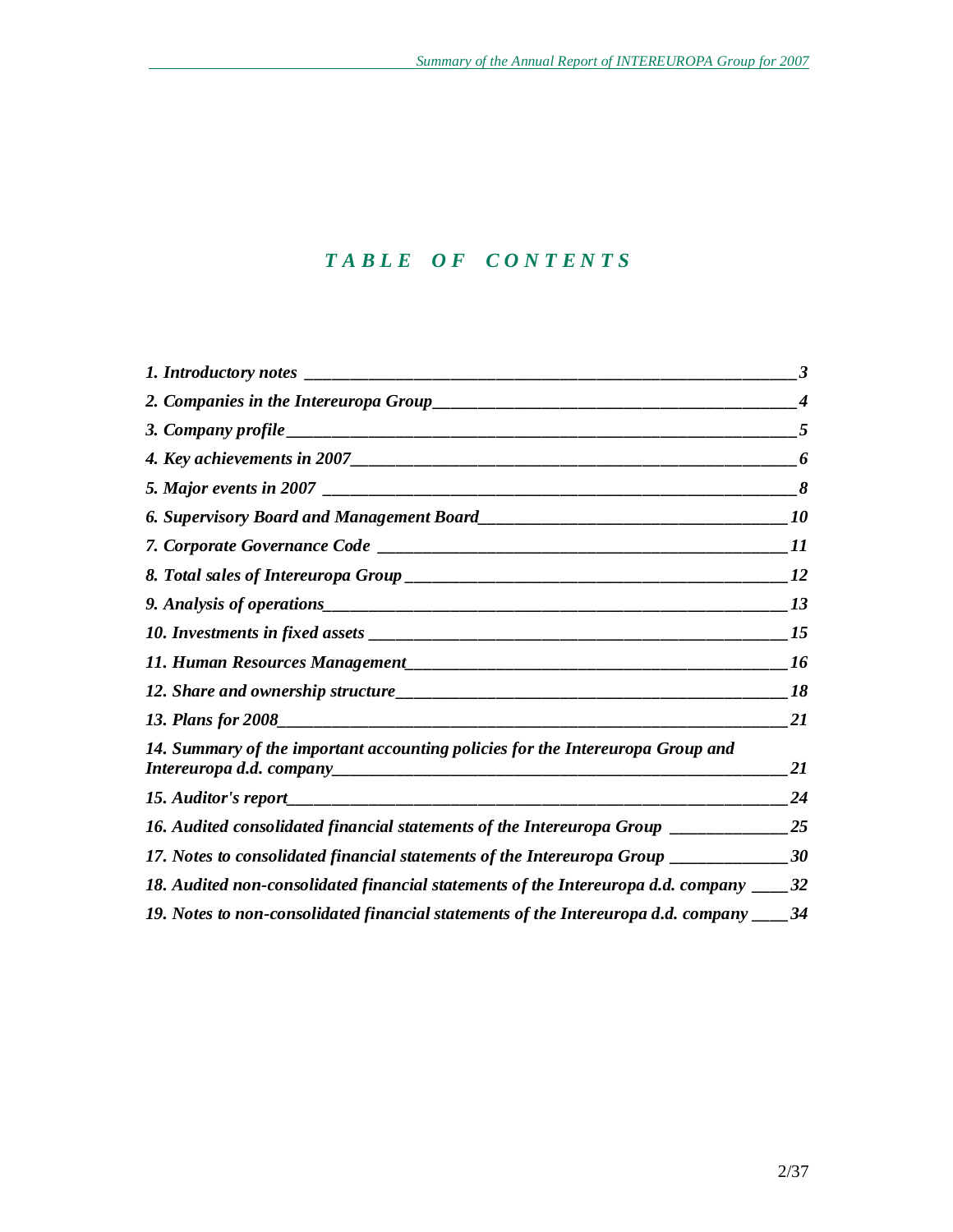# *T A B L E O F C O N T E N T S*

|                                                                                            | 3                |
|--------------------------------------------------------------------------------------------|------------------|
|                                                                                            | $\boldsymbol{4}$ |
|                                                                                            | 5                |
|                                                                                            | 6                |
|                                                                                            | 8                |
|                                                                                            | <i><b>10</b></i> |
|                                                                                            | 11               |
|                                                                                            | 12               |
|                                                                                            | 13               |
|                                                                                            | 15               |
|                                                                                            | 16               |
|                                                                                            | 18               |
|                                                                                            | 21               |
| 14. Summary of the important accounting policies for the Intereuropa Group and             | 21               |
|                                                                                            | 24               |
| 16. Audited consolidated financial statements of the Intereuropa Group ______________25    |                  |
| 17. Notes to consolidated financial statements of the Intereuropa Group ______________30   |                  |
| 18. Audited non-consolidated financial statements of the Intereuropa d.d. company ____32   |                  |
| 19. Notes to non-consolidated financial statements of the Intereuropa d.d. company _____34 |                  |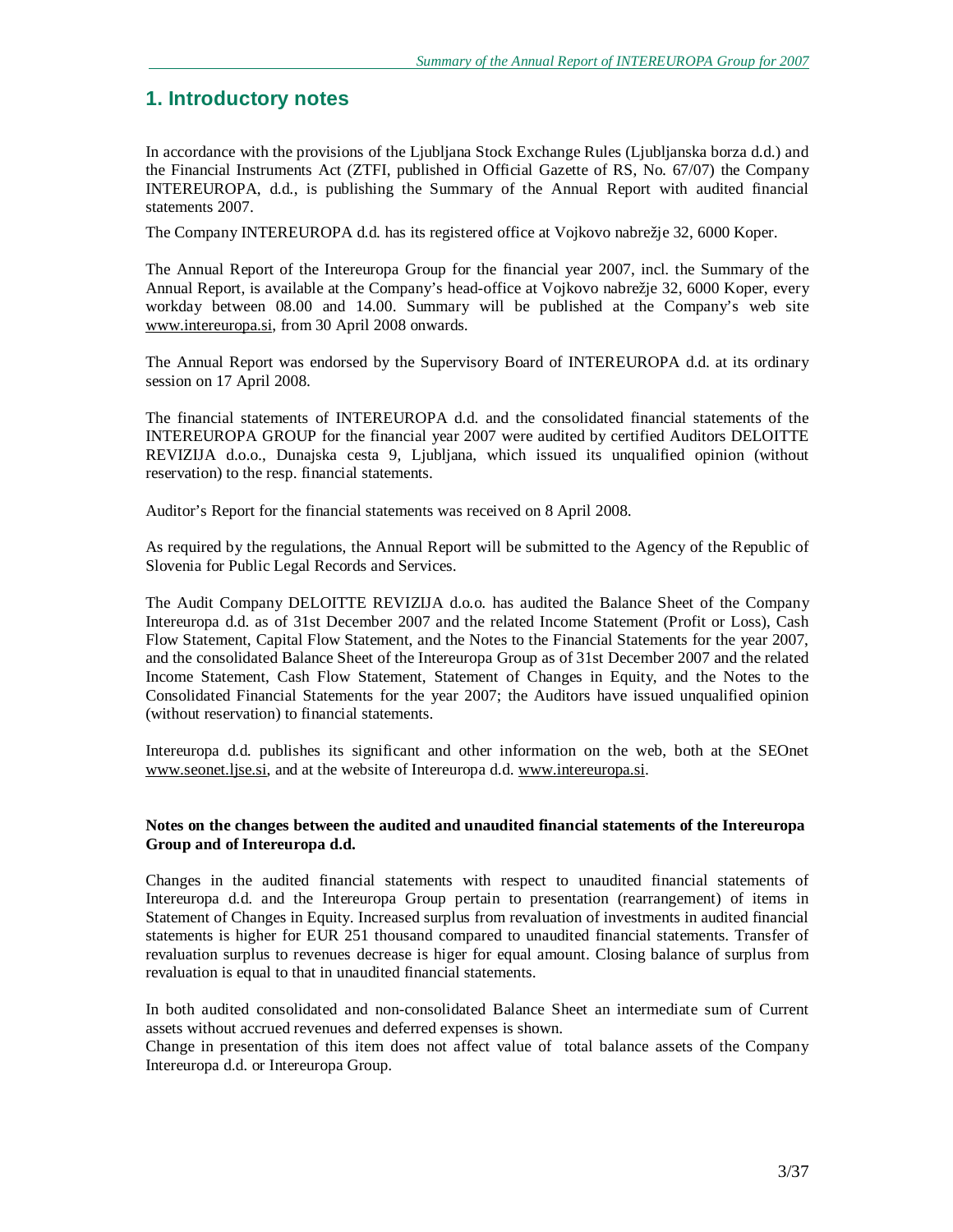# **1. Introductory notes**

In accordance with the provisions of the Ljubljana Stock Exchange Rules (Ljubljanska borza d.d.) and the Financial Instruments Act (ZTFI, published in Official Gazette of RS, No. 67/07) the Company INTEREUROPA, d.d., is publishing the Summary of the Annual Report with audited financial statements 2007.

The Company INTEREUROPA d.d. has its registered office at Vojkovo nabrežje 32, 6000 Koper.

The Annual Report of the Intereuropa Group for the financial year 2007, incl. the Summary of the Annual Report, is available at the Company's head-office at Vojkovo nabrežje 32, 6000 Koper, every workday between 08.00 and 14.00. Summary will be published at the Company's web site [www.intereuropa.si,](http://www.intereuropa.si) from 30 April 2008 onwards.

The Annual Report was endorsed by the Supervisory Board of INTEREUROPA d.d. at its ordinary session on 17 April 2008.

The financial statements of INTEREUROPA d.d. and the consolidated financial statements of the INTEREUROPA GROUP for the financial year 2007 were audited by certified Auditors DELOITTE REVIZIJA d.o.o., Dunajska cesta 9, Ljubljana, which issued its unqualified opinion (without reservation) to the resp. financial statements.

Auditor's Report for the financial statements was received on 8 April 2008.

As required by the regulations, the Annual Report will be submitted to the Agency of the Republic of Slovenia for Public Legal Records and Services.

The Audit Company DELOITTE REVIZIJA d.o.o. has audited the Balance Sheet of the Company Intereuropa d.d. as of 31st December 2007 and the related Income Statement (Profit or Loss), Cash Flow Statement, Capital Flow Statement, and the Notes to the Financial Statements for the year 2007, and the consolidated Balance Sheet of the Intereuropa Group as of 31st December 2007 and the related Income Statement, Cash Flow Statement, Statement of Changes in Equity, and the Notes to the Consolidated Financial Statements for the year 2007; the Auditors have issued unqualified opinion (without reservation) to financial statements.

Intereuropa d.d. publishes its significant and other information on the web, both at the SEOnet [www.seonet.ljse.si](http://www.seonet.ljse.si), and at the website of Intereuropa d.d. [www.intereuropa.si](http://www.intereuropa.si).

#### **Notes on the changes between the audited and unaudited financial statements of the Intereuropa Group and of Intereuropa d.d.**

Changes in the audited financial statements with respect to unaudited financial statements of Intereuropa d.d. and the Intereuropa Group pertain to presentation (rearrangement) of items in Statement of Changes in Equity. Increased surplus from revaluation of investments in audited financial statements is higher for EUR 251 thousand compared to unaudited financial statements. Transfer of revaluation surplus to revenues decrease is higer for equal amount. Closing balance of surplus from revaluation is equal to that in unaudited financial statements.

In both audited consolidated and non-consolidated Balance Sheet an intermediate sum of Current assets without accrued revenues and deferred expenses is shown.

Change in presentation of this item does not affect value of total balance assets of the Company Intereuropa d.d. or Intereuropa Group.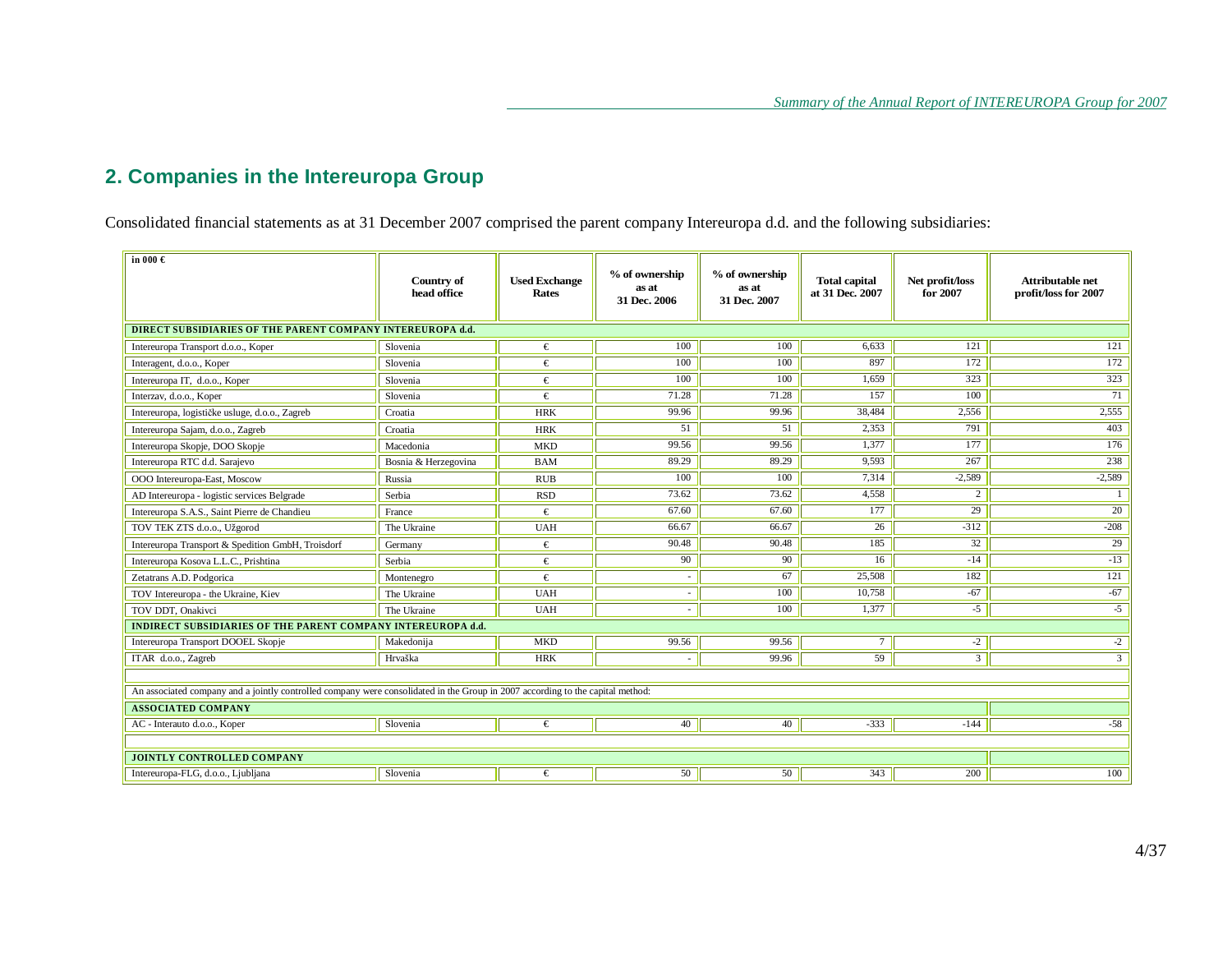# **2. Companies in the Intereuropa Group**

Consolidated financial statements as at 31 December 2007 comprised the parent company Intereuropa d.d. and the following subsidiaries:

| in $000 \in$                                                                                                                   | Country of<br>head office | <b>Used Exchange</b><br>Rates | % of ownership<br>as at<br>31 Dec. 2006 | % of ownership<br>as at<br>31 Dec. 2007 | <b>Total capital</b><br>at 31 Dec. 2007 | Net profit/loss<br>for 2007 | <b>Attributable net</b><br>profit/loss for 2007 |
|--------------------------------------------------------------------------------------------------------------------------------|---------------------------|-------------------------------|-----------------------------------------|-----------------------------------------|-----------------------------------------|-----------------------------|-------------------------------------------------|
| DIRECT SUBSIDIARIES OF THE PARENT COMPANY INTEREUROPA d.d.                                                                     |                           |                               |                                         |                                         |                                         |                             |                                                 |
| Intereuropa Transport d.o.o., Koper                                                                                            | Slovenia                  | €                             | 100                                     | 100                                     | 6.633                                   | 121                         | 121                                             |
| Interagent, d.o.o., Koper                                                                                                      | Slovenia                  | €                             | 100                                     | 100                                     | 897                                     | 172                         | 172                                             |
| Intereuropa IT, d.o.o., Koper                                                                                                  | Slovenia                  | €                             | 100                                     | 100                                     | 1.659                                   | 323                         | 323                                             |
| Interzav, d.o.o., Koper                                                                                                        | Slovenia                  | €                             | 71.28                                   | 71.28                                   | 157                                     | 100                         | 71                                              |
| Intereuropa, logističke usluge, d.o.o., Zagreb                                                                                 | Croatia                   | <b>HRK</b>                    | 99.96                                   | 99.96                                   | 38,484                                  | 2.556                       | 2,555                                           |
| Intereuropa Sajam, d.o.o., Zagreb                                                                                              | Croatia                   | <b>HRK</b>                    | 51                                      | 51                                      | 2.353                                   | 791                         | 403                                             |
| Intereuropa Skopje, DOO Skopje                                                                                                 | Macedonia                 | <b>MKD</b>                    | 99.56                                   | 99.56                                   | 1.377                                   | 177                         | 176                                             |
| Intereuropa RTC d.d. Sarajevo                                                                                                  | Bosnia & Herzegovina      | <b>BAM</b>                    | 89.29                                   | 89.29                                   | 9,593                                   | 267                         | 238                                             |
| OOO Intereuropa-East, Moscow                                                                                                   | Russia                    | <b>RUB</b>                    | 100                                     | 100                                     | 7,314                                   | $-2,589$                    | $-2,589$                                        |
| AD Intereuropa - logistic services Belgrade                                                                                    | Serbia                    | <b>RSD</b>                    | 73.62                                   | 73.62                                   | 4,558                                   | 2                           |                                                 |
| Intereuropa S.A.S., Saint Pierre de Chandieu                                                                                   | France                    | €                             | 67.60                                   | 67.60                                   | 177                                     | $\overline{29}$             | $\overline{20}$                                 |
| TOV TEK ZTS d.o.o., Užgorod                                                                                                    | The Ukraine               | <b>UAH</b>                    | 66.67                                   | 66.67                                   | 26                                      | $-312$                      | $-208$                                          |
| Intereuropa Transport & Spedition GmbH, Troisdorf                                                                              | Germany                   | €                             | 90.48                                   | 90.48                                   | 185                                     | 32                          | 29                                              |
| Intereuropa Kosova L.L.C., Prishtina                                                                                           | Serbia                    | €                             | 90                                      | 90                                      | 16                                      | $-14$                       | $-13$                                           |
| Zetatrans A.D. Podgorica                                                                                                       | Montenegro                | €                             |                                         | 67                                      | 25,508                                  | 182                         | 121                                             |
| TOV Intereuropa - the Ukraine, Kiev                                                                                            | The Ukraine               | <b>UAH</b>                    | $\sim$                                  | 100                                     | 10,758                                  | $-67$                       | $-67$                                           |
| TOV DDT, Onakivci                                                                                                              | The Ukraine               | <b>UAH</b>                    | $\sim$                                  | 100                                     | 1,377                                   | $-5$                        | $-5$                                            |
| INDIRECT SUBSIDIARIES OF THE PARENT COMPANY INTEREUROPA d.d.                                                                   |                           |                               |                                         |                                         |                                         |                             |                                                 |
| Intereuropa Transport DOOEL Skopje                                                                                             | Makedonija                | <b>MKD</b>                    | 99.56                                   | 99.56                                   | $\tau$                                  | $-2$                        | $-2$                                            |
| ITAR d.o.o., Zagreb                                                                                                            | Hrvaška                   | <b>HRK</b>                    |                                         | 99.96                                   | 59                                      | $\mathfrak{Z}$              | $\overline{3}$                                  |
|                                                                                                                                |                           |                               |                                         |                                         |                                         |                             |                                                 |
| An associated company and a jointly controlled company were consolidated in the Group in 2007 according to the capital method: |                           |                               |                                         |                                         |                                         |                             |                                                 |
| <b>ASSOCIATED COMPANY</b>                                                                                                      |                           |                               |                                         |                                         |                                         |                             |                                                 |
| AC - Interauto d.o.o., Koper                                                                                                   | Slovenia                  | €                             | 40                                      | 40                                      | $-333$                                  | $-144$                      | $-58$                                           |
|                                                                                                                                |                           |                               |                                         |                                         |                                         |                             |                                                 |
| <b>JOINTLY CONTROLLED COMPANY</b>                                                                                              |                           |                               |                                         |                                         |                                         |                             |                                                 |
| Intereuropa-FLG, d.o.o., Ljubljana                                                                                             | Slovenia                  | €                             | 50                                      | 50                                      | 343                                     | 200                         | 100                                             |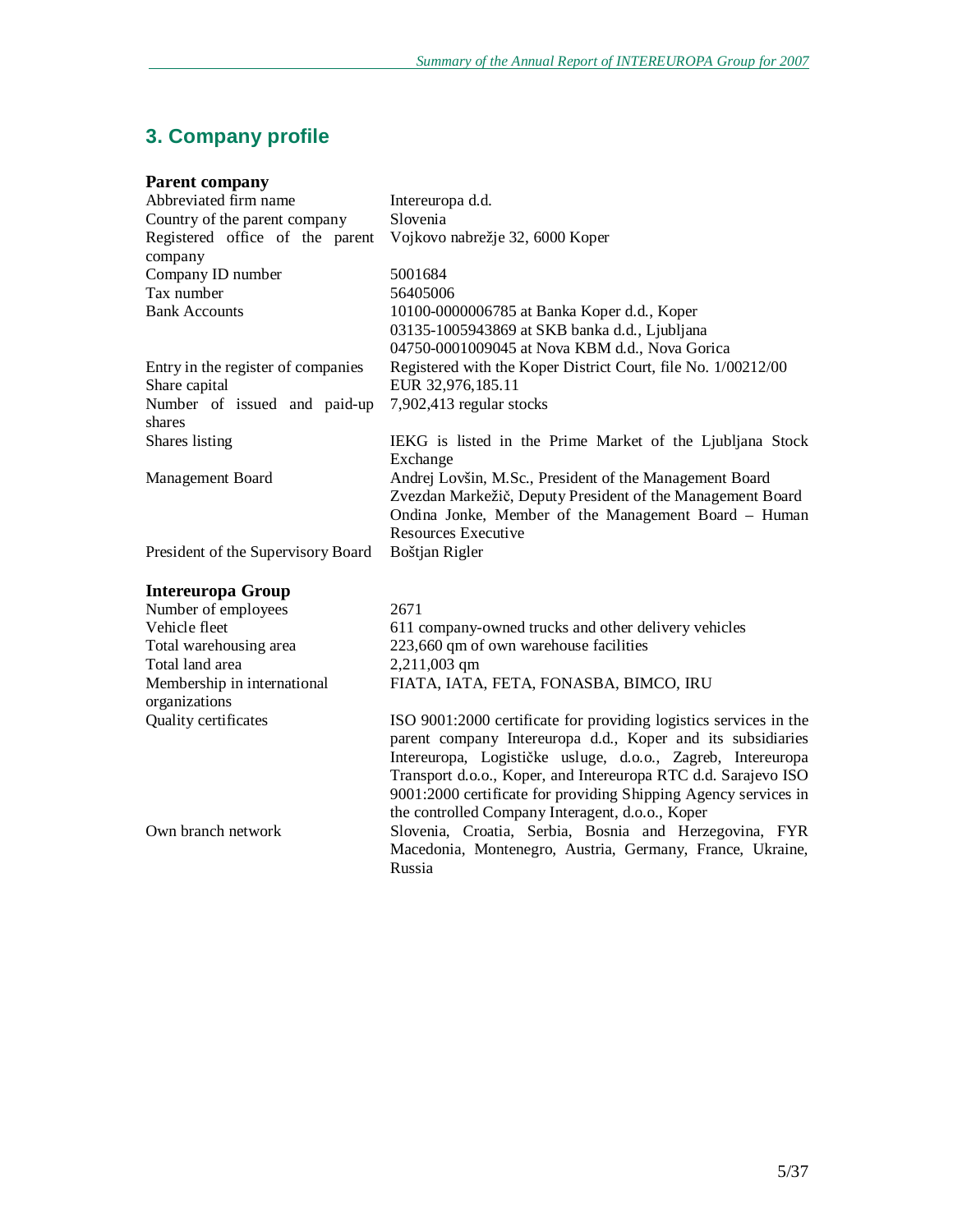# **3. Company profile**

|  | <b>Parent company</b> |
|--|-----------------------|
|--|-----------------------|

| Abbreviated firm name                      | Intereuropa d.d.                                                  |
|--------------------------------------------|-------------------------------------------------------------------|
| Country of the parent company              | Slovenia                                                          |
| Registered office of the parent<br>company | Vojkovo nabrežje 32, 6000 Koper                                   |
| Company ID number                          | 5001684                                                           |
| Tax number                                 | 56405006                                                          |
| <b>Bank Accounts</b>                       | 10100-0000006785 at Banka Koper d.d., Koper                       |
|                                            | 03135-1005943869 at SKB banka d.d., Ljubljana                     |
|                                            | 04750-0001009045 at Nova KBM d.d., Nova Gorica                    |
| Entry in the register of companies         | Registered with the Koper District Court, file No. 1/00212/00     |
| Share capital                              | EUR 32,976,185.11                                                 |
| Number of issued and paid-up               | 7,902,413 regular stocks                                          |
| shares                                     |                                                                   |
| Shares listing                             | IEKG is listed in the Prime Market of the Ljubljana Stock         |
|                                            | Exchange                                                          |
| Management Board                           | Andrej Lovšin, M.Sc., President of the Management Board           |
|                                            | Zvezdan Markežič, Deputy President of the Management Board        |
|                                            | Ondina Jonke, Member of the Management Board - Human              |
|                                            | Resources Executive                                               |
| President of the Supervisory Board         | Boštjan Rigler                                                    |
| <b>Intereuropa Group</b>                   |                                                                   |
| Number of employees                        | 2671                                                              |
| Vehicle fleet                              | 611 company-owned trucks and other delivery vehicles              |
| Total warehousing area                     | 223,660 qm of own warehouse facilities                            |
| Total land area                            | 2,211,003 qm                                                      |
| Membership in international                | FIATA, IATA, FETA, FONASBA, BIMCO, IRU                            |
| organizations                              |                                                                   |
| Quality certificates                       | ISO 9001:2000 certificate for providing logistics services in the |
|                                            | parent company Intereuropa d.d., Koper and its subsidiaries       |
|                                            | Intereuropa, Logističke usluge, d.o.o., Zagreb, Intereuropa       |
|                                            | Transport d.o.o., Koper, and Intereuropa RTC d.d. Sarajevo ISO    |
|                                            | 9001:2000 certificate for providing Shipping Agency services in   |
|                                            | the controlled Company Interagent, d.o.o., Koper                  |
| Own branch network                         | Slovenia, Croatia, Serbia, Bosnia and Herzegovina, FYR            |
|                                            | Macedonia, Montenegro, Austria, Germany, France, Ukraine,         |
|                                            | Russia                                                            |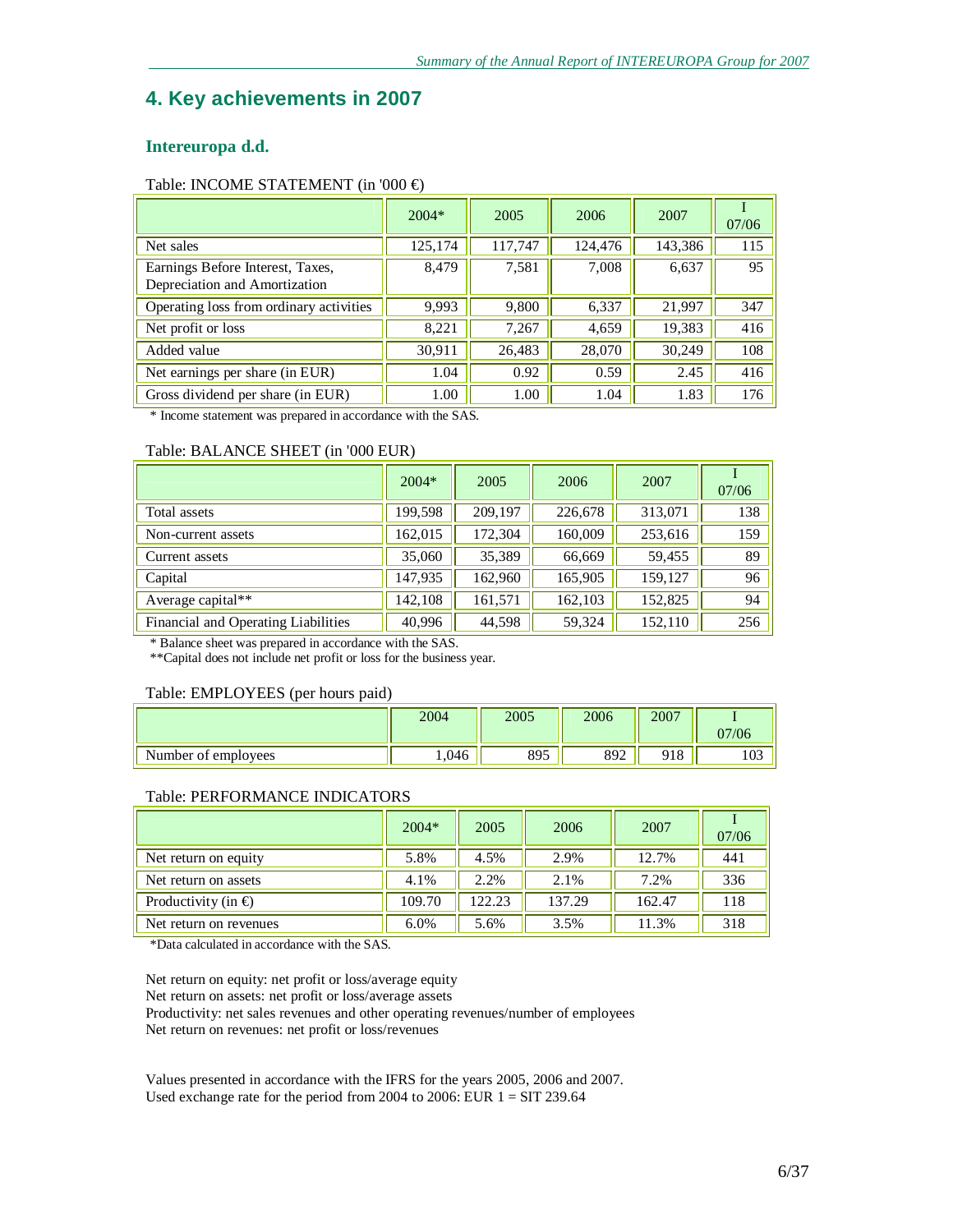# **4. Key achievements in 2007**

## **Intereuropa d.d.**

#### Table: INCOME STATEMENT (in '000 €)

|                                                                   | $2004*$ | 2005    | 2006    | 2007    | 07/06 |
|-------------------------------------------------------------------|---------|---------|---------|---------|-------|
| Net sales                                                         | 125,174 | 117,747 | 124,476 | 143,386 | 115   |
| Earnings Before Interest, Taxes,<br>Depreciation and Amortization | 8,479   | 7,581   | 7,008   | 6,637   | 95    |
| Operating loss from ordinary activities                           | 9,993   | 9,800   | 6,337   | 21,997  | 347   |
| Net profit or loss                                                | 8,221   | 7,267   | 4,659   | 19,383  | 416   |
| Added value                                                       | 30,911  | 26,483  | 28,070  | 30,249  | 108   |
| Net earnings per share (in EUR)                                   | 1.04    | 0.92    | 0.59    | 2.45    | 416   |
| Gross dividend per share (in EUR)                                 | 1.00    | 1.00    | 1.04    | 1.83    | 176   |

\* Income statement was prepared in accordance with the SAS.

#### Table: BALANCE SHEET (in '000 EUR)

|                                     | $2004*$ | 2005    | 2006    | 2007    | 07/06 |
|-------------------------------------|---------|---------|---------|---------|-------|
| Total assets                        | 199,598 | 209,197 | 226,678 | 313,071 | 138   |
| Non-current assets                  | 162,015 | 172,304 | 160,009 | 253,616 | 159   |
| Current assets                      | 35,060  | 35,389  | 66,669  | 59,455  | 89    |
| Capital                             | 147,935 | 162,960 | 165,905 | 159,127 | 96    |
| Average capital**                   | 142,108 | 161,571 | 162,103 | 152,825 | 94    |
| Financial and Operating Liabilities | 40,996  | 44,598  | 59,324  | 152,110 | 256   |

\* Balance sheet was prepared in accordance with the SAS.

\*\*Capital does not include net profit or loss for the business year.

#### Table: EMPLOYEES (per hours paid)

|                     | 2004  | 2005 | 2006 | 2007 | 07/06 |
|---------------------|-------|------|------|------|-------|
| Number of employees | 1,046 | 895  | 892  | 918  | 103   |

#### Table: PERFORMANCE INDICATORS

|                           | $2004*$ | 2005   | 2006   | 2007   | 07/06 |
|---------------------------|---------|--------|--------|--------|-------|
| Net return on equity      | 5.8%    | 4.5%   | 2.9%   | 12.7%  | 441   |
| Net return on assets      | 4.1%    | 2.2%   | 2.1%   | 7.2%   | 336   |
| Productivity (in $\oplus$ | 109.70  | 122.23 | 137.29 | 162.47 | 118   |
| Net return on revenues    | 6.0%    | 5.6%   | 3.5%   | 11.3%  | 318   |

\*Data calculated in accordance with the SAS.

Net return on equity: net profit or loss/average equity

Net return on assets: net profit or loss/average assets

Productivity: net sales revenues and other operating revenues/number of employees Net return on revenues: net profit or loss/revenues

Values presented in accordance with the IFRS for the years 2005, 2006 and 2007. Used exchange rate for the period from 2004 to 2006: EUR  $1 = SIT$  239.64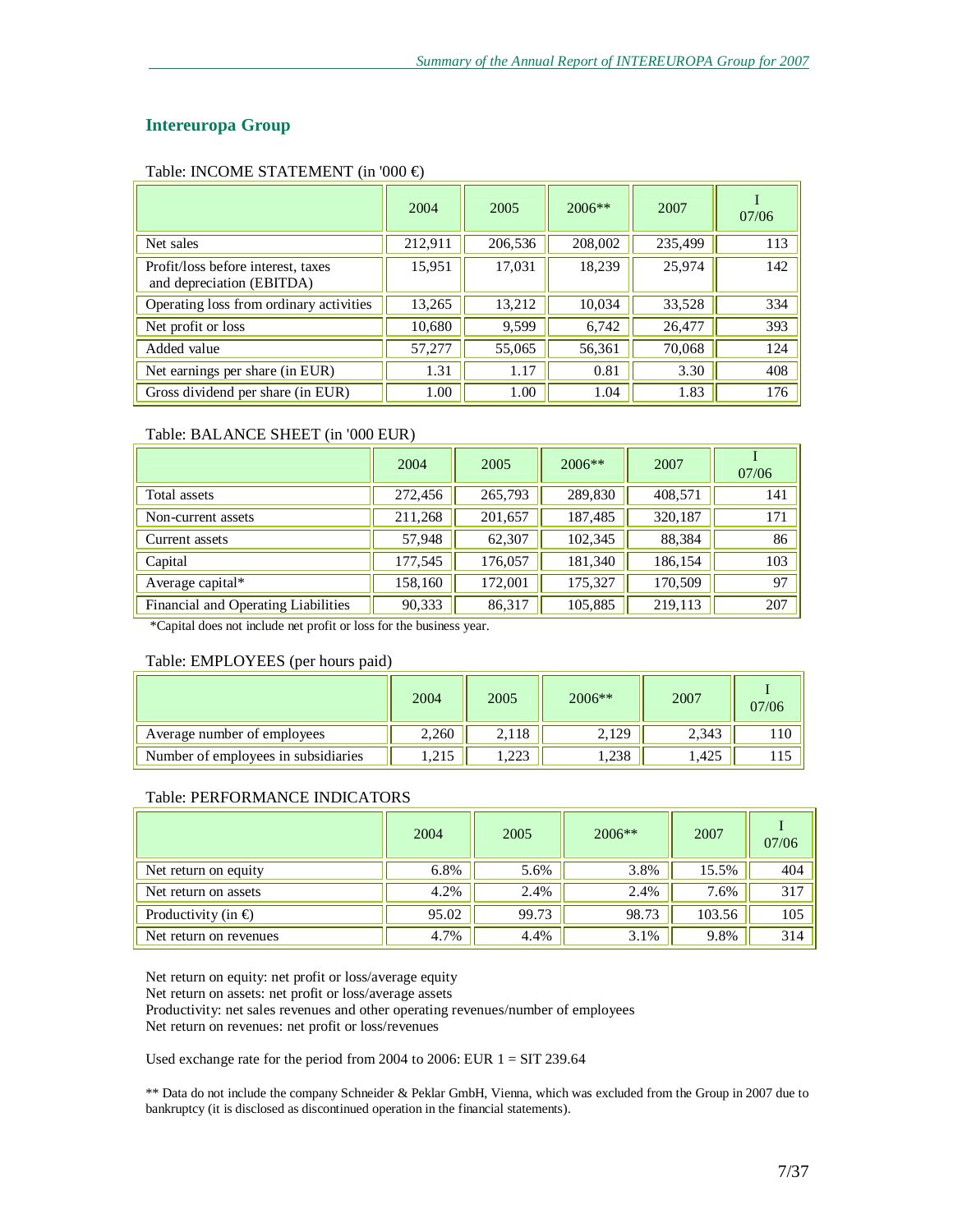## **Intereuropa Group**

#### Table: INCOME STATEMENT (in '000 €)

|                                                                 | 2004    | 2005    | $2006**$ | 2007    | 07/06 |
|-----------------------------------------------------------------|---------|---------|----------|---------|-------|
| Net sales                                                       | 212,911 | 206,536 | 208,002  | 235,499 | 113   |
| Profit/loss before interest, taxes<br>and depreciation (EBITDA) | 15,951  | 17,031  | 18,239   | 25,974  | 142   |
| Operating loss from ordinary activities                         | 13,265  | 13,212  | 10,034   | 33,528  | 334   |
| Net profit or loss                                              | 10,680  | 9,599   | 6,742    | 26,477  | 393   |
| Added value                                                     | 57,277  | 55,065  | 56,361   | 70,068  | 124   |
| Net earnings per share (in EUR)                                 | 1.31    | 1.17    | 0.81     | 3.30    | 408   |
| Gross dividend per share (in EUR)                               | 1.00    | 1.00    | 1.04     | 1.83    | 176   |

#### Table: BALANCE SHEET (in '000 EUR)

|                                     | 2004    | 2005    | $2006**$ | 2007    | 07/06 |
|-------------------------------------|---------|---------|----------|---------|-------|
| Total assets                        | 272,456 | 265,793 | 289,830  | 408,571 | 141   |
| Non-current assets                  | 211,268 | 201,657 | 187,485  | 320,187 | 171   |
| Current assets                      | 57,948  | 62,307  | 102,345  | 88,384  | 86    |
| Capital                             | 177,545 | 176,057 | 181,340  | 186,154 | 103   |
| Average capital*                    | 158,160 | 172,001 | 175,327  | 170,509 | 97    |
| Financial and Operating Liabilities | 90,333  | 86,317  | 105,885  | 219,113 | 207   |

\*Capital does not include net profit or loss for the business year.

#### Table: EMPLOYEES (per hours paid)

|                                     | 2004  | 2005  | $2006**$ | 2007  | 07/06 |
|-------------------------------------|-------|-------|----------|-------|-------|
| Average number of employees         | 2,260 | 2.118 | 2,129    | 2,343 | 110   |
| Number of employees in subsidiaries | .215  | .223  | 1,238    | .425  | 115   |

#### Table: PERFORMANCE INDICATORS

|                           | 2004  | 2005  | $2006**$ | 2007   | 07/06 |
|---------------------------|-------|-------|----------|--------|-------|
| Net return on equity      | 6.8%  | 5.6%  | 3.8%     | 15.5%  | 404   |
| Net return on assets      | 4.2%  | 2.4%  | 2.4%     | 7.6%   | 317   |
| Productivity (in $\oplus$ | 95.02 | 99.73 | 98.73    | 103.56 | 105   |
| Net return on revenues    | 4.7%  | 4.4%  | 3.1%     | 9.8%   | 314   |

Net return on equity: net profit or loss/average equity

Net return on assets: net profit or loss/average assets

Productivity: net sales revenues and other operating revenues/number of employees

Net return on revenues: net profit or loss/revenues

Used exchange rate for the period from 2004 to 2006: EUR  $1 = SIT$  239.64

\*\* Data do not include the company Schneider & Peklar GmbH, Vienna, which was excluded from the Group in 2007 due to bankruptcy (it is disclosed as discontinued operation in the financial statements).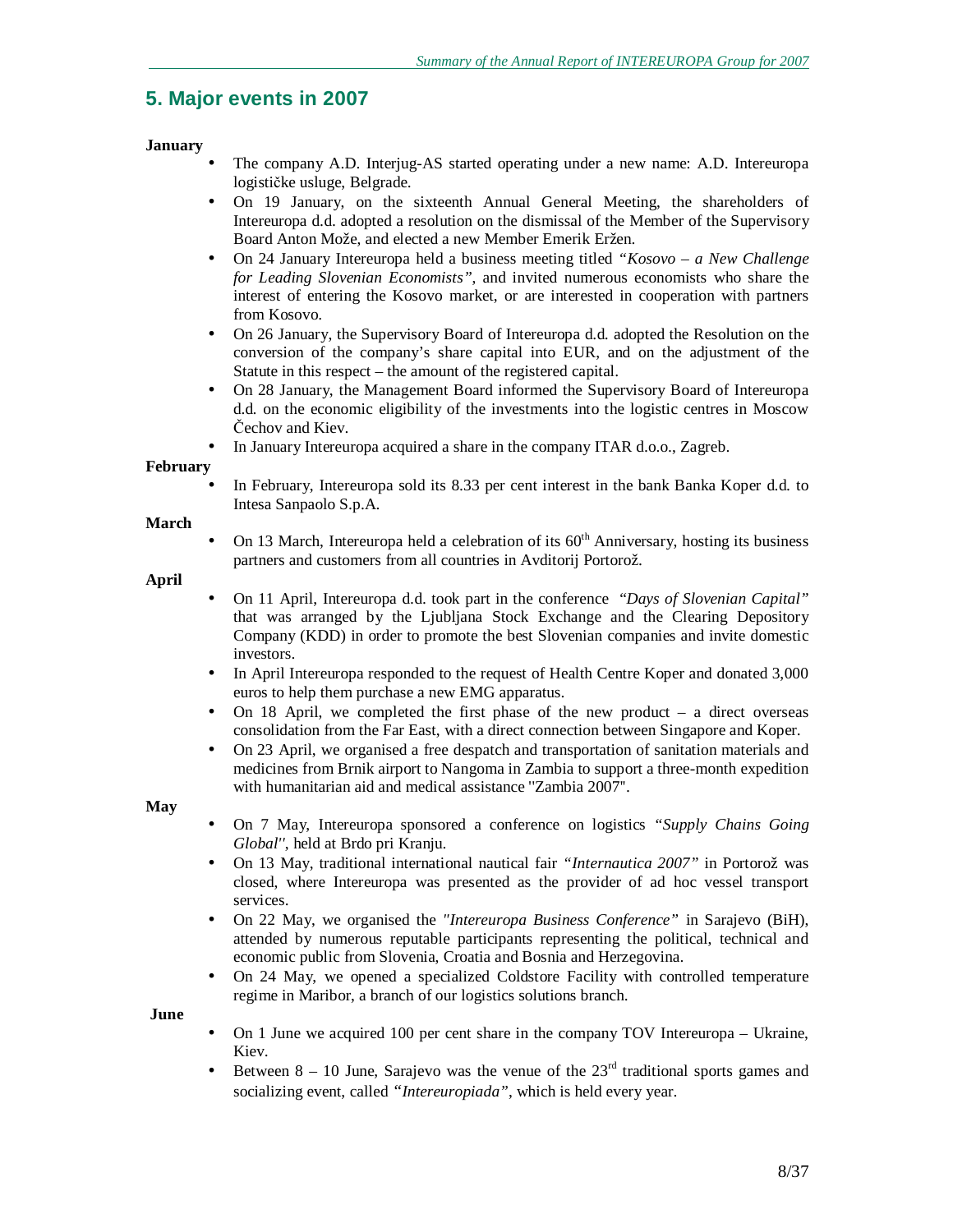# **5. Major events in 2007**

## **January**

- The company A.D. Interjug-AS started operating under a new name: A.D. Intereuropa logističke usluge, Belgrade.
- On 19 January, on the sixteenth Annual General Meeting, the shareholders of Intereuropa d.d. adopted a resolution on the dismissal of the Member of the Supervisory Board Anton Može, and elected a new Member Emerik Eržen.
- On 24 January Intereuropa held a business meeting titled *"Kosovo – a New Challenge for Leading Slovenian Economists"*, and invited numerous economists who share the interest of entering the Kosovo market, or are interested in cooperation with partners from Kosovo.
- On 26 January, the Supervisory Board of Intereuropa d.d. adopted the Resolution on the conversion of the company's share capital into EUR, and on the adjustment of the Statute in this respect – the amount of the registered capital.
- On 28 January, the Management Board informed the Supervisory Board of Intereuropa d.d. on the economic eligibility of the investments into the logistic centres in Moscow Čechov and Kiev.
- In January Intereuropa acquired a share in the company ITAR d.o.o., Zagreb.

## **February**

• In February, Intereuropa sold its 8.33 per cent interest in the bank Banka Koper d.d. to Intesa Sanpaolo S.p.A.

#### **March**

On 13 March, Intereuropa held a celebration of its  $60<sup>th</sup>$  Anniversary, hosting its business partners and customers from all countries in Avditorij Portorož.

#### **April**

- On 11 April, Intereuropa d.d. took part in the conference "*Days of Slovenian Capital"* that was arranged by the Ljubljana Stock Exchange and the Clearing Depository Company (KDD) in order to promote the best Slovenian companies and invite domestic investors.
- In April Intereuropa responded to the request of Health Centre Koper and donated 3,000 euros to help them purchase a new EMG apparatus.
- On 18 April, we completed the first phase of the new product  $-$  a direct overseas consolidation from the Far East, with a direct connection between Singapore and Koper.
- On 23 April, we organised a free despatch and transportation of sanitation materials and medicines from Brnik airport to Nangoma in Zambia to support a three-month expedition with humanitarian aid and medical assistance ''Zambia 2007''.

#### **May**

- On 7 May, Intereuropa sponsored a conference on logistics *"Supply Chains Going Global''*, held at Brdo pri Kranju.
- On 13 May, traditional international nautical fair *"Internautica 2007"* in Portorož was closed, where Intereuropa was presented as the provider of ad hoc vessel transport services.
- On 22 May, we organised the *"Intereuropa Business Conference"* in Sarajevo (BiH), attended by numerous reputable participants representing the political, technical and economic public from Slovenia, Croatia and Bosnia and Herzegovina.
- On 24 May, we opened a specialized Coldstore Facility with controlled temperature regime in Maribor, a branch of our logistics solutions branch.

#### **June**

- On 1 June we acquired 100 per cent share in the company TOV Intereuropa Ukraine, Kiev.
- Between  $8 10$  June, Sarajevo was the venue of the  $23<sup>rd</sup>$  traditional sports games and socializing event, called *"Intereuropiada"*, which is held every year.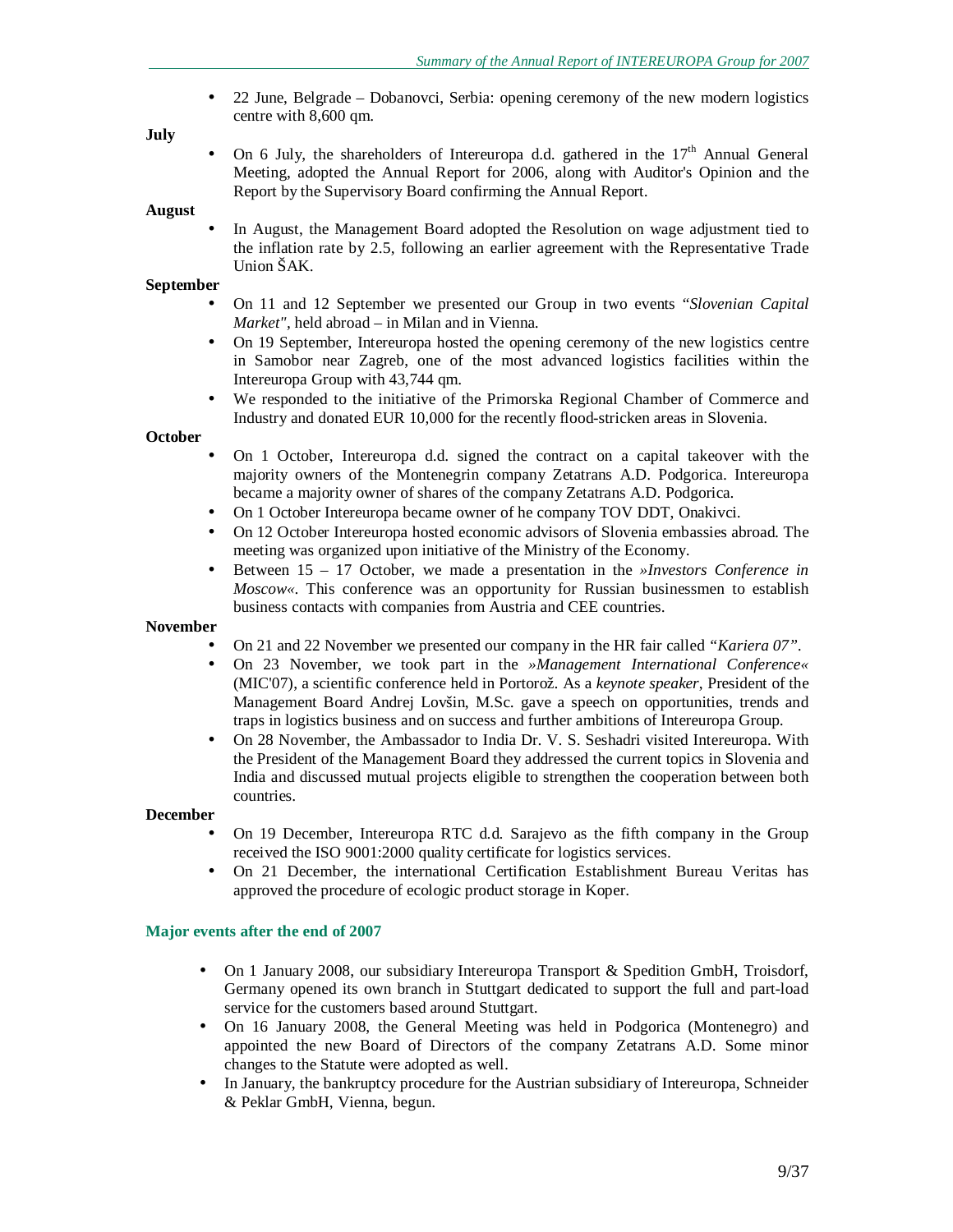• 22 June, Belgrade – Dobanovci, Serbia: opening ceremony of the new modern logistics centre with 8,600 qm.

#### **July**

On 6 July, the shareholders of Intereuropa d.d. gathered in the  $17<sup>th</sup>$  Annual General Meeting, adopted the Annual Report for 2006, along with Auditor's Opinion and the Report by the Supervisory Board confirming the Annual Report.

#### **August**

• In August, the Management Board adopted the Resolution on wage adjustment tied to the inflation rate by 2.5, following an earlier agreement with the Representative Trade Union ŠAK.

#### **September**

- On 11 and 12 September we presented our Group in two events "*Slovenian Capital Market",* held abroad – in Milan and in Vienna.
- On 19 September, Intereuropa hosted the opening ceremony of the new logistics centre in Samobor near Zagreb, one of the most advanced logistics facilities within the Intereuropa Group with 43,744 qm.
- We responded to the initiative of the Primorska Regional Chamber of Commerce and Industry and donated EUR 10,000 for the recently flood-stricken areas in Slovenia.

#### **October**

- On 1 October, Intereuropa d.d. signed the contract on a capital takeover with the majority owners of the Montenegrin company Zetatrans A.D. Podgorica. Intereuropa became a majority owner of shares of the company Zetatrans A.D. Podgorica.
- On 1 October Intereuropa became owner of he company TOV DDT, Onakivci.
- On 12 October Intereuropa hosted economic advisors of Slovenia embassies abroad. The meeting was organized upon initiative of the Ministry of the Economy.
- Between 15 17 October, we made a presentation in the *»Investors Conference in Moscow«*. This conference was an opportunity for Russian businessmen to establish business contacts with companies from Austria and CEE countries.

#### **November**

- On 21 and 22 November we presented our company in the HR fair called *"Kariera 07"*.
- On 23 November, we took part in the *»Management International Conference«* (MIC'07), a scientific conference held in Portorož. As a *keynote speaker*, President of the Management Board Andrej Lovšin, M.Sc. gave a speech on opportunities, trends and traps in logistics business and on success and further ambitions of Intereuropa Group.
- On 28 November, the Ambassador to India Dr. V. S. Seshadri visited Intereuropa. With the President of the Management Board they addressed the current topics in Slovenia and India and discussed mutual projects eligible to strengthen the cooperation between both countries.

#### **December**

- On 19 December, Intereuropa RTC d.d. Sarajevo as the fifth company in the Group received the ISO 9001:2000 quality certificate for logistics services.
- On 21 December, the international Certification Establishment Bureau Veritas has approved the procedure of ecologic product storage in Koper.

#### **Major events after the end of 2007**

- On 1 January 2008, our subsidiary Intereuropa Transport & Spedition GmbH, Troisdorf, Germany opened its own branch in Stuttgart dedicated to support the full and part-load service for the customers based around Stuttgart.
- On 16 January 2008, the General Meeting was held in Podgorica (Montenegro) and appointed the new Board of Directors of the company Zetatrans A.D. Some minor changes to the Statute were adopted as well.
- In January, the bankruptcy procedure for the Austrian subsidiary of Intereuropa, Schneider & Peklar GmbH, Vienna, begun.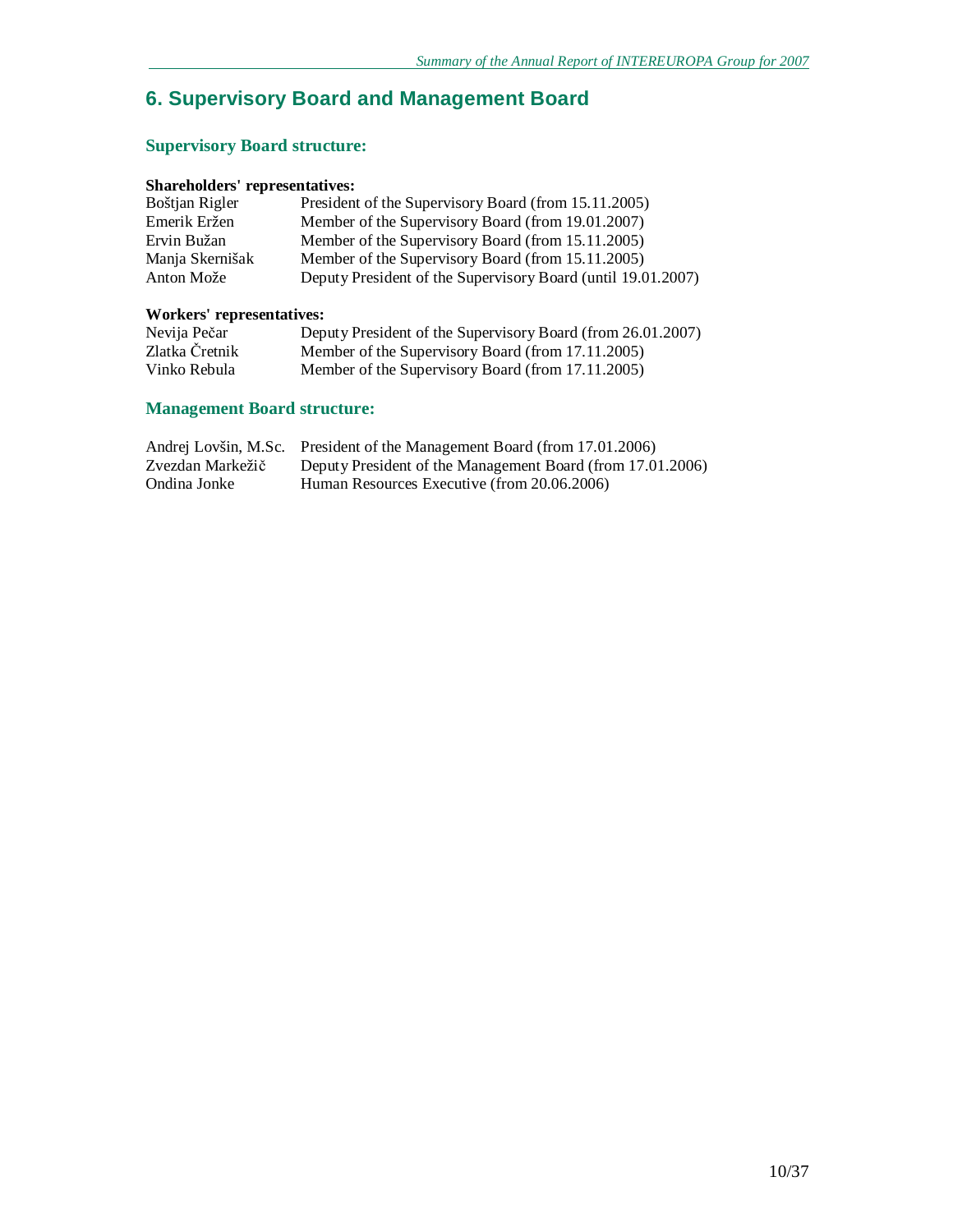# **6. Supervisory Board and Management Board**

# **Supervisory Board structure:**

## **Shareholders' representatives:**

| Boštjan Rigler  | President of the Supervisory Board (from 15.11.2005)         |
|-----------------|--------------------------------------------------------------|
| Emerik Eržen    | Member of the Supervisory Board (from 19.01.2007)            |
| Ervin Bužan     | Member of the Supervisory Board (from 15.11.2005)            |
| Manja Skernišak | Member of the Supervisory Board (from 15.11.2005)            |
| Anton Može      | Deputy President of the Supervisory Board (until 19.01.2007) |

# **Workers' representatives:**

| Nevija Pečar   | Deputy President of the Supervisory Board (from 26.01.2007) |
|----------------|-------------------------------------------------------------|
| Zlatka Čretnik | Member of the Supervisory Board (from 17.11.2005)           |
| Vinko Rebula   | Member of the Supervisory Board (from 17.11.2005)           |

# **Management Board structure:**

|                  | Andrej Lovšin, M.Sc. President of the Management Board (from 17.01.2006) |
|------------------|--------------------------------------------------------------------------|
| Zvezdan Markežič | Deputy President of the Management Board (from 17.01.2006)               |
| Ondina Jonke     | Human Resources Executive (from 20.06.2006)                              |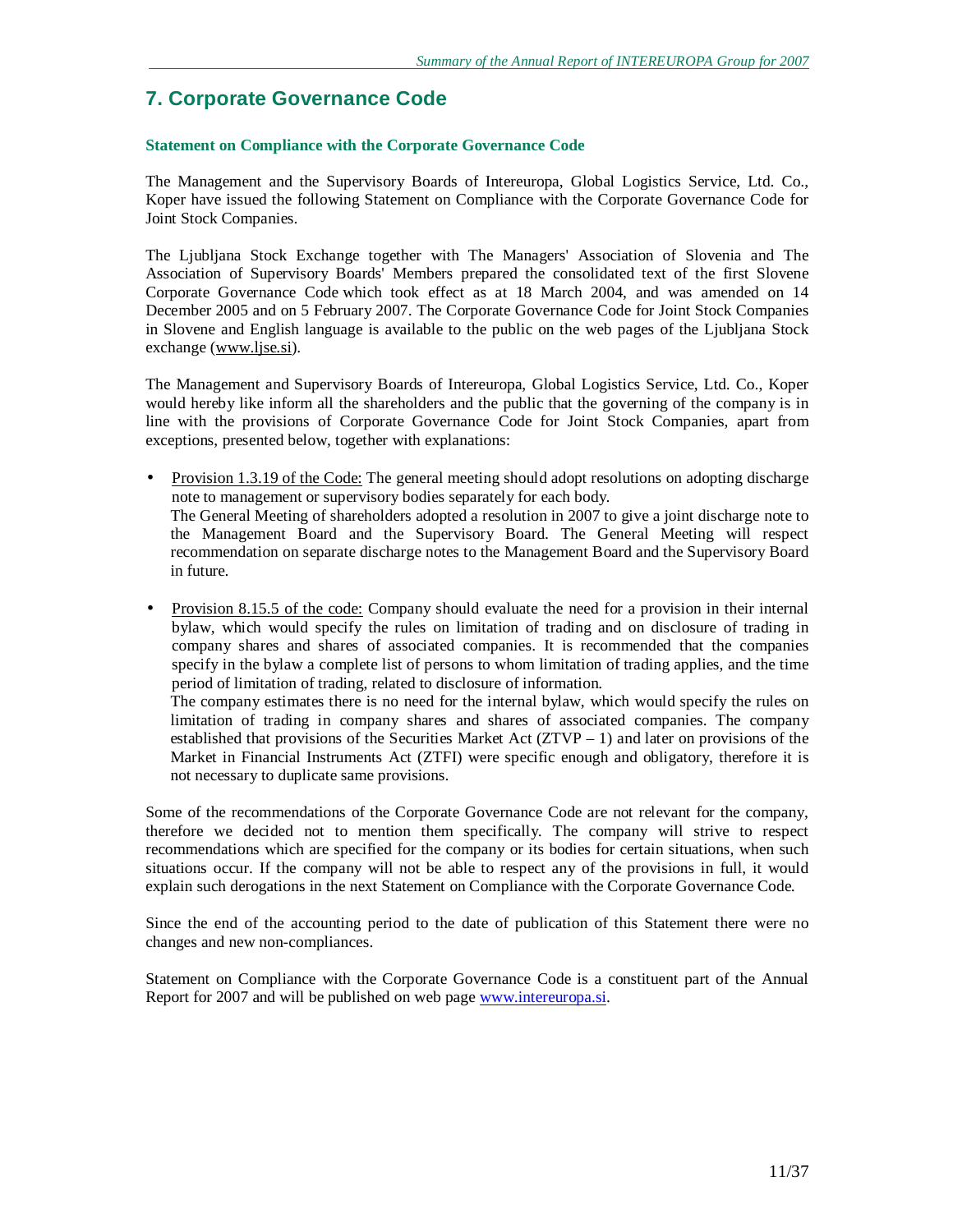# **7. Corporate Governance Code**

#### **Statement on Compliance with the Corporate Governance Code**

The Management and the Supervisory Boards of Intereuropa, Global Logistics Service, Ltd. Co., Koper have issued the following Statement on Compliance with the Corporate Governance Code for Joint Stock Companies.

The Ljubljana Stock Exchange together with The Managers' Association of Slovenia and The Association of Supervisory Boards' Members prepared the consolidated text of the first Slovene Corporate Governance Code which took effect as at 18 March 2004, and was amended on 14 December 2005 and on 5 February 2007. The Corporate Governance Code for Joint Stock Companies in Slovene and English language is available to the public on the web pages of the Ljubljana Stock exchange ([www.ljse.si](http://www.ljse.si)).

The Management and Supervisory Boards of Intereuropa, Global Logistics Service, Ltd. Co., Koper would hereby like inform all the shareholders and the public that the governing of the company is in line with the provisions of Corporate Governance Code for Joint Stock Companies, apart from exceptions, presented below, together with explanations:

- Provision 1.3.19 of the Code: The general meeting should adopt resolutions on adopting discharge note to management or supervisory bodies separately for each body. The General Meeting of shareholders adopted a resolution in 2007 to give a joint discharge note to the Management Board and the Supervisory Board. The General Meeting will respect recommendation on separate discharge notes to the Management Board and the Supervisory Board in future.
- Provision 8.15.5 of the code: Company should evaluate the need for a provision in their internal bylaw, which would specify the rules on limitation of trading and on disclosure of trading in company shares and shares of associated companies. It is recommended that the companies specify in the bylaw a complete list of persons to whom limitation of trading applies, and the time period of limitation of trading, related to disclosure of information. The company estimates there is no need for the internal bylaw, which would specify the rules on

limitation of trading in company shares and shares of associated companies. The company established that provisions of the Securities Market Act  $(ZTVP - 1)$  and later on provisions of the Market in Financial Instruments Act (ZTFI) were specific enough and obligatory, therefore it is not necessary to duplicate same provisions.

Some of the recommendations of the Corporate Governance Code are not relevant for the company, therefore we decided not to mention them specifically. The company will strive to respect recommendations which are specified for the company or its bodies for certain situations, when such situations occur. If the company will not be able to respect any of the provisions in full, it would explain such derogations in the next Statement on Compliance with the Corporate Governance Code.

Since the end of the accounting period to the date of publication of this Statement there were no changes and new non-compliances.

Statement on Compliance with the Corporate Governance Code is a constituent part of the Annual Report for 2007 and will be published on web page [www.intereuropa.si.](http://www.intereuropa.si)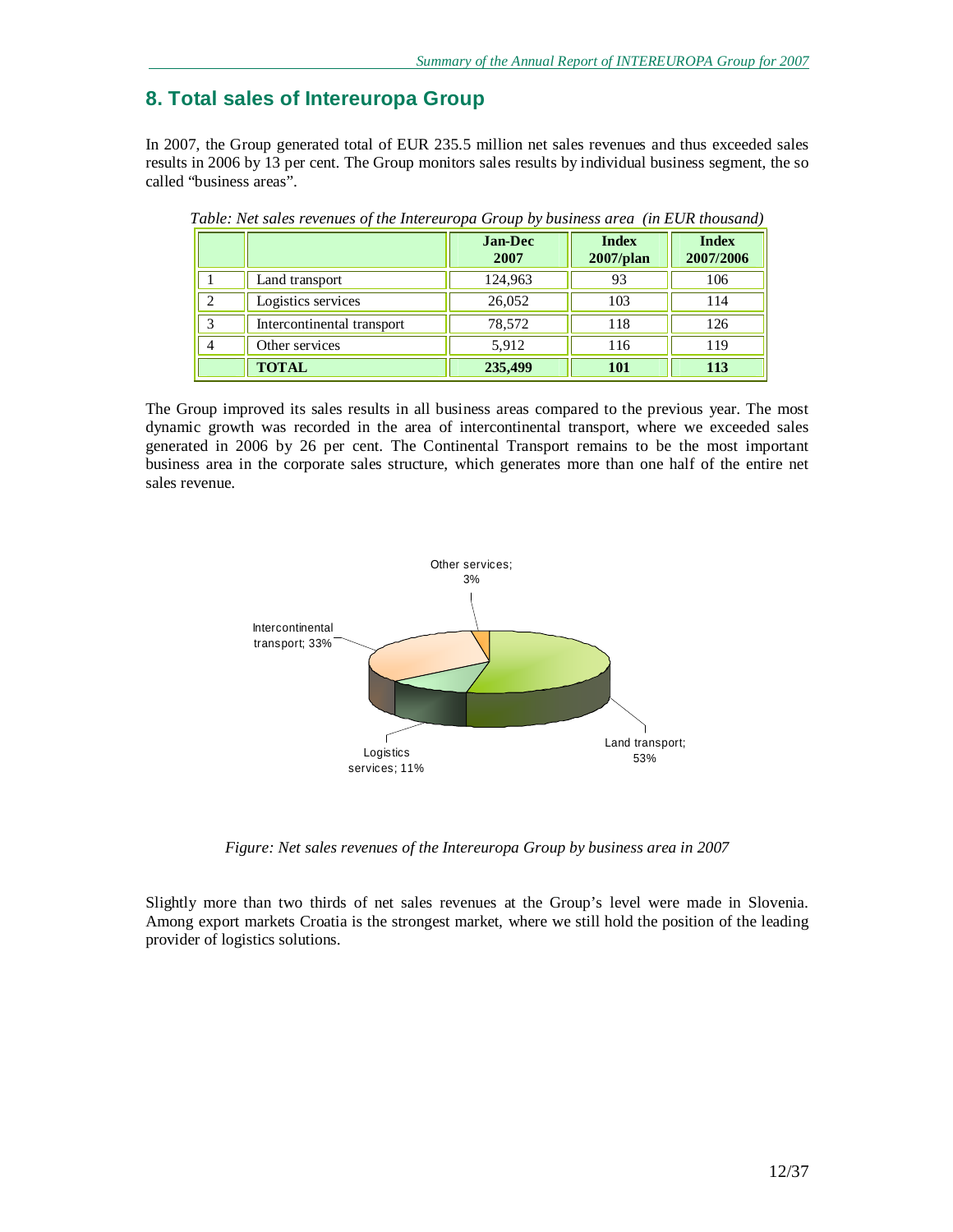# **8. Total sales of Intereuropa Group**

In 2007, the Group generated total of EUR 235.5 million net sales revenues and thus exceeded sales results in 2006 by 13 per cent. The Group monitors sales results by individual business segment, the so called "business areas".

|                |                            | <b>Jan-Dec</b><br>2007 | <b>Index</b><br>$2007$ /plan | <b>Index</b><br>2007/2006 |
|----------------|----------------------------|------------------------|------------------------------|---------------------------|
|                | Land transport             | 124,963                | 93                           | 106                       |
|                | Logistics services         | 26,052                 | 103                          | 114                       |
| 3              | Intercontinental transport | 78,572                 | 118                          | 126                       |
| $\overline{4}$ | Other services             | 5,912                  | 116                          | 119                       |
|                | <b>TOTAL</b>               | 235,499                | <b>101</b>                   | 113                       |

*Table: Net sales revenues of the Intereuropa Group by business area (in EUR thousand)* 

The Group improved its sales results in all business areas compared to the previous year. The most dynamic growth was recorded in the area of intercontinental transport, where we exceeded sales generated in 2006 by 26 per cent. The Continental Transport remains to be the most important business area in the corporate sales structure, which generates more than one half of the entire net sales revenue.



*Figure: Net sales revenues of the Intereuropa Group by business area in 2007* 

Slightly more than two thirds of net sales revenues at the Group's level were made in Slovenia. Among export markets Croatia is the strongest market, where we still hold the position of the leading provider of logistics solutions.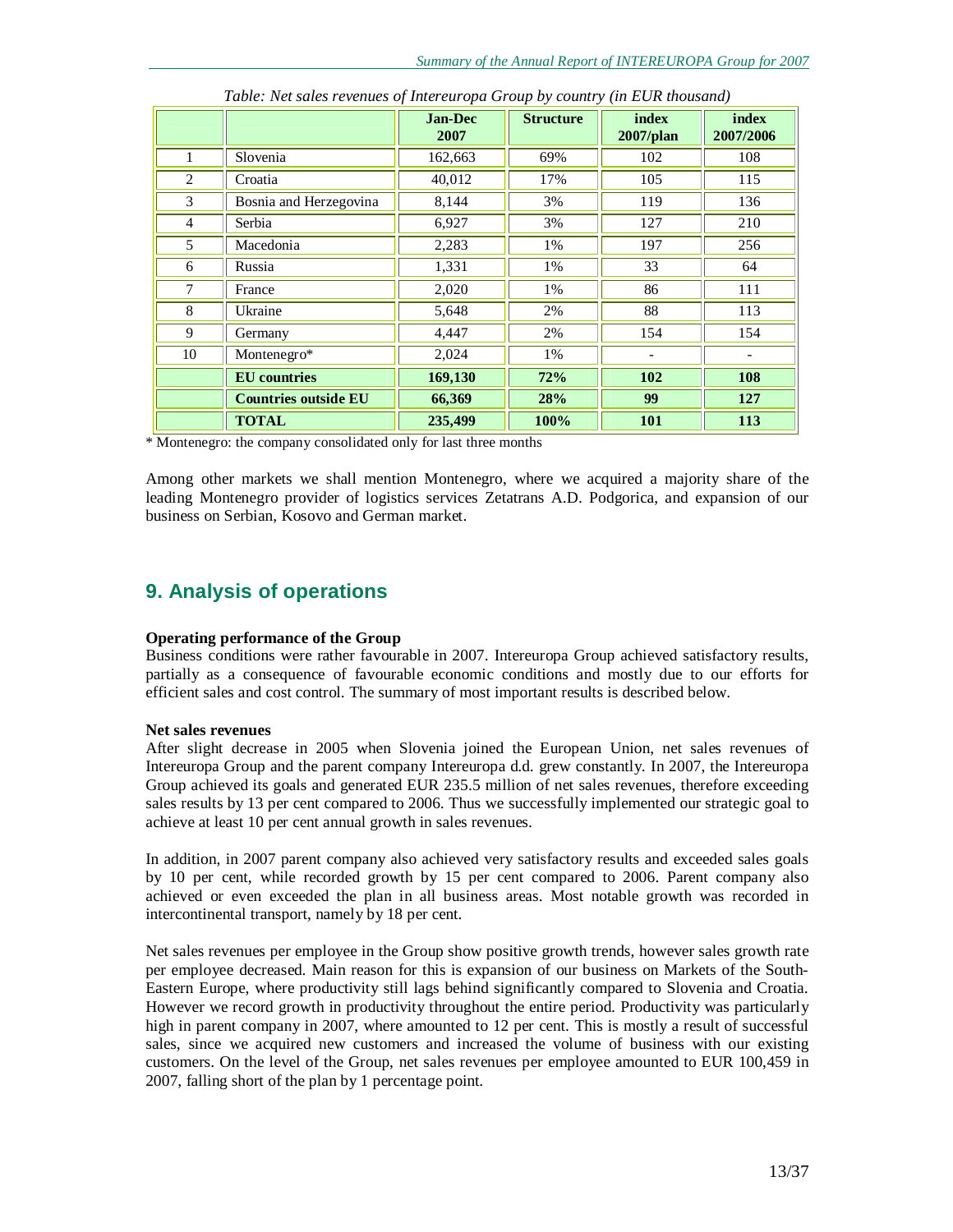|                |                             | <b>Jan-Dec</b><br>2007 | <b>Structure</b> | index<br>$2007$ /plan | index<br>2007/2006 |
|----------------|-----------------------------|------------------------|------------------|-----------------------|--------------------|
| $\mathbf{1}$   | Slovenia                    | 162,663                | 69%              | 102                   | 108                |
| 2              | Croatia                     | 40,012                 | 17%              | 105                   | 115                |
| 3              | Bosnia and Herzegovina      | 8,144                  | 3%               | 119                   | 136                |
| $\overline{4}$ | Serbia                      | 6,927                  | 3%               | 127                   | 210                |
| 5              | Macedonia                   | 2,283                  | 1%               | 197                   | 256                |
| 6              | Russia                      | 1,331                  | 1%               | 33                    | 64                 |
| $\overline{7}$ | France                      | 2,020                  | 1%               | 86                    | 111                |
| 8              | Ukraine                     | 5,648                  | 2%               | 88                    | 113                |
| 9              | Germany                     | 4,447                  | 2%               | 154                   | 154                |
| 10             | Montenegro*                 | 2,024                  | 1%               |                       |                    |
|                | <b>EU</b> countries         | 169,130                | 72%              | 102                   | 108                |
|                | <b>Countries outside EU</b> | 66,369                 | 28%              | 99                    | 127                |
|                | <b>TOTAL</b>                | 235,499                | 100%             | 101                   | 113                |

*Table: Net sales revenues of Intereuropa Group by country (in EUR thousand)* 

\* Montenegro: the company consolidated only for last three months

Among other markets we shall mention Montenegro, where we acquired a majority share of the leading Montenegro provider of logistics services Zetatrans A.D. Podgorica, and expansion of our business on Serbian, Kosovo and German market.

# **9. Analysis of operations**

#### **Operating performance of the Group**

Business conditions were rather favourable in 2007. Intereuropa Group achieved satisfactory results, partially as a consequence of favourable economic conditions and mostly due to our efforts for efficient sales and cost control. The summary of most important results is described below.

#### **Net sales revenues**

After slight decrease in 2005 when Slovenia joined the European Union, net sales revenues of Intereuropa Group and the parent company Intereuropa d.d. grew constantly. In 2007, the Intereuropa Group achieved its goals and generated EUR 235.5 million of net sales revenues, therefore exceeding sales results by 13 per cent compared to 2006. Thus we successfully implemented our strategic goal to achieve at least 10 per cent annual growth in sales revenues.

In addition, in 2007 parent company also achieved very satisfactory results and exceeded sales goals by 10 per cent, while recorded growth by 15 per cent compared to 2006. Parent company also achieved or even exceeded the plan in all business areas. Most notable growth was recorded in intercontinental transport, namely by 18 per cent.

Net sales revenues per employee in the Group show positive growth trends, however sales growth rate per employee decreased. Main reason for this is expansion of our business on Markets of the South-Eastern Europe, where productivity still lags behind significantly compared to Slovenia and Croatia. However we record growth in productivity throughout the entire period. Productivity was particularly high in parent company in 2007, where amounted to 12 per cent. This is mostly a result of successful sales, since we acquired new customers and increased the volume of business with our existing customers. On the level of the Group, net sales revenues per employee amounted to EUR 100,459 in 2007, falling short of the plan by 1 percentage point.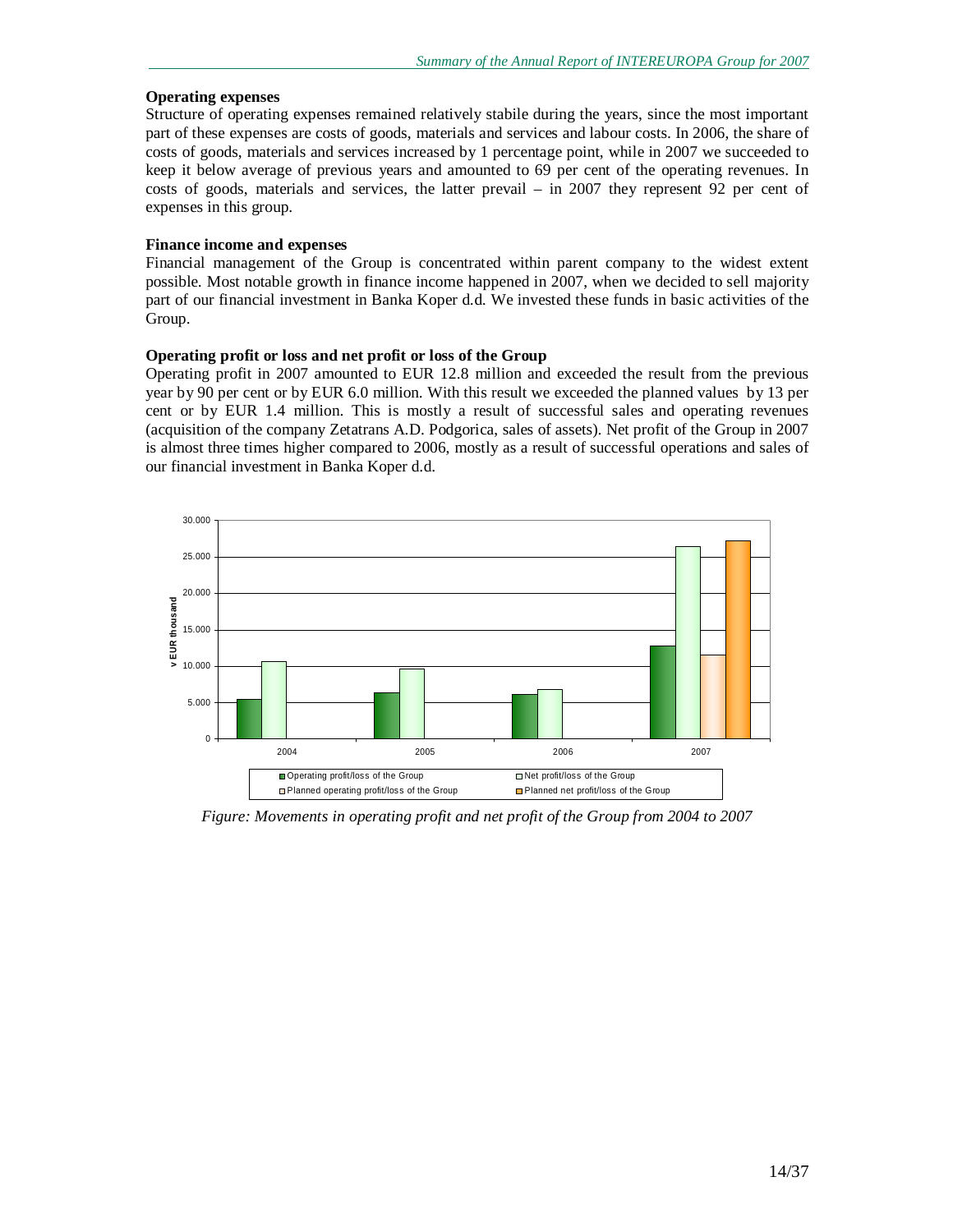#### **Operating expenses**

Structure of operating expenses remained relatively stabile during the years, since the most important part of these expenses are costs of goods, materials and services and labour costs. In 2006, the share of costs of goods, materials and services increased by 1 percentage point, while in 2007 we succeeded to keep it below average of previous years and amounted to 69 per cent of the operating revenues. In costs of goods, materials and services, the latter prevail – in 2007 they represent 92 per cent of expenses in this group.

#### **Finance income and expenses**

Financial management of the Group is concentrated within parent company to the widest extent possible. Most notable growth in finance income happened in 2007, when we decided to sell majority part of our financial investment in Banka Koper d.d. We invested these funds in basic activities of the Group.

#### **Operating profit or loss and net profit or loss of the Group**

Operating profit in 2007 amounted to EUR 12.8 million and exceeded the result from the previous year by 90 per cent or by EUR 6.0 million. With this result we exceeded the planned values by 13 per cent or by EUR 1.4 million. This is mostly a result of successful sales and operating revenues (acquisition of the company Zetatrans A.D. Podgorica, sales of assets). Net profit of the Group in 2007 is almost three times higher compared to 2006, mostly as a result of successful operations and sales of our financial investment in Banka Koper d.d.



*Figure: Movements in operating profit and net profit of the Group from 2004 to 2007*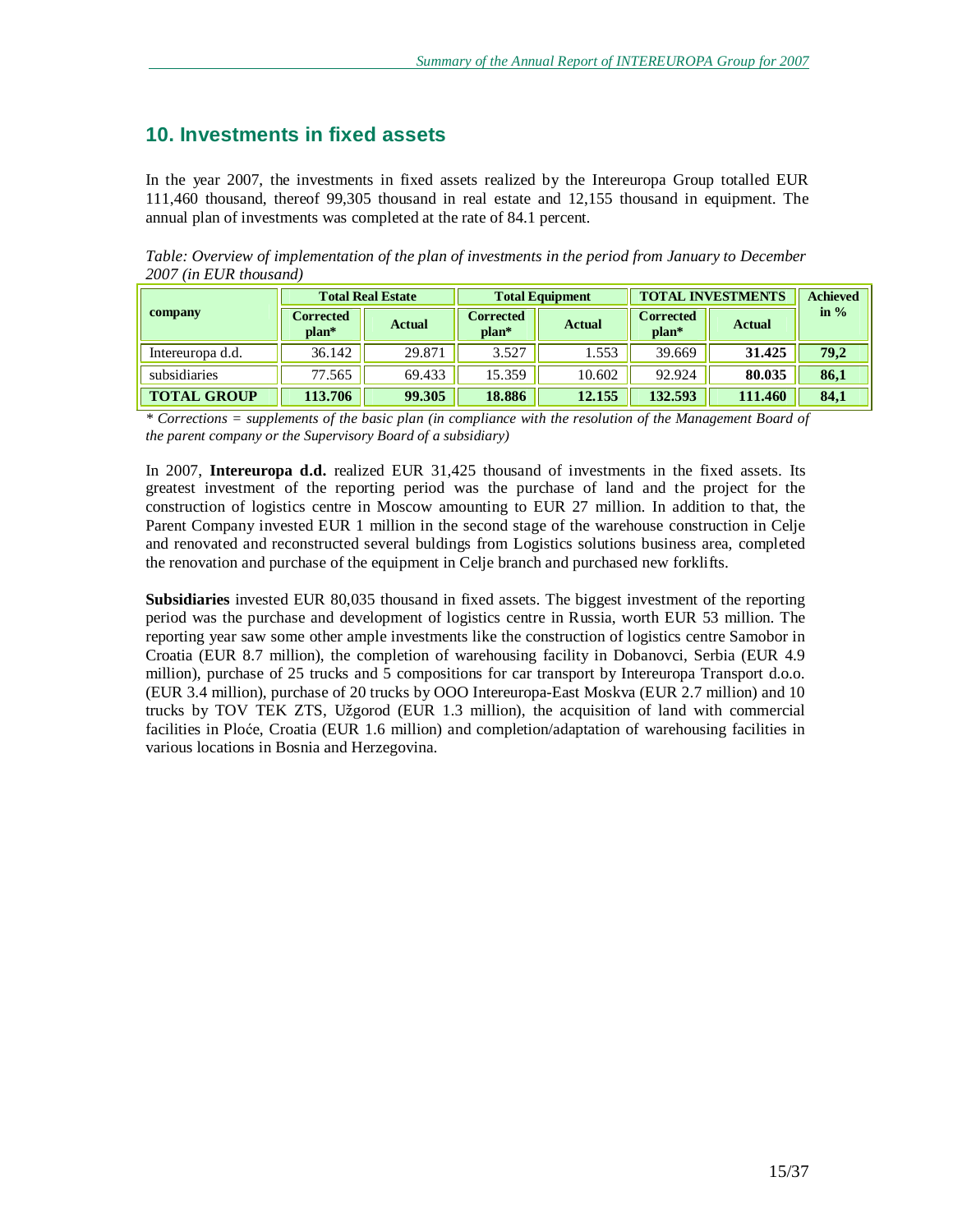# **10. Investments in fixed assets**

In the year 2007, the investments in fixed assets realized by the Intereuropa Group totalled EUR 111,460 thousand, thereof 99,305 thousand in real estate and 12,155 thousand in equipment. The annual plan of investments was completed at the rate of 84.1 percent.

*Table: Overview of implementation of the plan of investments in the period from January to December 2007 (in EUR thousand)* 

|                    |                           | <b>Total Real Estate</b> | <b>Total Equipment</b>      |               | <b>TOTAL INVESTMENTS</b>    |               | <b>Achieved</b> |
|--------------------|---------------------------|--------------------------|-----------------------------|---------------|-----------------------------|---------------|-----------------|
| company            | <b>Corrected</b><br>plan* | <b>Actual</b>            | <b>Corrected</b><br>$plan*$ | <b>Actual</b> | <b>Corrected</b><br>$plan*$ | <b>Actual</b> | in $\%$         |
| Intereuropa d.d.   | 36.142                    | 29.871                   | 3.527                       | 1.553         | 39.669                      | 31.425        | 79,2            |
| subsidiaries       | 77.565                    | 69.433                   | 15.359                      | 10.602        | 92.924                      | 80.035        | 86,1            |
| <b>TOTAL GROUP</b> | 113.706                   | 99.305                   | 18.886                      | 12.155        | 132.593                     | 111.460       | 84,1            |

\* Corrections = supplements of the basic plan (in compliance with the resolution of the Management Board of *the parent company or the Supervisory Board of a subsidiary)* 

In 2007, **Intereuropa d.d.** realized EUR 31,425 thousand of investments in the fixed assets. Its greatest investment of the reporting period was the purchase of land and the project for the construction of logistics centre in Moscow amounting to EUR 27 million. In addition to that, the Parent Company invested EUR 1 million in the second stage of the warehouse construction in Celje and renovated and reconstructed several buldings from Logistics solutions business area, completed the renovation and purchase of the equipment in Celje branch and purchased new forklifts.

**Subsidiaries** invested EUR 80,035 thousand in fixed assets. The biggest investment of the reporting period was the purchase and development of logistics centre in Russia, worth EUR 53 million. The reporting year saw some other ample investments like the construction of logistics centre Samobor in Croatia (EUR 8.7 million), the completion of warehousing facility in Dobanovci, Serbia (EUR 4.9 million), purchase of 25 trucks and 5 compositions for car transport by Intereuropa Transport d.o.o. (EUR 3.4 million), purchase of 20 trucks by OOO Intereuropa-East Moskva (EUR 2.7 million) and 10 trucks by TOV TEK ZTS, Užgorod (EUR 1.3 million), the acquisition of land with commercial facilities in Ploće, Croatia (EUR 1.6 million) and completion/adaptation of warehousing facilities in various locations in Bosnia and Herzegovina.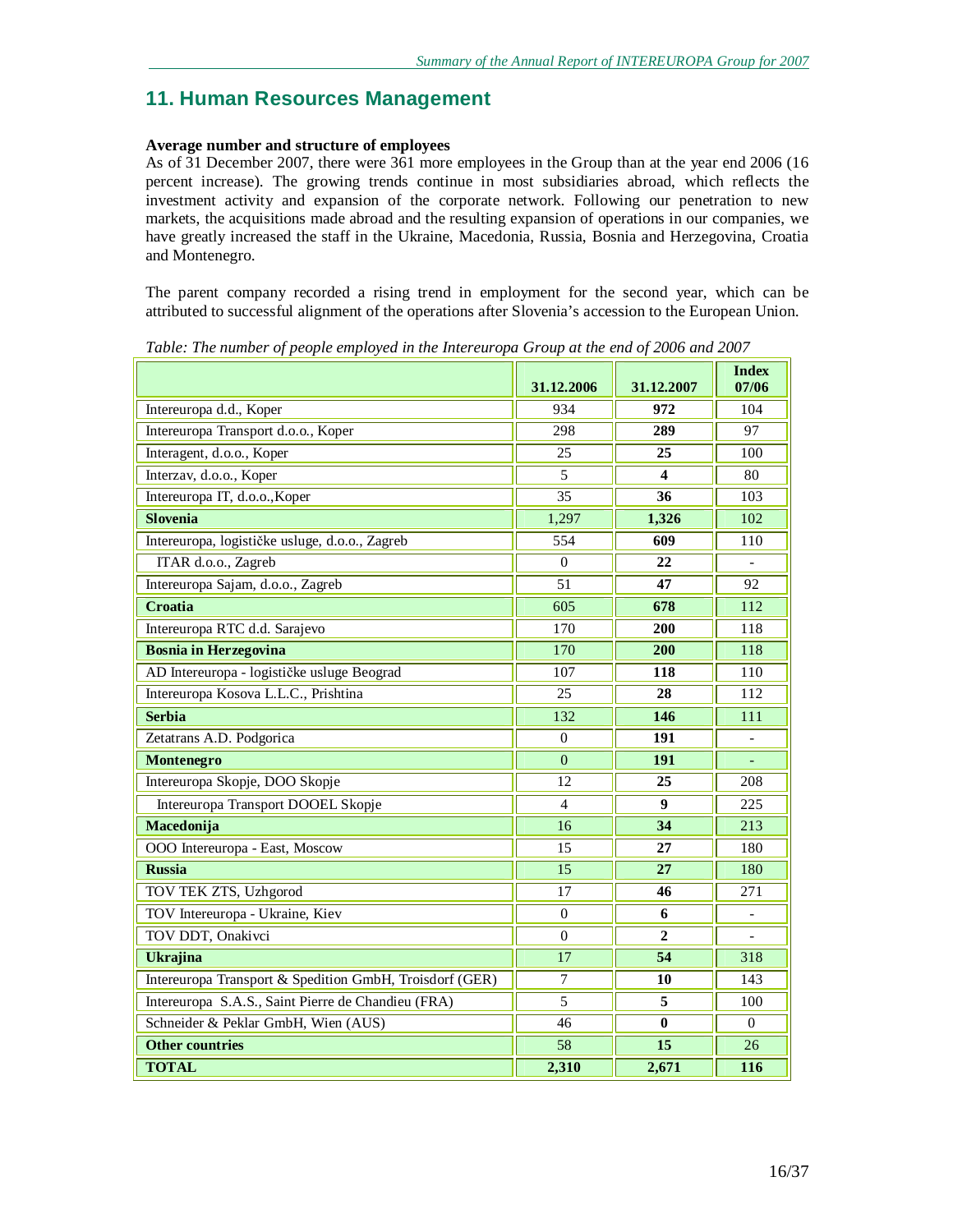# **11. Human Resources Management**

## **Average number and structure of employees**

As of 31 December 2007, there were 361 more employees in the Group than at the year end 2006 (16 percent increase). The growing trends continue in most subsidiaries abroad, which reflects the investment activity and expansion of the corporate network. Following our penetration to new markets, the acquisitions made abroad and the resulting expansion of operations in our companies, we have greatly increased the staff in the Ukraine, Macedonia, Russia, Bosnia and Herzegovina, Croatia and Montenegro.

The parent company recorded a rising trend in employment for the second year, which can be attributed to successful alignment of the operations after Slovenia's accession to the European Union.

|                                                         | 31.12.2006       | 31.12.2007       | <b>Index</b><br>07/06    |
|---------------------------------------------------------|------------------|------------------|--------------------------|
| Intereuropa d.d., Koper                                 | 934              | 972              | 104                      |
| Intereuropa Transport d.o.o., Koper                     | 298              | 289              | 97                       |
| Interagent, d.o.o., Koper                               | 25               | 25               | 100                      |
| Interzav, d.o.o., Koper                                 | 5                | 4                | 80                       |
| Intereuropa IT, d.o.o., Koper                           | $\overline{35}$  | 36               | 103                      |
| <b>Slovenia</b>                                         | 1,297            | 1,326            | 102                      |
| Intereuropa, logističke usluge, d.o.o., Zagreb          | 554              | 609              | 110                      |
| ITAR d.o.o., Zagreb                                     | $\mathbf{0}$     | 22               |                          |
| Intereuropa Sajam, d.o.o., Zagreb                       | 51               | 47               | 92                       |
| Croatia                                                 | 605              | 678              | 112                      |
| Intereuropa RTC d.d. Sarajevo                           | 170              | 200              | 118                      |
| <b>Bosnia in Herzegovina</b>                            | 170              | 200              | 118                      |
| AD Intereuropa - logističke usluge Beograd              | 107              | $\overline{118}$ | $\overline{110}$         |
| Intereuropa Kosova L.L.C., Prishtina                    | 25               | 28               | 112                      |
| <b>Serbia</b>                                           | 132              | 146              | 111                      |
| Zetatrans A.D. Podgorica                                | $\mathbf{0}$     | 191              | $\overline{a}$           |
| Montenegro                                              | $\overline{0}$   | $\overline{191}$ |                          |
| Intereuropa Skopje, DOO Skopje                          | 12               | 25               | 208                      |
| Intereuropa Transport DOOEL Skopje                      | 4                | 9                | 225                      |
| Macedonija                                              | 16               | 34               | 213                      |
| OOO Intereuropa - East, Moscow                          | 15               | 27               | 180                      |
| <b>Russia</b>                                           | 15               | 27               | 180                      |
| TOV TEK ZTS, Uzhgorod                                   | 17               | 46               | 271                      |
| TOV Intereuropa - Ukraine, Kiev                         | $\boldsymbol{0}$ | 6                | $\overline{\phantom{0}}$ |
| TOV DDT, Onakivci                                       | $\theta$         | $\mathbf{2}$     |                          |
| <b>Ukrajina</b>                                         | 17               | $\overline{54}$  | 318                      |
| Intereuropa Transport & Spedition GmbH, Troisdorf (GER) | $\tau$           | 10               | 143                      |
| Intereuropa S.A.S., Saint Pierre de Chandieu (FRA)      | 5                | 5                | 100                      |
| Schneider & Peklar GmbH, Wien (AUS)                     | 46               | $\bf{0}$         | 0                        |
| <b>Other countries</b>                                  | 58               | 15               | 26                       |
| <b>TOTAL</b>                                            | 2,310            | 2,671            | 116                      |

*Table: The number of people employed in the Intereuropa Group at the end of 2006 and 2007*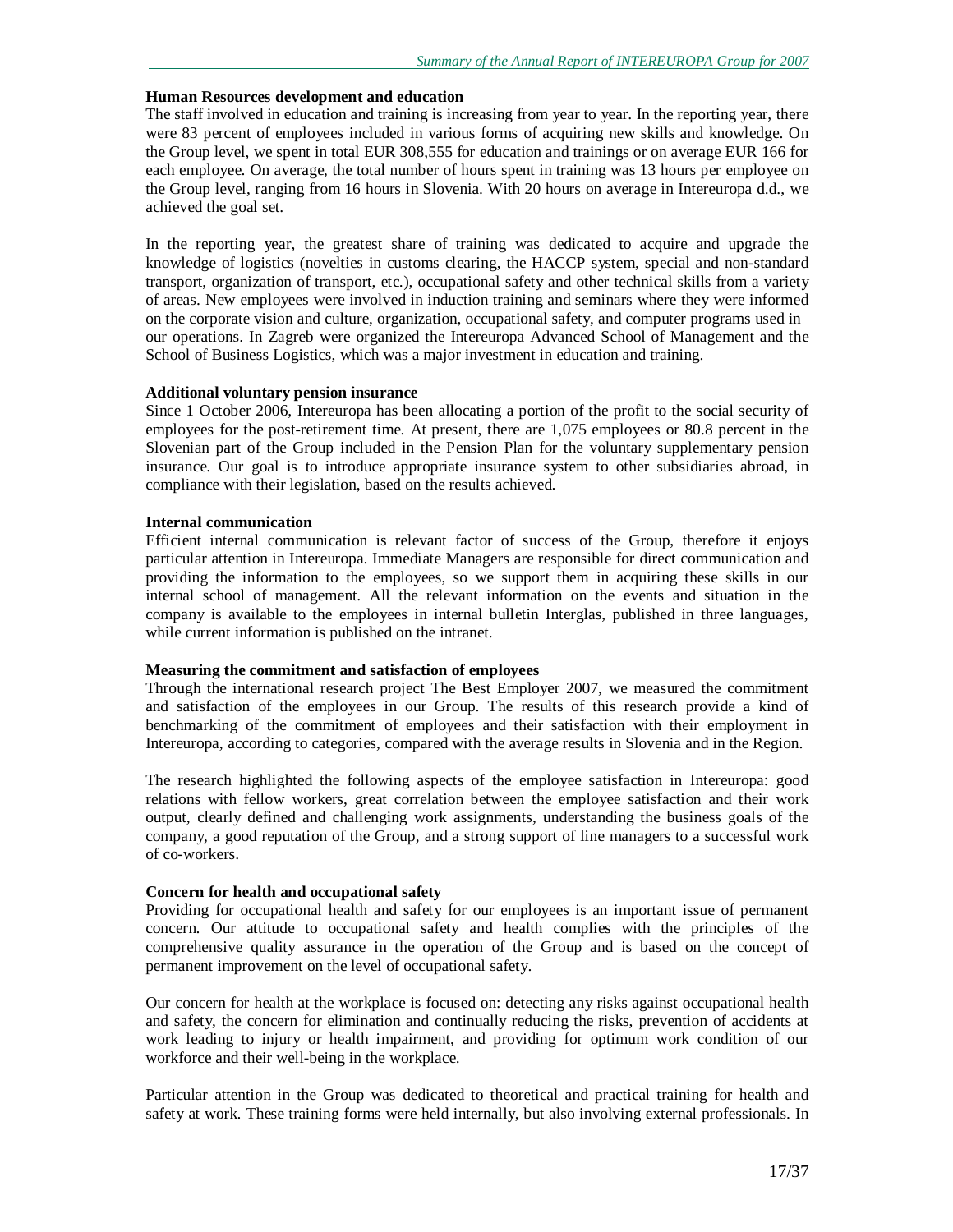#### **Human Resources development and education**

The staff involved in education and training is increasing from year to year. In the reporting year, there were 83 percent of employees included in various forms of acquiring new skills and knowledge. On the Group level, we spent in total EUR 308,555 for education and trainings or on average EUR 166 for each employee. On average, the total number of hours spent in training was 13 hours per employee on the Group level, ranging from 16 hours in Slovenia. With 20 hours on average in Intereuropa d.d., we achieved the goal set.

In the reporting year, the greatest share of training was dedicated to acquire and upgrade the knowledge of logistics (novelties in customs clearing, the HACCP system, special and non-standard transport, organization of transport, etc.), occupational safety and other technical skills from a variety of areas. New employees were involved in induction training and seminars where they were informed on the corporate vision and culture, organization, occupational safety, and computer programs used in our operations. In Zagreb were organized the Intereuropa Advanced School of Management and the School of Business Logistics, which was a major investment in education and training.

#### **Additional voluntary pension insurance**

Since 1 October 2006, Intereuropa has been allocating a portion of the profit to the social security of employees for the post-retirement time. At present, there are 1,075 employees or 80.8 percent in the Slovenian part of the Group included in the Pension Plan for the voluntary supplementary pension insurance. Our goal is to introduce appropriate insurance system to other subsidiaries abroad, in compliance with their legislation, based on the results achieved.

#### **Internal communication**

Efficient internal communication is relevant factor of success of the Group, therefore it enjoys particular attention in Intereuropa. Immediate Managers are responsible for direct communication and providing the information to the employees, so we support them in acquiring these skills in our internal school of management. All the relevant information on the events and situation in the company is available to the employees in internal bulletin Interglas, published in three languages, while current information is published on the intranet.

#### **Measuring the commitment and satisfaction of employees**

Through the international research project The Best Employer 2007, we measured the commitment and satisfaction of the employees in our Group. The results of this research provide a kind of benchmarking of the commitment of employees and their satisfaction with their employment in Intereuropa, according to categories, compared with the average results in Slovenia and in the Region.

The research highlighted the following aspects of the employee satisfaction in Intereuropa: good relations with fellow workers, great correlation between the employee satisfaction and their work output, clearly defined and challenging work assignments, understanding the business goals of the company, a good reputation of the Group, and a strong support of line managers to a successful work of co-workers.

#### **Concern for health and occupational safety**

Providing for occupational health and safety for our employees is an important issue of permanent concern. Our attitude to occupational safety and health complies with the principles of the comprehensive quality assurance in the operation of the Group and is based on the concept of permanent improvement on the level of occupational safety.

Our concern for health at the workplace is focused on: detecting any risks against occupational health and safety, the concern for elimination and continually reducing the risks, prevention of accidents at work leading to injury or health impairment, and providing for optimum work condition of our workforce and their well-being in the workplace.

Particular attention in the Group was dedicated to theoretical and practical training for health and safety at work. These training forms were held internally, but also involving external professionals. In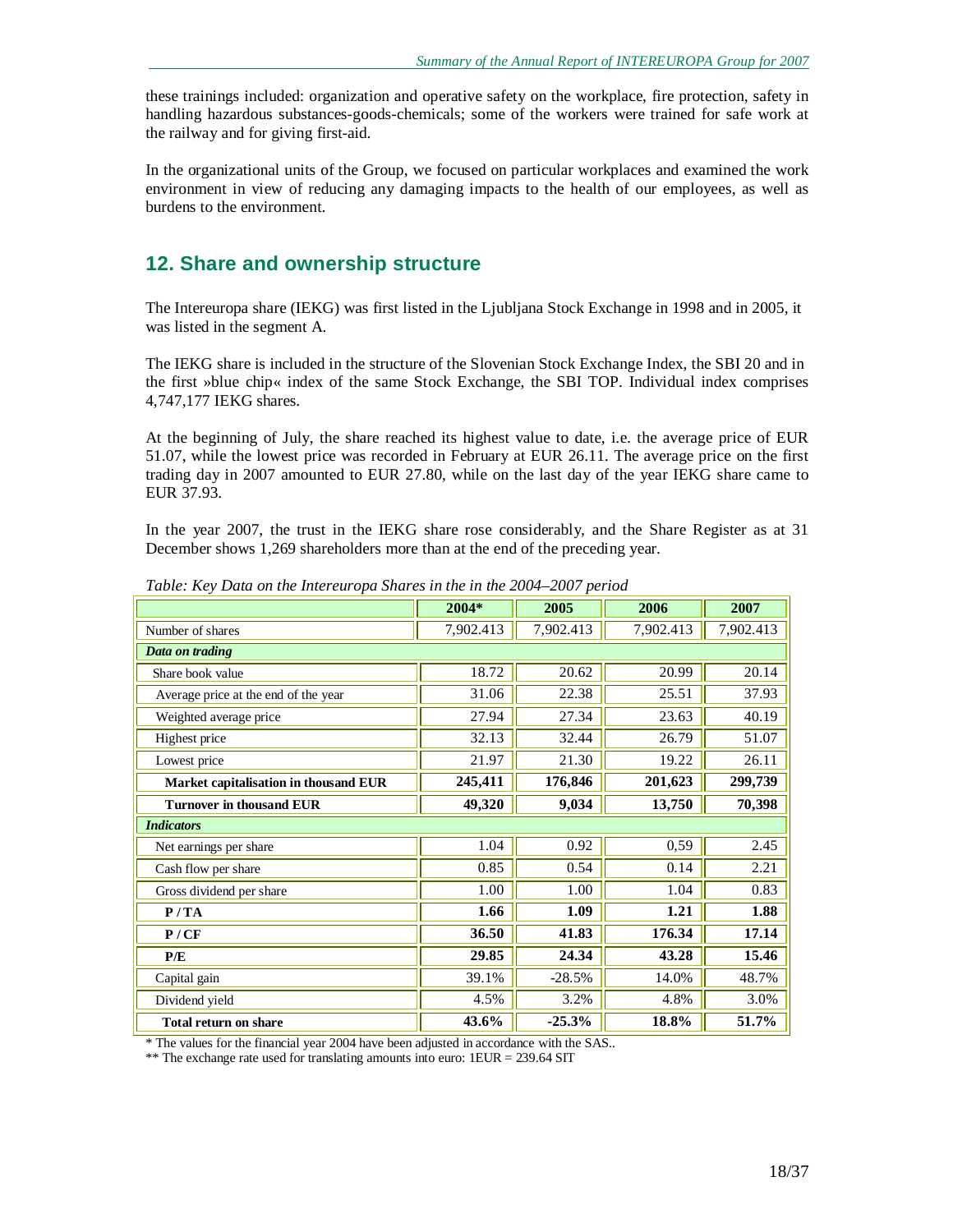these trainings included: organization and operative safety on the workplace, fire protection, safety in handling hazardous substances-goods-chemicals; some of the workers were trained for safe work at the railway and for giving first-aid.

In the organizational units of the Group, we focused on particular workplaces and examined the work environment in view of reducing any damaging impacts to the health of our employees, as well as burdens to the environment.

# **12. Share and ownership structure**

The Intereuropa share (IEKG) was first listed in the Ljubljana Stock Exchange in 1998 and in 2005, it was listed in the segment A.

The IEKG share is included in the structure of the Slovenian Stock Exchange Index, the SBI 20 and in the first »blue chip« index of the same Stock Exchange, the SBI TOP. Individual index comprises 4,747,177 IEKG shares.

At the beginning of July, the share reached its highest value to date, i.e. the average price of EUR 51.07, while the lowest price was recorded in February at EUR 26.11. The average price on the first trading day in 2007 amounted to EUR 27.80, while on the last day of the year IEKG share came to EUR 37.93.

In the year 2007, the trust in the IEKG share rose considerably, and the Share Register as at 31 December shows 1,269 shareholders more than at the end of the preceding year.

|                                       | 2004*     | 2005      | 2006      | 2007      |
|---------------------------------------|-----------|-----------|-----------|-----------|
| Number of shares                      | 7,902.413 | 7,902.413 | 7,902.413 | 7,902.413 |
| Data on trading                       |           |           |           |           |
| Share book value                      | 18.72     | 20.62     | 20.99     | 20.14     |
| Average price at the end of the year  | 31.06     | 22.38     | 25.51     | 37.93     |
| Weighted average price                | 27.94     | 27.34     | 23.63     | 40.19     |
| Highest price                         | 32.13     | 32.44     | 26.79     | 51.07     |
| Lowest price                          | 21.97     | 21.30     | 19.22     | 26.11     |
| Market capitalisation in thousand EUR | 245,411   | 176,846   | 201,623   | 299,739   |
| <b>Turnover in thousand EUR</b>       | 49,320    | 9,034     | 13,750    | 70,398    |
| <b>Indicators</b>                     |           |           |           |           |
| Net earnings per share                | 1.04      | 0.92      | 0,59      | 2.45      |
| Cash flow per share                   | 0.85      | 0.54      | 0.14      | 2.21      |
| Gross dividend per share              | 1.00      | 1.00      | 1.04      | 0.83      |
| P/TA                                  | 1.66      | 1.09      | 1.21      | 1.88      |
| P/CF                                  | 36.50     | 41.83     | 176.34    | 17.14     |
| P/E                                   | 29.85     | 24.34     | 43.28     | 15.46     |
| Capital gain                          | 39.1%     | $-28.5%$  | 14.0%     | 48.7%     |
| Dividend yield                        | 4.5%      | 3.2%      | 4.8%      | 3.0%      |
| <b>Total return on share</b>          | 43.6%     | $-25.3%$  | 18.8%     | 51.7%     |

*Table: Key Data on the Intereuropa Shares in the in the 2004–2007 period* 

\* The values for the financial year 2004 have been adjusted in accordance with the SAS..

\*\* The exchange rate used for translating amounts into euro: 1EUR = 239.64 SIT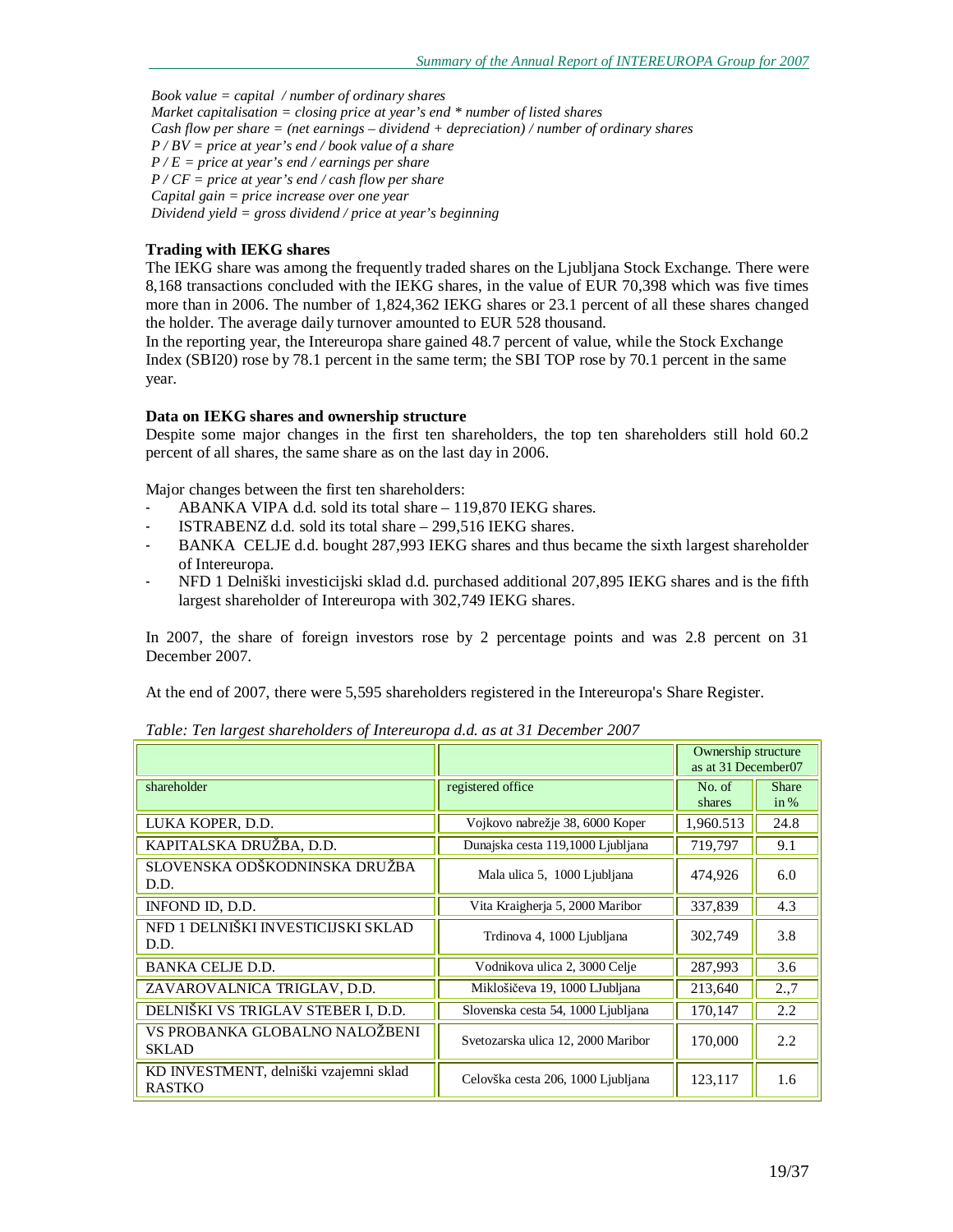*Book value = capital / number of ordinary shares Market capitalisation = closing price at year's end \* number of listed shares Cash flow per share = (net earnings – dividend + depreciation) / number of ordinary shares P / BV = price at year's end / book value of a share P / E = price at year's end / earnings per share P / CF = price at year's end / cash flow per share Capital gain = price increase over one year Dividend yield = gross dividend / price at year's beginning* 

#### **Trading with IEKG shares**

The IEKG share was among the frequently traded shares on the Ljubljana Stock Exchange. There were 8,168 transactions concluded with the IEKG shares, in the value of EUR 70,398 which was five times more than in 2006. The number of 1,824,362 IEKG shares or 23.1 percent of all these shares changed the holder. The average daily turnover amounted to EUR 528 thousand.

In the reporting year, the Intereuropa share gained 48.7 percent of value, while the Stock Exchange Index (SBI20) rose by 78.1 percent in the same term; the SBI TOP rose by 70.1 percent in the same year.

#### **Data on IEKG shares and ownership structure**

Despite some major changes in the first ten shareholders, the top ten shareholders still hold 60.2 percent of all shares, the same share as on the last day in 2006.

Major changes between the first ten shareholders:

- ABANKA VIPA d.d. sold its total share 119,870 IEKG shares.
- ISTRABENZ d.d. sold its total share 299,516 IEKG shares.
- BANKA CELJE d.d. bought 287,993 IEKG shares and thus became the sixth largest shareholder of Intereuropa.
- NFD 1 Delniški investicijski sklad d.d. purchased additional 207,895 IEKG shares and is the fifth largest shareholder of Intereuropa with 302,749 IEKG shares.

In 2007, the share of foreign investors rose by 2 percentage points and was 2.8 percent on 31 December 2007.

At the end of 2007, there were 5,595 shareholders registered in the Intereuropa's Share Register.

|                                                         |                                    |                  | Ownership structure<br>as at 31 December07 |  |
|---------------------------------------------------------|------------------------------------|------------------|--------------------------------------------|--|
| shareholder                                             | registered office                  | No. of<br>shares | <b>Share</b><br>in %                       |  |
| LUKA KOPER, D.D.                                        | Vojkovo nabrežje 38, 6000 Koper    | 1,960.513        | 24.8                                       |  |
| KAPITALSKA DRUŽBA, D.D.                                 | Dunajska cesta 119,1000 Ljubljana  | 719,797          | 9.1                                        |  |
| SLOVENSKA ODŠKODNINSKA DRUŽBA<br>D.D.                   | Mala ulica 5, 1000 Ljubljana       | 474,926          | 6.0                                        |  |
| INFOND ID, D.D.                                         | Vita Kraigherja 5, 2000 Maribor    | 337,839          | 4.3                                        |  |
| NFD 1 DELNIŠKI INVESTICIJSKI SKLAD<br>D.D.              | Trdinova 4, 1000 Ljubljana         | 302,749          | 3.8                                        |  |
| <b>BANKA CELJE D.D.</b>                                 | Vodnikova ulica 2, 3000 Celje      | 287,993          | 3.6                                        |  |
| ZAVAROVALNICA TRIGLAV, D.D.                             | Miklošičeva 19, 1000 LJubljana     | 213,640          | 2.,7                                       |  |
| DELNIŠKI VS TRIGLAV STEBER I, D.D.                      | Slovenska cesta 54, 1000 Ljubljana | 170,147          | 2.2                                        |  |
| VS PROBANKA GLOBALNO NALOŽBENI<br><b>SKLAD</b>          | Svetozarska ulica 12, 2000 Maribor | 170,000          | 2.2                                        |  |
| KD INVESTMENT, delniški vzajemni sklad<br><b>RASTKO</b> | Celovška cesta 206, 1000 Ljubljana | 123,117          | 1.6                                        |  |

*Table: Ten largest shareholders of Intereuropa d.d. as at 31 December 2007*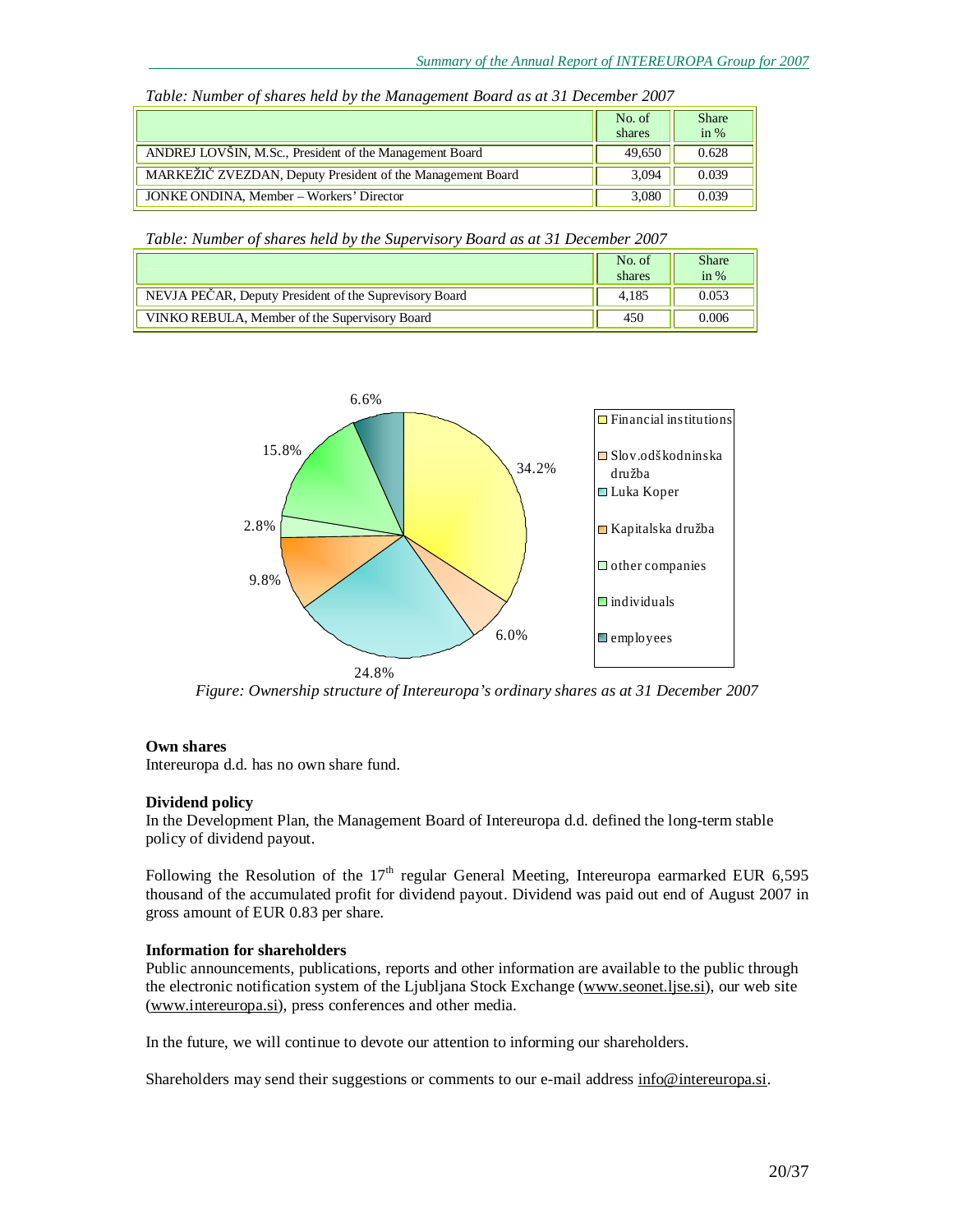|                                                            | No. of<br>shares | <b>Share</b><br>in $%$ |
|------------------------------------------------------------|------------------|------------------------|
| ANDREJ LOVŠIN, M.Sc., President of the Management Board    | 49,650           | 0.628                  |
| MARKEŽIČ ZVEZDAN, Deputy President of the Management Board | 3,094            | 0.039                  |
| JONKE ONDINA, Member – Workers' Director                   | 3,080            | 0.039                  |

*Table: Number of shares held by the Management Board as at 31 December 2007* 

*Table: Number of shares held by the Supervisory Board as at 31 December 2007* 

|                                                        | No. of<br>shares | <b>Share</b><br>in $%$ |
|--------------------------------------------------------|------------------|------------------------|
| NEVJA PEČAR, Deputy President of the Suprevisory Board | 4.185            | 0.053                  |
| VINKO REBULA, Member of the Supervisory Board          | 450              | 0.006                  |



*Figure: Ownership structure of Intereuropa's ordinary shares as at 31 December 2007* 

#### **Own shares**

Intereuropa d.d. has no own share fund.

#### **Dividend policy**

In the Development Plan, the Management Board of Intereuropa d.d. defined the long-term stable policy of dividend payout.

Following the Resolution of the  $17<sup>th</sup>$  regular General Meeting, Intereuropa earmarked EUR 6,595 thousand of the accumulated profit for dividend payout. Dividend was paid out end of August 2007 in gross amount of EUR 0.83 per share.

## **Information for shareholders**

Public announcements, publications, reports and other information are available to the public through the electronic notification system of the Ljubljana Stock Exchange [\(www.seonet.ljse.si](http://www.seonet.ljse.si)), our web site [\(www.intereuropa.si\)](http://www.intereuropa.si), press conferences and other media.

In the future, we will continue to devote our attention to informing our shareholders.

Shareholders may send their suggestions or comments to our e-mail address [info@intereuropa.si.](mailto:info@intereuropa.si)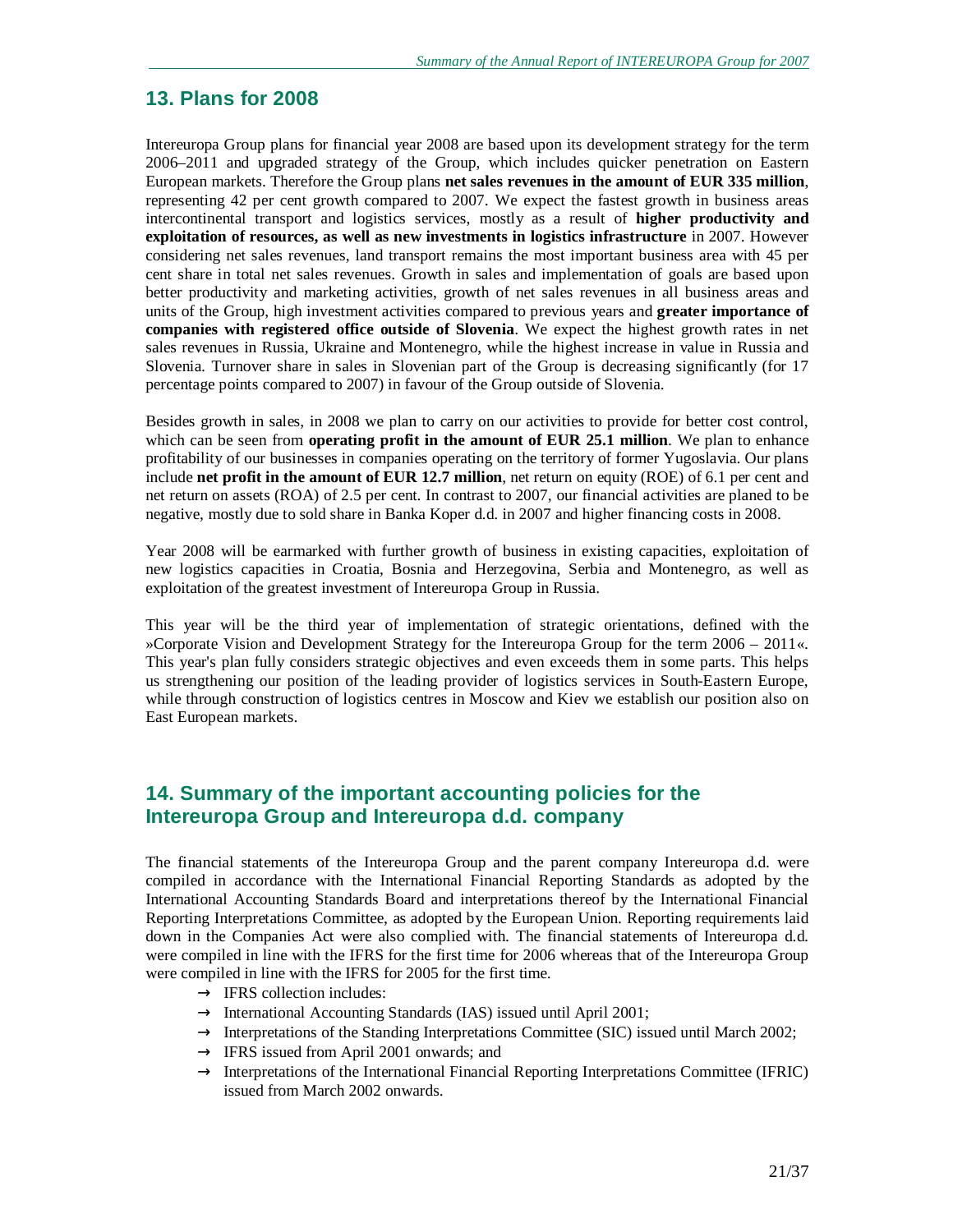# **13. Plans for 2008**

Intereuropa Group plans for financial year 2008 are based upon its development strategy for the term 2006–2011 and upgraded strategy of the Group, which includes quicker penetration on Eastern European markets. Therefore the Group plans **net sales revenues in the amount of EUR 335 million**, representing 42 per cent growth compared to 2007. We expect the fastest growth in business areas intercontinental transport and logistics services, mostly as a result of **higher productivity and exploitation of resources, as well as new investments in logistics infrastructure** in 2007. However considering net sales revenues, land transport remains the most important business area with 45 per cent share in total net sales revenues. Growth in sales and implementation of goals are based upon better productivity and marketing activities, growth of net sales revenues in all business areas and units of the Group, high investment activities compared to previous years and **greater importance of companies with registered office outside of Slovenia**. We expect the highest growth rates in net sales revenues in Russia, Ukraine and Montenegro, while the highest increase in value in Russia and Slovenia. Turnover share in sales in Slovenian part of the Group is decreasing significantly (for 17 percentage points compared to 2007) in favour of the Group outside of Slovenia.

Besides growth in sales, in 2008 we plan to carry on our activities to provide for better cost control, which can be seen from **operating profit in the amount of EUR 25.1 million**. We plan to enhance profitability of our businesses in companies operating on the territory of former Yugoslavia. Our plans include **net profit in the amount of EUR 12.7 million**, net return on equity (ROE) of 6.1 per cent and net return on assets (ROA) of 2.5 per cent. In contrast to 2007, our financial activities are planed to be negative, mostly due to sold share in Banka Koper d.d. in 2007 and higher financing costs in 2008.

Year 2008 will be earmarked with further growth of business in existing capacities, exploitation of new logistics capacities in Croatia, Bosnia and Herzegovina, Serbia and Montenegro, as well as exploitation of the greatest investment of Intereuropa Group in Russia.

This year will be the third year of implementation of strategic orientations, defined with the »Corporate Vision and Development Strategy for the Intereuropa Group for the term 2006 – 2011«. This year's plan fully considers strategic objectives and even exceeds them in some parts. This helps us strengthening our position of the leading provider of logistics services in South-Eastern Europe, while through construction of logistics centres in Moscow and Kiev we establish our position also on East European markets.

# **14. Summary of the important accounting policies for the Intereuropa Group and Intereuropa d.d. company**

The financial statements of the Intereuropa Group and the parent company Intereuropa d.d. were compiled in accordance with the International Financial Reporting Standards as adopted by the International Accounting Standards Board and interpretations thereof by the International Financial Reporting Interpretations Committee, as adopted by the European Union. Reporting requirements laid down in the Companies Act were also complied with. The financial statements of Intereuropa d.d. were compiled in line with the IFRS for the first time for 2006 whereas that of the Intereuropa Group were compiled in line with the IFRS for 2005 for the first time.

- $\rightarrow$  IFRS collection includes:
- $\rightarrow$  International Accounting Standards (IAS) issued until April 2001;
- $\rightarrow$  Interpretations of the Standing Interpretations Committee (SIC) issued until March 2002;
- $\rightarrow$  IFRS issued from April 2001 onwards; and
- $\rightarrow$  Interpretations of the International Financial Reporting Interpretations Committee (IFRIC) issued from March 2002 onwards.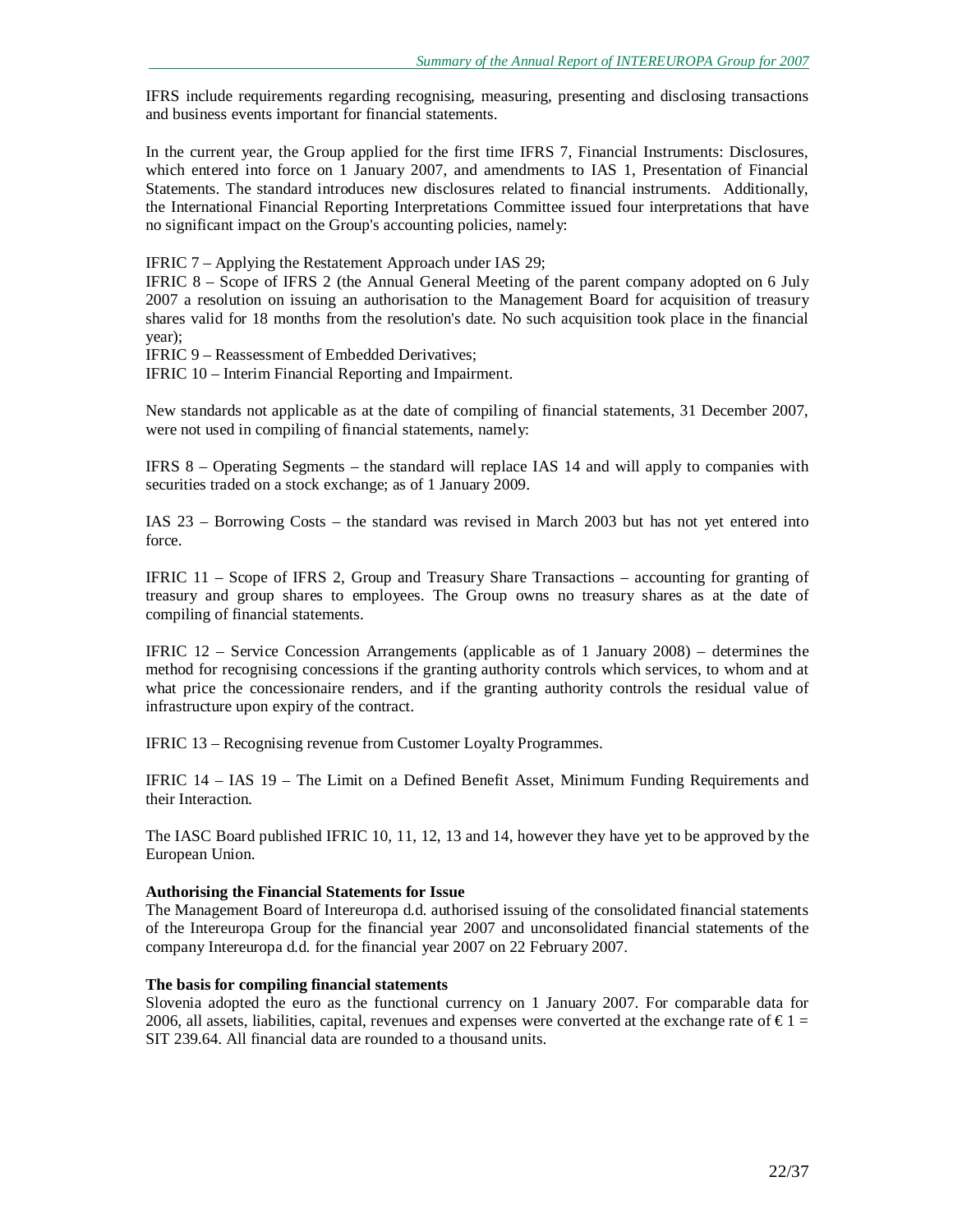IFRS include requirements regarding recognising, measuring, presenting and disclosing transactions and business events important for financial statements.

In the current year, the Group applied for the first time IFRS 7, Financial Instruments: Disclosures, which entered into force on 1 January 2007, and amendments to IAS 1, Presentation of Financial Statements. The standard introduces new disclosures related to financial instruments. Additionally, the International Financial Reporting Interpretations Committee issued four interpretations that have no significant impact on the Group's accounting policies, namely:

IFRIC 7 – Applying the Restatement Approach under IAS 29;

IFRIC 8 – Scope of IFRS 2 (the Annual General Meeting of the parent company adopted on 6 July 2007 a resolution on issuing an authorisation to the Management Board for acquisition of treasury shares valid for 18 months from the resolution's date. No such acquisition took place in the financial year);

IFRIC 9 – Reassessment of Embedded Derivatives;

IFRIC 10 – Interim Financial Reporting and Impairment.

New standards not applicable as at the date of compiling of financial statements, 31 December 2007, were not used in compiling of financial statements, namely:

IFRS 8 – Operating Segments – the standard will replace IAS 14 and will apply to companies with securities traded on a stock exchange; as of 1 January 2009.

IAS 23 – Borrowing Costs – the standard was revised in March 2003 but has not yet entered into force.

IFRIC 11 – Scope of IFRS 2, Group and Treasury Share Transactions – accounting for granting of treasury and group shares to employees. The Group owns no treasury shares as at the date of compiling of financial statements.

IFRIC 12 – Service Concession Arrangements (applicable as of 1 January 2008) – determines the method for recognising concessions if the granting authority controls which services, to whom and at what price the concessionaire renders, and if the granting authority controls the residual value of infrastructure upon expiry of the contract.

IFRIC 13 – Recognising revenue from Customer Loyalty Programmes.

IFRIC 14 – IAS 19 – The Limit on a Defined Benefit Asset, Minimum Funding Requirements and their Interaction.

The IASC Board published IFRIC 10, 11, 12, 13 and 14, however they have yet to be approved by the European Union.

#### **Authorising the Financial Statements for Issue**

The Management Board of Intereuropa d.d. authorised issuing of the consolidated financial statements of the Intereuropa Group for the financial year 2007 and unconsolidated financial statements of the company Intereuropa d.d. for the financial year 2007 on 22 February 2007.

#### **The basis for compiling financial statements**

Slovenia adopted the euro as the functional currency on 1 January 2007. For comparable data for 2006, all assets, liabilities, capital, revenues and expenses were converted at the exchange rate of  $\epsilon$ 1 = SIT 239.64. All financial data are rounded to a thousand units.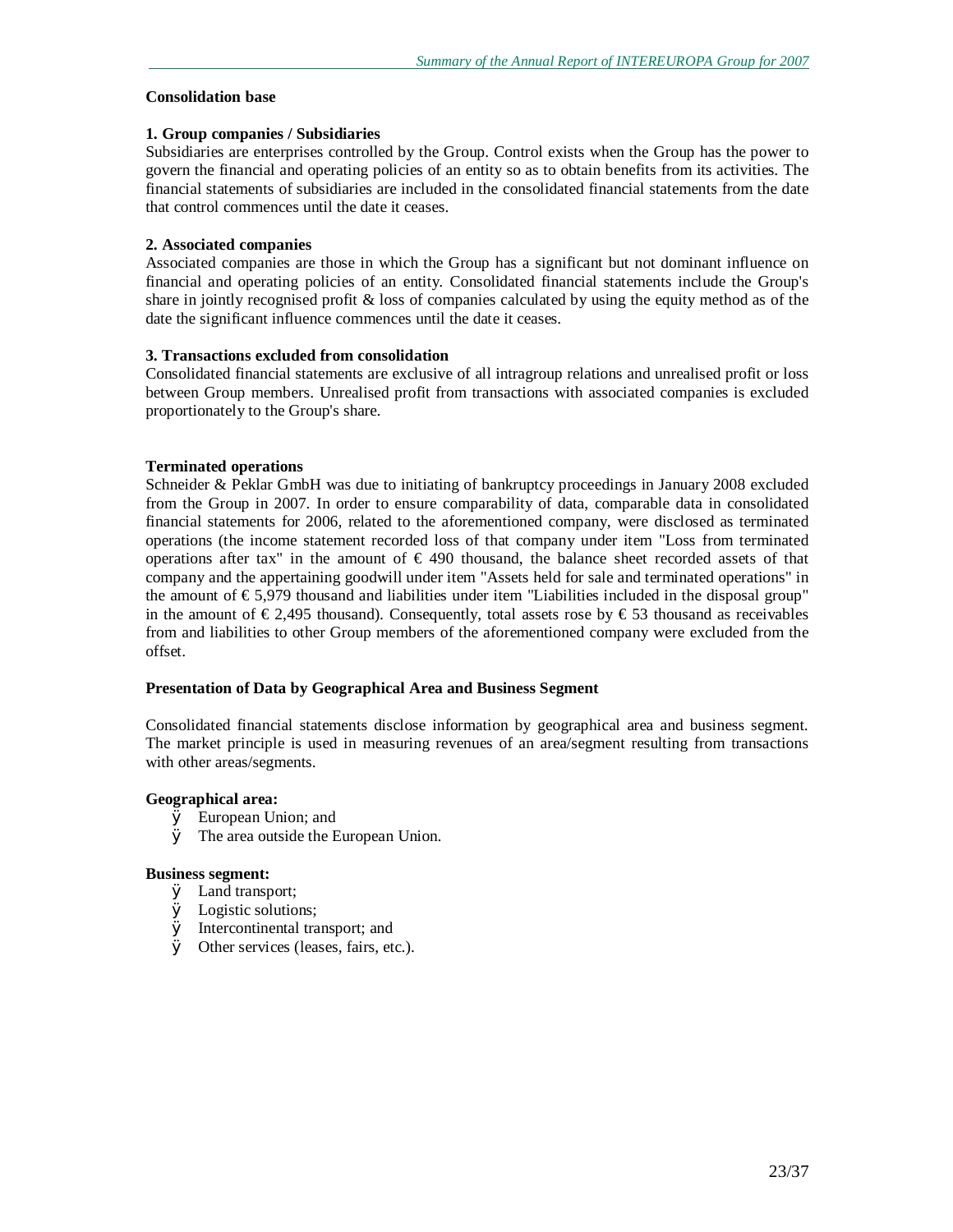#### **Consolidation base**

#### **1. Group companies / Subsidiaries**

Subsidiaries are enterprises controlled by the Group. Control exists when the Group has the power to govern the financial and operating policies of an entity so as to obtain benefits from its activities. The financial statements of subsidiaries are included in the consolidated financial statements from the date that control commences until the date it ceases.

#### **2. Associated companies**

Associated companies are those in which the Group has a significant but not dominant influence on financial and operating policies of an entity. Consolidated financial statements include the Group's share in jointly recognised profit  $\&$  loss of companies calculated by using the equity method as of the date the significant influence commences until the date it ceases.

#### **3. Transactions excluded from consolidation**

Consolidated financial statements are exclusive of all intragroup relations and unrealised profit or loss between Group members. Unrealised profit from transactions with associated companies is excluded proportionately to the Group's share.

#### **Terminated operations**

Schneider & Peklar GmbH was due to initiating of bankruptcy proceedings in January 2008 excluded from the Group in 2007. In order to ensure comparability of data, comparable data in consolidated financial statements for 2006, related to the aforementioned company, were disclosed as terminated operations (the income statement recorded loss of that company under item "Loss from terminated operations after tax" in the amount of € 490 thousand, the balance sheet recorded assets of that company and the appertaining goodwill under item "Assets held for sale and terminated operations" in the amount of € 5,979 thousand and liabilities under item "Liabilities included in the disposal group" in the amount of  $\epsilon$ 2,495 thousand). Consequently, total assets rose by  $\epsilon$ 53 thousand as receivables from and liabilities to other Group members of the aforementioned company were excluded from the offset.

#### **Presentation of Data by Geographical Area and Business Segment**

Consolidated financial statements disclose information by geographical area and business segment. The market principle is used in measuring revenues of an area/segment resulting from transactions with other areas/segments.

#### **Geographical area:**

- Ø European Union; and
- Ø The area outside the European Union.

#### **Business segment:**

- Ø Land transport;
- Ø Logistic solutions;
- Ø Intercontinental transport; and
- Ø Other services (leases, fairs, etc.).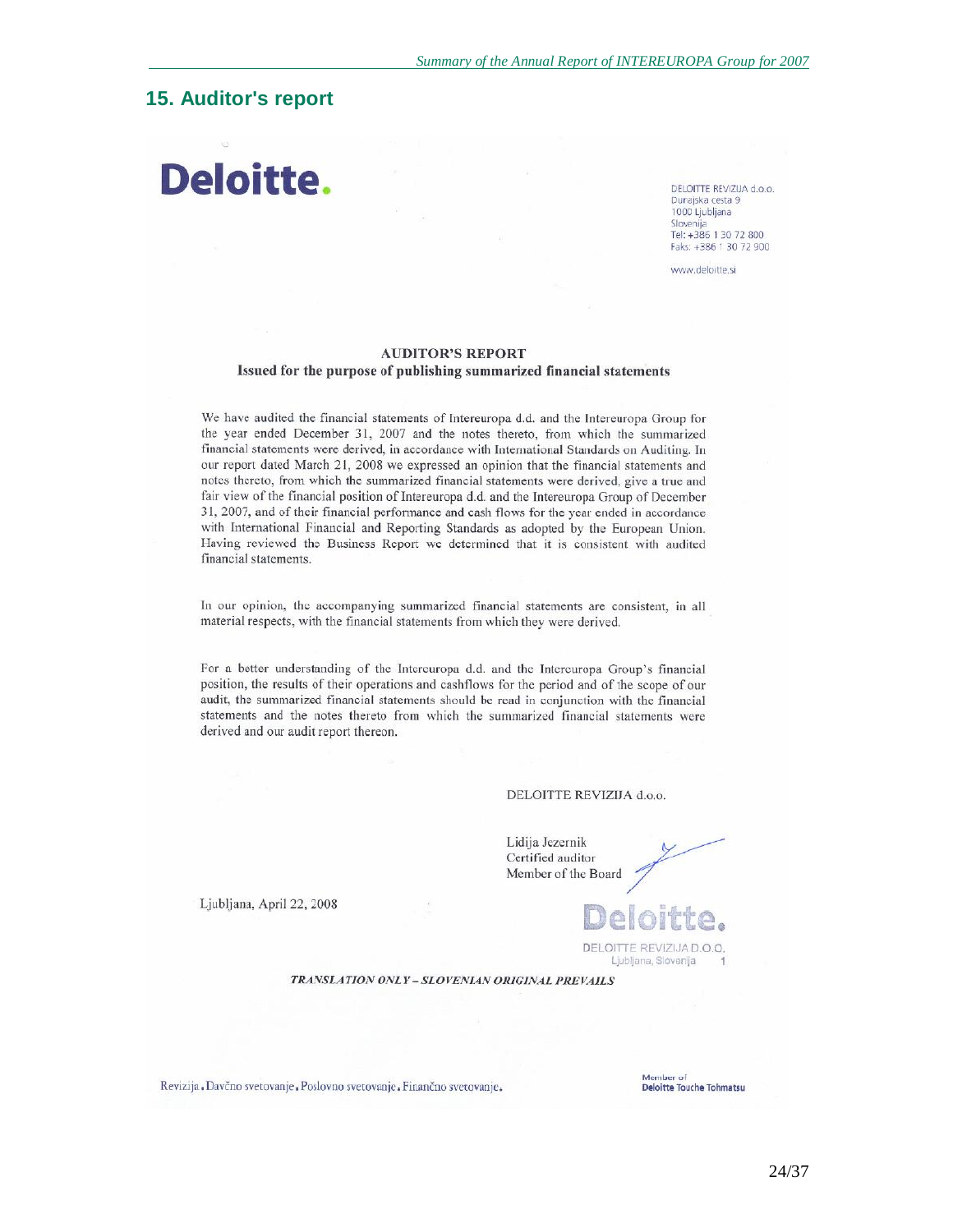# **15. Auditor's report**

# Deloitte.

DELOITTE REVIZUA d.o.o. Dunajska cesta 9 1000 Ljubljana Slovenija Tel: +386 1 30 72 800 Faks: +386 1 30 72 900

www.deloitte.si

#### **AUDITOR'S REPORT** Issued for the purpose of publishing summarized financial statements

We have audited the financial statements of Intereuropa d.d. and the Intereuropa Group for the year ended December 31, 2007 and the notes thereto, from which the summarized financial statements were derived, in accordance with International Standards on Auditing. In our report dated March 21, 2008 we expressed an opinion that the financial statements and notes thereto, from which the summarized financial statements were derived, give a true and fair view of the financial position of Intereuropa d.d. and the Intereuropa Group of December 31, 2007, and of their financial performance and cash flows for the year ended in accordance with International Financial and Reporting Standards as adopted by the European Union. Having reviewed the Business Report we determined that it is consistent with audited financial statements.

In our opinion, the accompanying summarized financial statements are consistent, in all material respects, with the financial statements from which they were derived.

For a better understanding of the Intereuropa d.d. and the Intereuropa Group's financial position, the results of their operations and cashflows for the period and of the scope of our audit, the summarized financial statements should be read in conjunction with the financial statements and the notes thereto from which the summarized financial statements were derived and our audit report thereon.

#### DELOITTE REVIZIJA d.o.o.

Lidija Jezernik Certified auditor Member of the Board

Ljubljana, April 22, 2008



Revizija, Davčno svetovanje, Poslovno svetovanje, Finančno svetovanje,

Member of **Deloitte Touche Tohmatsu** 

DEI OITTE REVIZUAD O.O. Ljubljana, Slovenija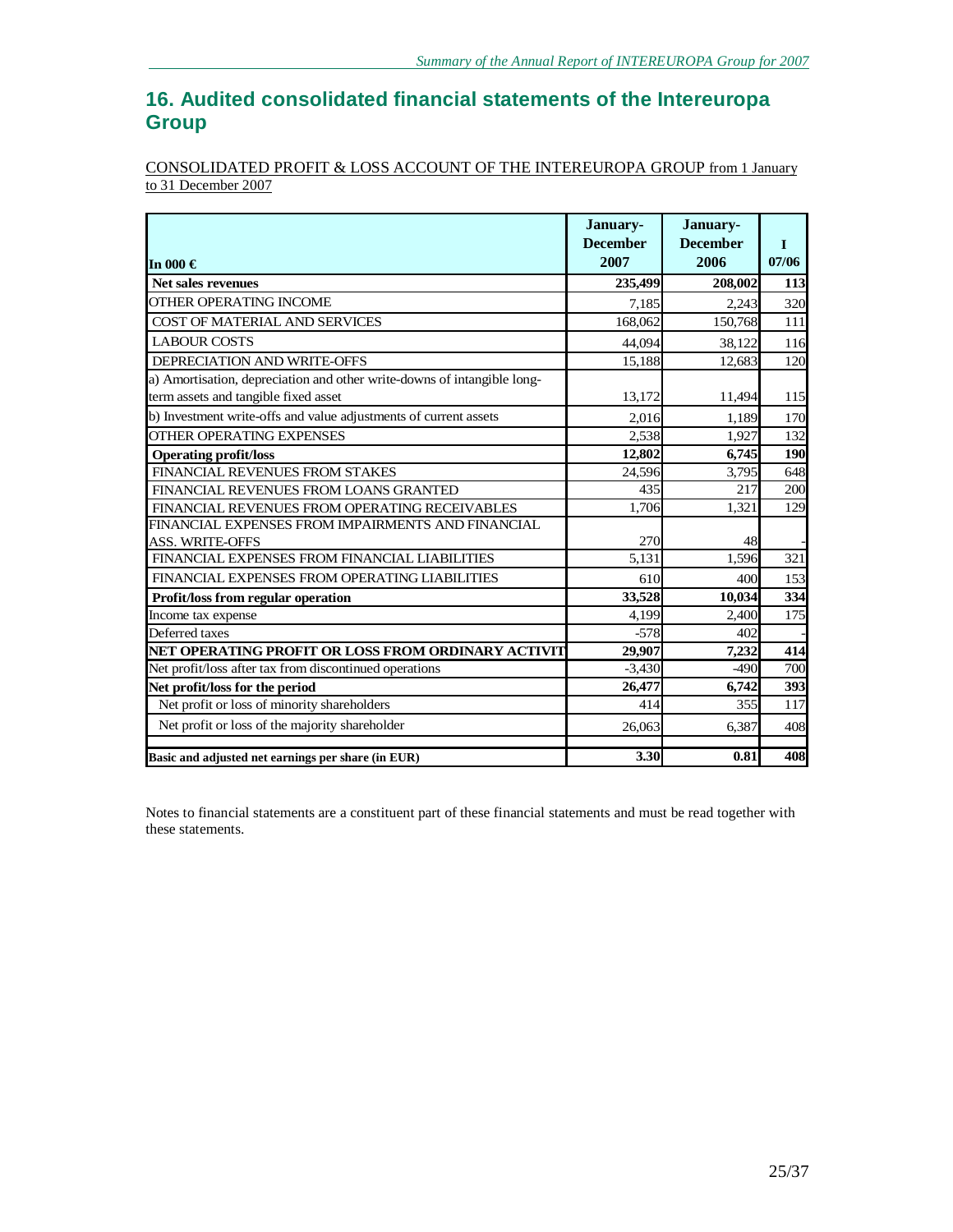# **16. Audited consolidated financial statements of the Intereuropa Group**

## CONSOLIDATED PROFIT & LOSS ACCOUNT OF THE INTEREUROPA GROUP from 1 January to 31 December 2007

| In 000 €                                                                | January-<br><b>December</b><br>2007 | January-<br><b>December</b><br>2006 | $\mathbf I$<br>07/06 |
|-------------------------------------------------------------------------|-------------------------------------|-------------------------------------|----------------------|
| <b>Net sales revenues</b>                                               | 235,499                             | 208,002                             | 113                  |
| OTHER OPERATING INCOME                                                  | 7.185                               | 2.243                               | 320                  |
| COST OF MATERIAL AND SERVICES                                           | 168,062                             | 150,768                             | 111                  |
| <b>LABOUR COSTS</b>                                                     | 44,094                              | 38,122                              | 116                  |
| DEPRECIATION AND WRITE-OFFS                                             | 15,188                              | 12,683                              | 120                  |
| a) Amortisation, depreciation and other write-downs of intangible long- |                                     |                                     |                      |
| term assets and tangible fixed asset                                    | 13,172                              | 11,494                              | 115                  |
| b) Investment write-offs and value adjustments of current assets        | 2,016                               | 1,189                               | 170                  |
| <b>OTHER OPERATING EXPENSES</b>                                         | 2,538                               | 1,927                               | 132                  |
| <b>Operating profit/loss</b>                                            | 12,802                              | 6,745                               | 190                  |
| FINANCIAL REVENUES FROM STAKES                                          | 24,596                              | 3,795                               | 648                  |
| FINANCIAL REVENUES FROM LOANS GRANTED                                   | 435                                 | 217                                 | 200                  |
| FINANCIAL REVENUES FROM OPERATING RECEIVABLES                           | 1.706                               | 1.321                               | 129                  |
| FINANCIAL EXPENSES FROM IMPAIRMENTS AND FINANCIAL                       |                                     |                                     |                      |
| <b>ASS. WRITE-OFFS</b>                                                  | 270                                 | 48                                  |                      |
| FINANCIAL EXPENSES FROM FINANCIAL LIABILITIES                           | 5.131                               | 1,596                               | 321                  |
| FINANCIAL EXPENSES FROM OPERATING LIABILITIES                           | 610                                 | 400                                 | 153                  |
| Profit/loss from regular operation                                      | 33,528                              | 10,034                              | 334                  |
| Income tax expense                                                      | 4,199                               | 2,400                               | 175                  |
| Deferred taxes                                                          | $-578$                              | 402                                 |                      |
| NET OPERATING PROFIT OR LOSS FROM ORDINARY ACTIVIT                      | 29,907                              | 7,232                               | 414                  |
| Net profit/loss after tax from discontinued operations                  | $-3,430$                            | $-490$                              | 700                  |
| Net profit/loss for the period                                          | 26,477                              | 6,742                               | 393                  |
| Net profit or loss of minority shareholders                             | 414                                 | 355                                 | 117                  |
| Net profit or loss of the majority shareholder                          | 26,063                              | 6,387                               | 408                  |
| Basic and adjusted net earnings per share (in EUR)                      | 3.30                                | 0.81                                | 408                  |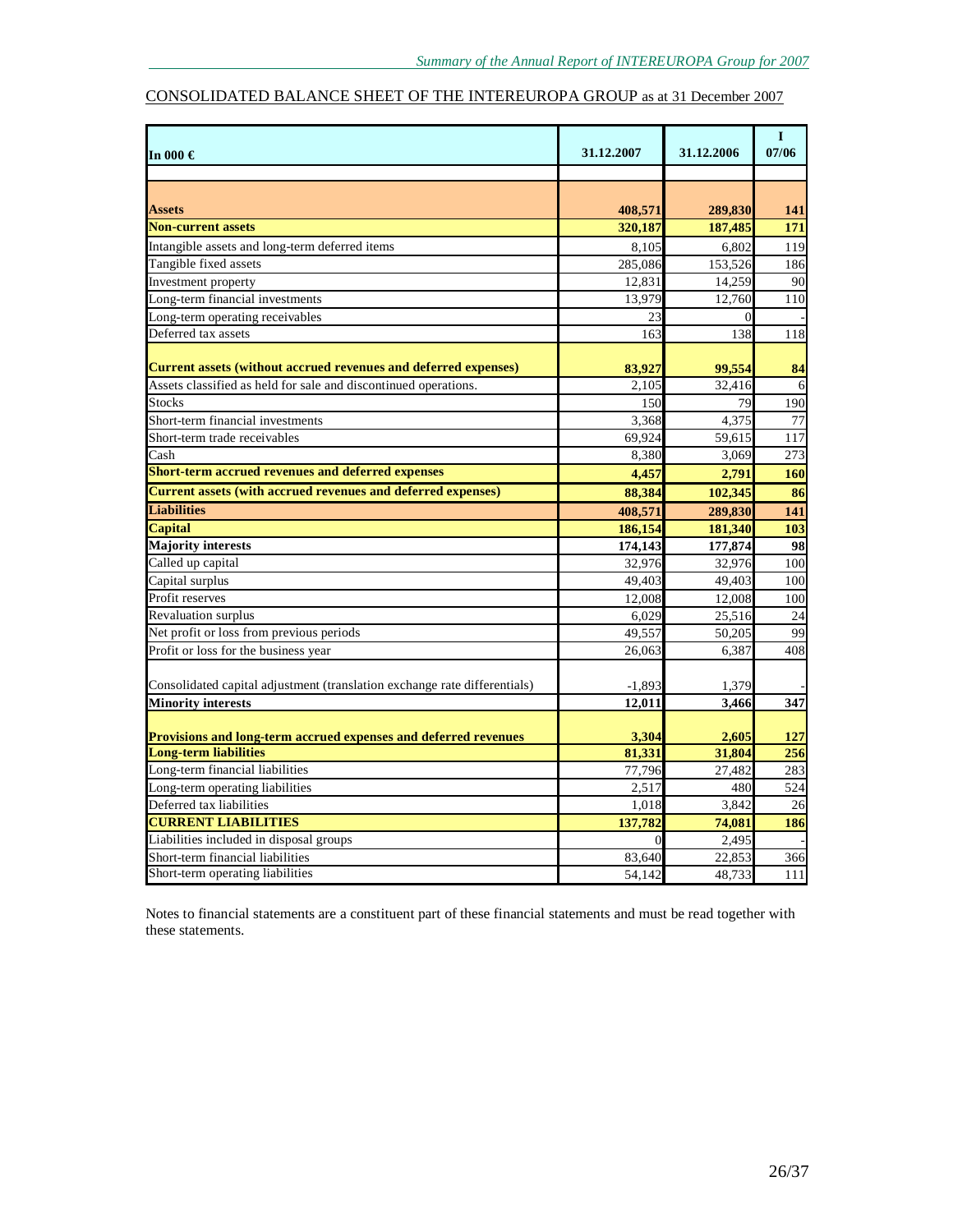## CONSOLIDATED BALANCE SHEET OF THE INTEREUROPA GROUP as at 31 December 2007

| In 000 $\in$                                                              | 31.12.2007           | 31.12.2006 | $\mathbf I$<br>07/06 |
|---------------------------------------------------------------------------|----------------------|------------|----------------------|
|                                                                           |                      |            |                      |
|                                                                           |                      |            |                      |
| <b>Assets</b>                                                             | 408,571              | 289,830    | 141                  |
| <b>Non-current assets</b>                                                 | 320,187              | 187,485    | 171                  |
| Intangible assets and long-term deferred items                            | 8,105                | 6,802      | 119                  |
| Tangible fixed assets                                                     | 285,086              | 153,526    | 186                  |
| Investment property                                                       | 12,831               | 14,259     | 90                   |
| Long-term financial investments                                           | 13,979               | 12,760     | 110                  |
| Long-term operating receivables                                           | 23                   |            |                      |
| Deferred tax assets                                                       | 163                  | 138        | 118                  |
|                                                                           |                      |            |                      |
| <b>Current assets (without accrued revenues and deferred expenses)</b>    | 83,927               | 99,554     | 84                   |
| Assets classified as held for sale and discontinued operations.           | 2,105                | 32,416     | 6                    |
| <b>Stocks</b>                                                             | 150                  | 79         | 190                  |
| Short-term financial investments                                          | 3,368                | 4,375      | 77                   |
| Short-term trade receivables                                              | 69,924               | 59,615     | 117                  |
| Cash                                                                      | 8,380                | 3,069      | 273                  |
| <b>Short-term accrued revenues and deferred expenses</b>                  | 4,457                | 2.791      | 160                  |
| <b>Current assets (with accrued revenues and deferred expenses)</b>       | 88,384               | 102,345    | 86                   |
| <b>Liabilities</b>                                                        | 408,571              | 289,830    | 141                  |
| <b>Capital</b>                                                            | 186,154              | 181,340    | 103                  |
| <b>Majority interests</b>                                                 | $\overline{174,143}$ | 177,874    | 98                   |
| Called up capital                                                         | 32,976               | 32,976     | 100                  |
| Capital surplus                                                           | 49,403               | 49,403     | 100                  |
| Profit reserves                                                           | 12,008               | 12,008     | 100                  |
| Revaluation surplus                                                       | 6.029                | 25,516     | 24                   |
| Net profit or loss from previous periods                                  | 49,557               | 50,205     | 99                   |
| Profit or loss for the business year                                      | 26,063               | 6,387      | 408                  |
|                                                                           |                      |            |                      |
| Consolidated capital adjustment (translation exchange rate differentials) | $-1,893$             | 1,379      |                      |
| <b>Minority interests</b>                                                 | 12,011               | 3,466      | 347                  |
|                                                                           |                      |            |                      |
| Provisions and long-term accrued expenses and deferred revenues           | 3,304                | 2,605      | 127                  |
| <b>Long-term liabilities</b>                                              | 81,331               | 31,804     | 256                  |
| Long-term financial liabilities                                           | 77,796               | 27,482     | 283                  |
| Long-term operating liabilities                                           | 2,517                | 480        | 524                  |
| Deferred tax liabilities                                                  | 1,018                | 3,842      | 26                   |
| <b>CURRENT LIABILITIES</b>                                                | 137,782              | 74,081     | 186                  |
| Liabilities included in disposal groups                                   | $\Omega$             | 2,495      |                      |
| Short-term financial liabilities                                          | 83,640               | 22,853     | 366                  |
| Short-term operating liabilities                                          | 54,142               | 48,733     | 111                  |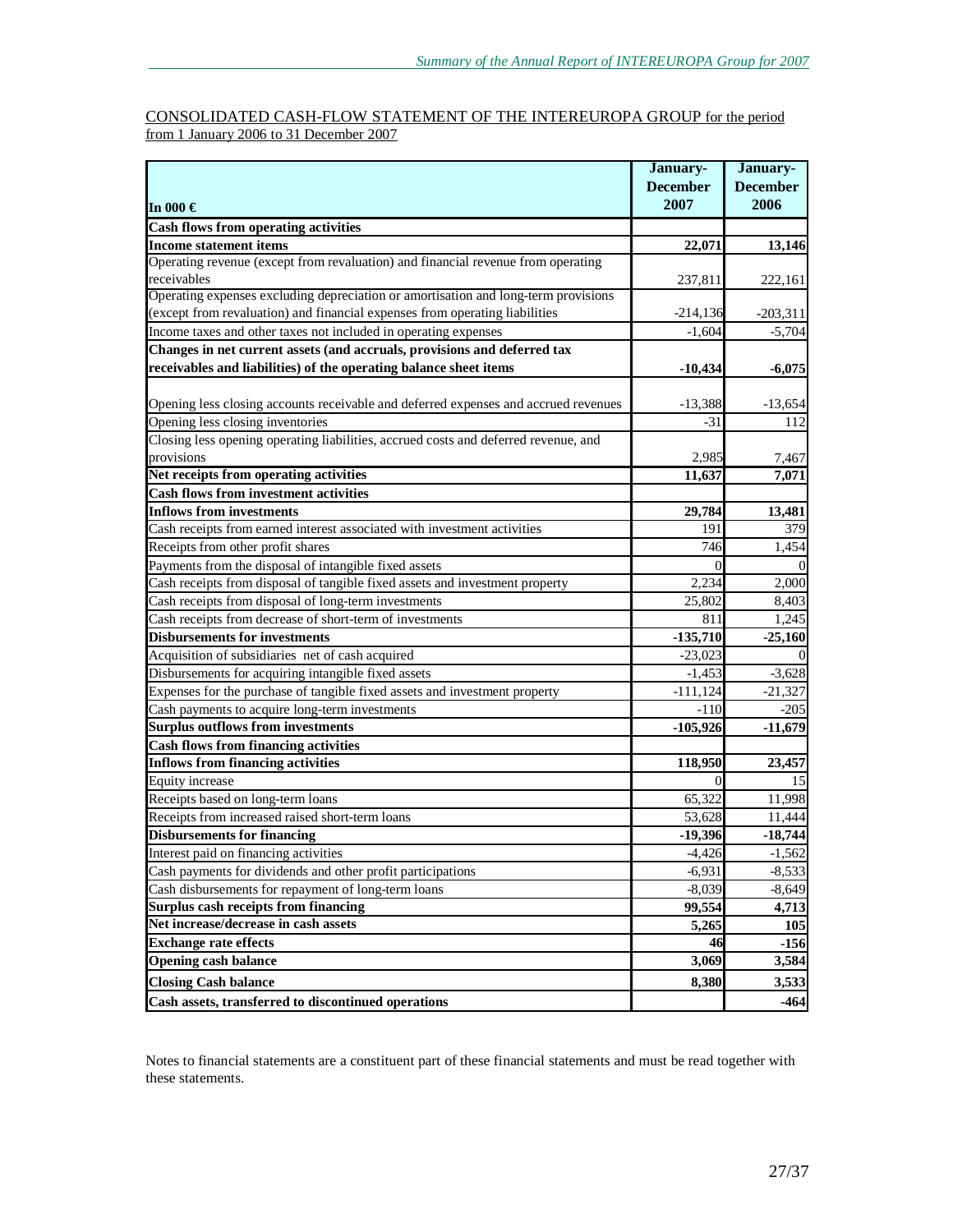#### CONSOLIDATED CASH-FLOW STATEMENT OF THE INTEREUROPA GROUP for the period from 1 January 2006 to 31 December 2007

|                                                                                                                                       | January-          | January-        |
|---------------------------------------------------------------------------------------------------------------------------------------|-------------------|-----------------|
|                                                                                                                                       | <b>December</b>   | <b>December</b> |
| In 000 $\in$                                                                                                                          | 2007              | 2006            |
| <b>Cash flows from operating activities</b>                                                                                           |                   |                 |
| <b>Income statement items</b>                                                                                                         | 22,071            | 13,146          |
| Operating revenue (except from revaluation) and financial revenue from operating<br>receivables                                       | 237,811           | 222,161         |
| Operating expenses excluding depreciation or amortisation and long-term provisions                                                    |                   |                 |
| (except from revaluation) and financial expenses from operating liabilities                                                           | $-214,136$        | $-203,311$      |
| Income taxes and other taxes not included in operating expenses                                                                       | $-1,604$          | $-5,704$        |
| Changes in net current assets (and accruals, provisions and deferred tax                                                              |                   |                 |
| receivables and liabilities) of the operating balance sheet items                                                                     | $-10,434$         | $-6,075$        |
| Opening less closing accounts receivable and deferred expenses and accrued revenues                                                   | $-13,388$         | $-13,654$       |
| Opening less closing inventories                                                                                                      | -31               | 112             |
| Closing less opening operating liabilities, accrued costs and deferred revenue, and                                                   |                   |                 |
| provisions                                                                                                                            | 2,985             | 7,467           |
| Net receipts from operating activities                                                                                                | 11,637            | 7,071           |
| <b>Cash flows from investment activities</b>                                                                                          |                   |                 |
| <b>Inflows from investments</b>                                                                                                       | 29,784            | 13,481          |
| Cash receipts from earned interest associated with investment activities                                                              | 191               | 379             |
| Receipts from other profit shares                                                                                                     | 746               | 1,454           |
| Payments from the disposal of intangible fixed assets<br>Cash receipts from disposal of tangible fixed assets and investment property | $\Omega$<br>2,234 |                 |
| Cash receipts from disposal of long-term investments                                                                                  | 25,802            | 2,000<br>8,403  |
| Cash receipts from decrease of short-term of investments                                                                              | 811               | 1,245           |
| <b>Disbursements for investments</b>                                                                                                  | $-135,710$        | $-25,160$       |
| Acquisition of subsidiaries net of cash acquired                                                                                      | $-23,023$         |                 |
| Disbursements for acquiring intangible fixed assets                                                                                   | $-1,453$          | $-3,628$        |
| Expenses for the purchase of tangible fixed assets and investment property                                                            | $-111,124$        | $-21,327$       |
| Cash payments to acquire long-term investments                                                                                        | $-110$            | $-205$          |
| <b>Surplus outflows from investments</b>                                                                                              | $-105,926$        | $-11,679$       |
| <b>Cash flows from financing activities</b>                                                                                           |                   |                 |
| <b>Inflows from financing activities</b>                                                                                              | 118,950           | 23,457          |
| <b>Equity</b> increase                                                                                                                |                   | 15              |
| Receipts based on long-term loans                                                                                                     | 65,322            | 11,998          |
| Receipts from increased raised short-term loans                                                                                       | 53,628            | 11,444          |
| <b>Disbursements for financing</b>                                                                                                    | $-19,396$         | $-18,744$       |
| Interest paid on financing activities                                                                                                 | $-4,426$          | $-1,562$        |
| Cash payments for dividends and other profit participations                                                                           | $-6,931$          | $-8,533$        |
| Cash disbursements for repayment of long-term loans                                                                                   | $-8,039$          | $-8,649$        |
| Surplus cash receipts from financing                                                                                                  | 99,554            | 4,713           |
| Net increase/decrease in cash assets                                                                                                  | 5,265             | <b>105</b>      |
| <b>Exchange rate effects</b>                                                                                                          | 46                | $-156$          |
| <b>Opening cash balance</b>                                                                                                           | 3,069             | 3,584           |
| <b>Closing Cash balance</b>                                                                                                           | 8,380             | 3,533           |
| Cash assets, transferred to discontinued operations                                                                                   |                   | $-464$          |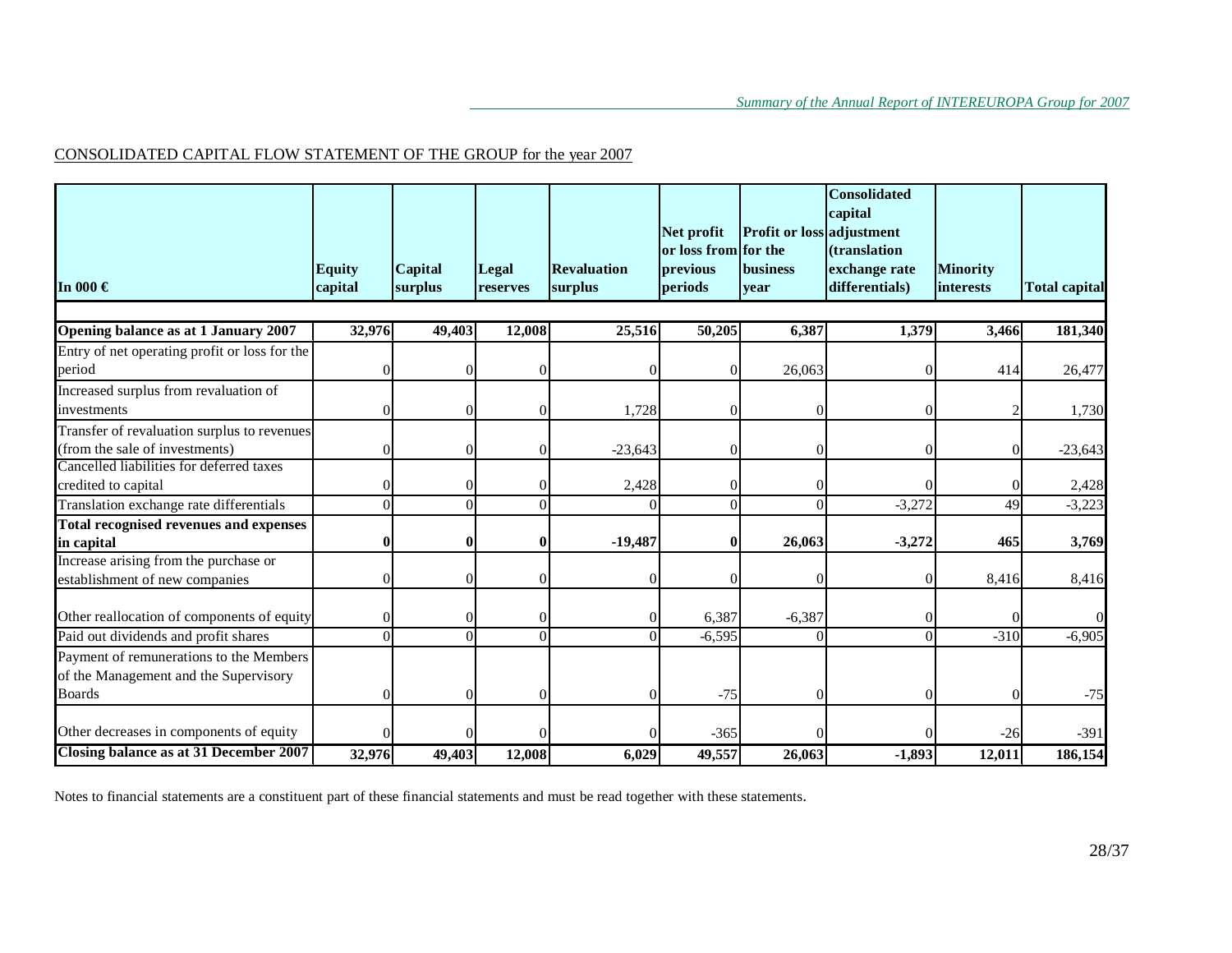## CONSOLIDATED CAPITAL FLOW STATEMENT OF THE GROUP for the year 2007

|                                                                 |               |          |                      |                    | Net profit           | Profit or loss adjustment | <b>Consolidated</b><br>capital |                 |                      |
|-----------------------------------------------------------------|---------------|----------|----------------------|--------------------|----------------------|---------------------------|--------------------------------|-----------------|----------------------|
|                                                                 |               |          |                      |                    | or loss from for the |                           | (translation                   |                 |                      |
|                                                                 | <b>Equity</b> | Capital  | Legal                | <b>Revaluation</b> | previous             | <b>business</b>           | exchange rate                  | <b>Minority</b> |                      |
| In 000 $\in$                                                    | capital       | surplus  | reserves             | surplus            | periods              | year                      | differentials)                 | interests       | <b>Total capital</b> |
|                                                                 |               |          |                      |                    |                      |                           |                                |                 |                      |
| Opening balance as at 1 January 2007                            | 32,976        | 49,403   | 12,008               | 25,516             | 50,205               | 6,387                     | 1,379                          | 3,466           | 181,340              |
| Entry of net operating profit or loss for the                   |               |          |                      |                    |                      |                           |                                |                 |                      |
| period                                                          |               |          | $\sqrt{ }$           |                    | $\Omega$             | 26,063                    |                                | 414             | 26,477               |
| Increased surplus from revaluation of                           |               |          |                      |                    |                      |                           |                                |                 |                      |
| investments                                                     | ∩             |          | $\Omega$             | 1,728              | $\Omega$             |                           |                                |                 | 1,730                |
| Transfer of revaluation surplus to revenues                     |               |          |                      |                    |                      |                           |                                |                 |                      |
| (from the sale of investments)                                  |               |          | $\Omega$             | $-23,643$          | $\Omega$             |                           |                                | $\Omega$        | $-23,643$            |
| Cancelled liabilities for deferred taxes<br>credited to capital | $\Omega$      |          |                      |                    |                      |                           |                                |                 |                      |
|                                                                 |               | $\Omega$ | $\Omega$<br>$\Omega$ | 2,428              | $\theta$             |                           |                                | $\vert 0 \vert$ | 2,428                |
| Translation exchange rate differentials                         |               |          |                      |                    | $\Omega$             |                           | $-3,272$                       | 49              | $-3,223$             |
| <b>Total recognised revenues and expenses</b>                   | $\bf{0}$      |          | $\mathbf 0$          | $-19,487$          | $\bf{0}$             | 26,063                    | $-3,272$                       | 465             | 3,769                |
| in capital<br>Increase arising from the purchase or             |               |          |                      |                    |                      |                           |                                |                 |                      |
| establishment of new companies                                  | $\Omega$      |          | $\Omega$             |                    | ∩                    |                           |                                | 8,416           | 8,416                |
|                                                                 |               |          |                      |                    |                      |                           |                                |                 |                      |
| Other reallocation of components of equity                      |               |          | $\Omega$             |                    | 6,387                | $-6,387$                  |                                |                 |                      |
| Paid out dividends and profit shares                            | $\Omega$      | 0        | $\Omega$             | $\Omega$           | $-6,595$             | $\Omega$                  | U                              | $-310$          | $-6,905$             |
| Payment of remunerations to the Members                         |               |          |                      |                    |                      |                           |                                |                 |                      |
| of the Management and the Supervisory                           |               |          |                      |                    |                      |                           |                                |                 |                      |
| <b>Boards</b>                                                   | $\Omega$      |          | $\Omega$             |                    | $-75$                |                           |                                | 0               | $-75$                |
|                                                                 |               |          |                      |                    |                      |                           |                                |                 |                      |
| Other decreases in components of equity                         |               |          |                      |                    | $-365$               |                           |                                | $-26$           | $-391$               |
| <b>Closing balance as at 31 December 2007</b>                   | 32,976        | 49,403   | 12,008               | 6,029              | 49,557               | 26,063                    | $-1,893$                       | 12,011          | 186,154              |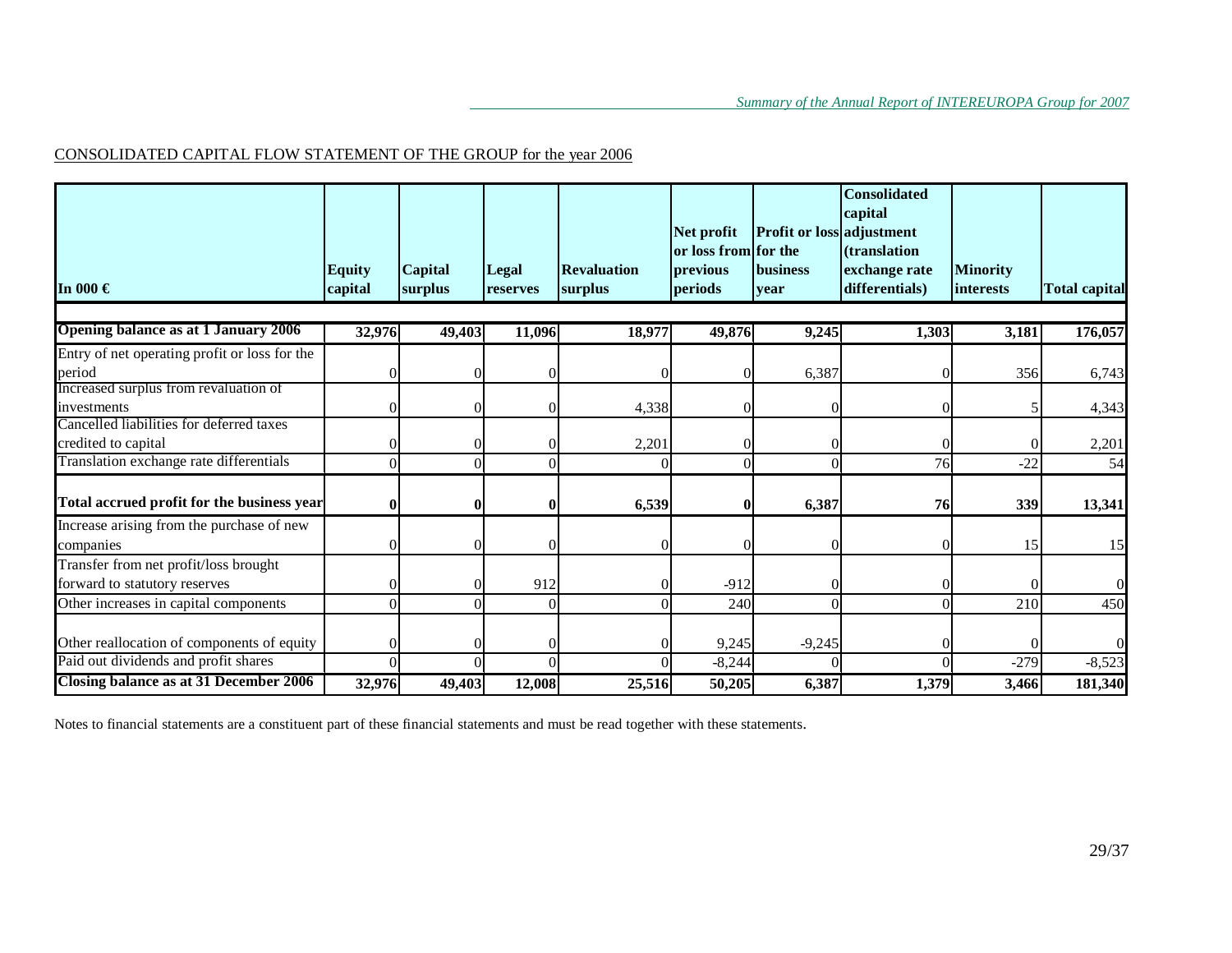# CONSOLIDATED CAPITAL FLOW STATEMENT OF THE GROUP for the year 2006

| In 000 $\in$                                  | <b>Equity</b><br>capital | <b>Capital</b><br>surplus | <b>Legal</b><br>reserves | <b>Revaluation</b><br>surplus | Net profit<br>or loss from for the<br>previous<br>periods | Profit or loss adjustment<br><b>business</b><br>vear | <b>Consolidated</b><br>capital<br><i>(translation)</i><br>exchange rate<br>differentials) | <b>Minority</b><br><i>interests</i> | <b>Total capital</b> |
|-----------------------------------------------|--------------------------|---------------------------|--------------------------|-------------------------------|-----------------------------------------------------------|------------------------------------------------------|-------------------------------------------------------------------------------------------|-------------------------------------|----------------------|
| Opening balance as at 1 January 2006          | 32,976                   | 49,403                    | 11,096                   | 18,977                        | 49,876                                                    | 9,245                                                | 1,303                                                                                     | 3,181                               | 176,057              |
| Entry of net operating profit or loss for the |                          |                           |                          |                               |                                                           |                                                      |                                                                                           |                                     |                      |
| period                                        |                          |                           |                          |                               |                                                           | 6,387                                                |                                                                                           | 356                                 | 6,743                |
| Increased surplus from revaluation of         |                          |                           |                          |                               |                                                           |                                                      |                                                                                           |                                     |                      |
| investments                                   | $\Omega$                 | $\Omega$                  |                          | 4,338                         |                                                           |                                                      | 0                                                                                         |                                     | 4,343                |
| Cancelled liabilities for deferred taxes      |                          |                           |                          |                               |                                                           |                                                      |                                                                                           |                                     |                      |
| credited to capital                           |                          |                           |                          | 2,201                         |                                                           |                                                      |                                                                                           | $\Omega$                            | 2,201                |
| Translation exchange rate differentials       | $\Omega$                 | $\Omega$                  |                          |                               | Ωl                                                        |                                                      | 76                                                                                        | $-22$                               | 54                   |
| Total accrued profit for the business year    | $\mathbf 0$              | 0                         | 0                        | 6,539                         | 0                                                         | 6,387                                                | 76                                                                                        | 339                                 | 13,341               |
| Increase arising from the purchase of new     |                          |                           |                          |                               |                                                           |                                                      |                                                                                           |                                     |                      |
| companies                                     | $\Omega$                 | $\Omega$                  |                          | 0                             |                                                           |                                                      | $\Omega$                                                                                  | 15                                  | 15                   |
| Transfer from net profit/loss brought         |                          |                           |                          |                               |                                                           |                                                      |                                                                                           |                                     |                      |
| forward to statutory reserves                 |                          |                           | 912                      | 0                             | $-912$                                                    |                                                      | 0                                                                                         | $\Omega$                            | $\overline{0}$       |
| Other increases in capital components         | C                        | $\Omega$                  |                          | $\Omega$                      | 240                                                       |                                                      | $\theta$                                                                                  | 210                                 | 450                  |
|                                               |                          |                           |                          |                               |                                                           |                                                      |                                                                                           |                                     |                      |
| Other reallocation of components of equity    | $\Omega$                 |                           |                          |                               | 9,245                                                     | $-9,245$                                             |                                                                                           |                                     | $\Omega$             |
| Paid out dividends and profit shares          | $\sqrt{ }$               |                           |                          |                               | $-8,244$                                                  |                                                      |                                                                                           | $-279$                              | $-8,523$             |
| Closing balance as at 31 December 2006        | 32,976                   | 49,403                    | 12,008                   | 25,516                        | 50,205                                                    | 6,387                                                | 1,379                                                                                     | 3,466                               | 181,340              |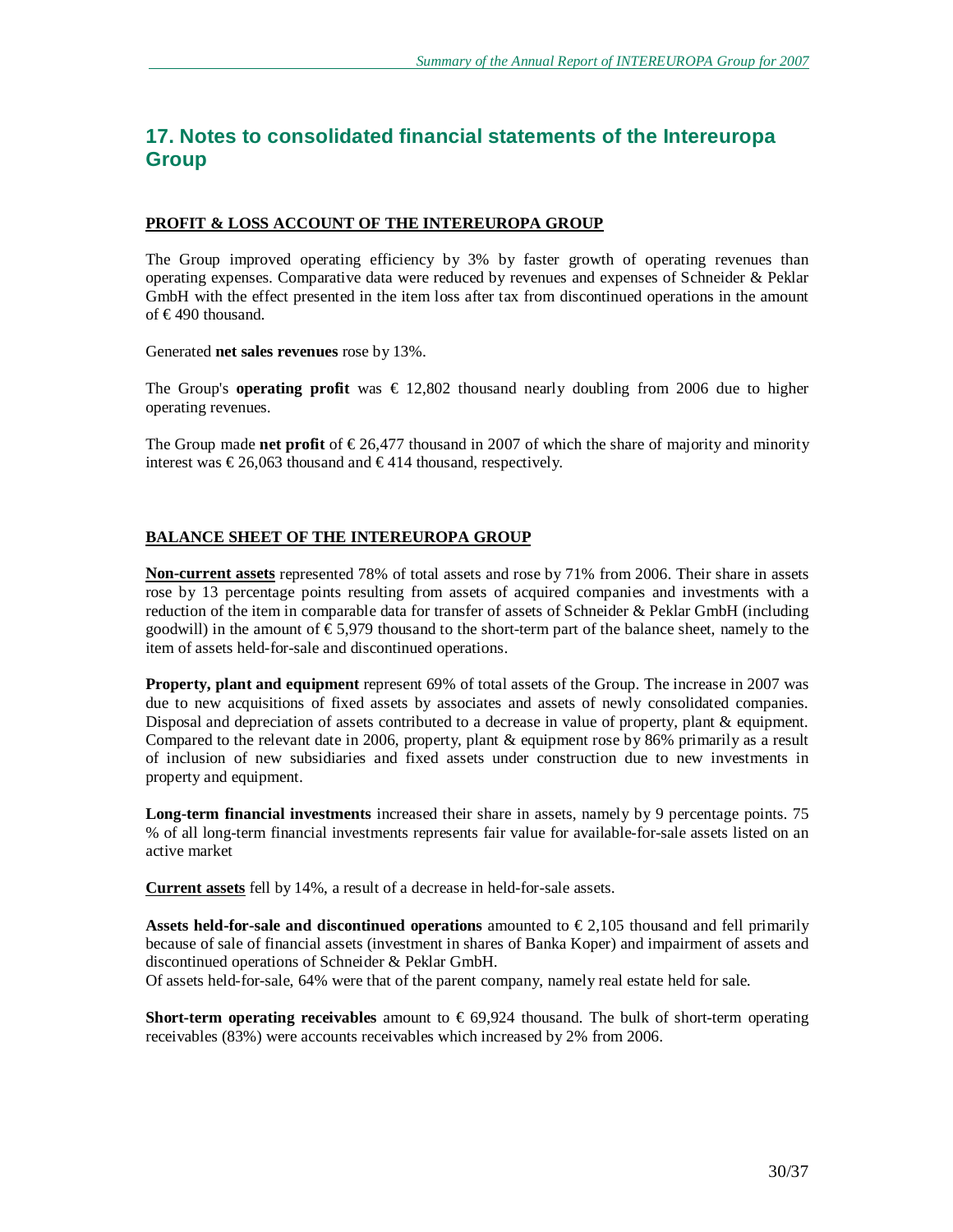# **17. Notes to consolidated financial statements of the Intereuropa Group**

#### **PROFIT & LOSS ACCOUNT OF THE INTEREUROPA GROUP**

The Group improved operating efficiency by 3% by faster growth of operating revenues than operating expenses. Comparative data were reduced by revenues and expenses of Schneider & Peklar GmbH with the effect presented in the item loss after tax from discontinued operations in the amount of €490 thousand.

Generated **net sales revenues** rose by 13%.

The Group's **operating profit** was  $\epsilon$  12,802 thousand nearly doubling from 2006 due to higher operating revenues.

The Group made **net profit** of  $\epsilon$ 26,477 thousand in 2007 of which the share of majority and minority interest was  $\epsilon$ 26,063 thousand and  $\epsilon$ 414 thousand, respectively.

## **BALANCE SHEET OF THE INTEREUROPA GROUP**

**Non-current assets** represented 78% of total assets and rose by 71% from 2006. Their share in assets rose by 13 percentage points resulting from assets of acquired companies and investments with a reduction of the item in comparable data for transfer of assets of Schneider & Peklar GmbH (including goodwill) in the amount of €5,979 thousand to the short-term part of the balance sheet, namely to the item of assets held-for-sale and discontinued operations.

**Property, plant and equipment** represent 69% of total assets of the Group. The increase in 2007 was due to new acquisitions of fixed assets by associates and assets of newly consolidated companies. Disposal and depreciation of assets contributed to a decrease in value of property, plant & equipment. Compared to the relevant date in 2006, property, plant & equipment rose by 86% primarily as a result of inclusion of new subsidiaries and fixed assets under construction due to new investments in property and equipment.

**Long-term financial investments** increased their share in assets, namely by 9 percentage points. 75 % of all long-term financial investments represents fair value for available-for-sale assets listed on an active market

**Current assets** fell by 14%, a result of a decrease in held-for-sale assets.

**Assets held-for-sale and discontinued operations** amounted to  $\epsilon$  2,105 thousand and fell primarily because of sale of financial assets (investment in shares of Banka Koper) and impairment of assets and discontinued operations of Schneider & Peklar GmbH.

Of assets held-for-sale, 64% were that of the parent company, namely real estate held for sale.

**Short-term operating receivables** amount to € 69,924 thousand. The bulk of short-term operating receivables (83%) were accounts receivables which increased by 2% from 2006.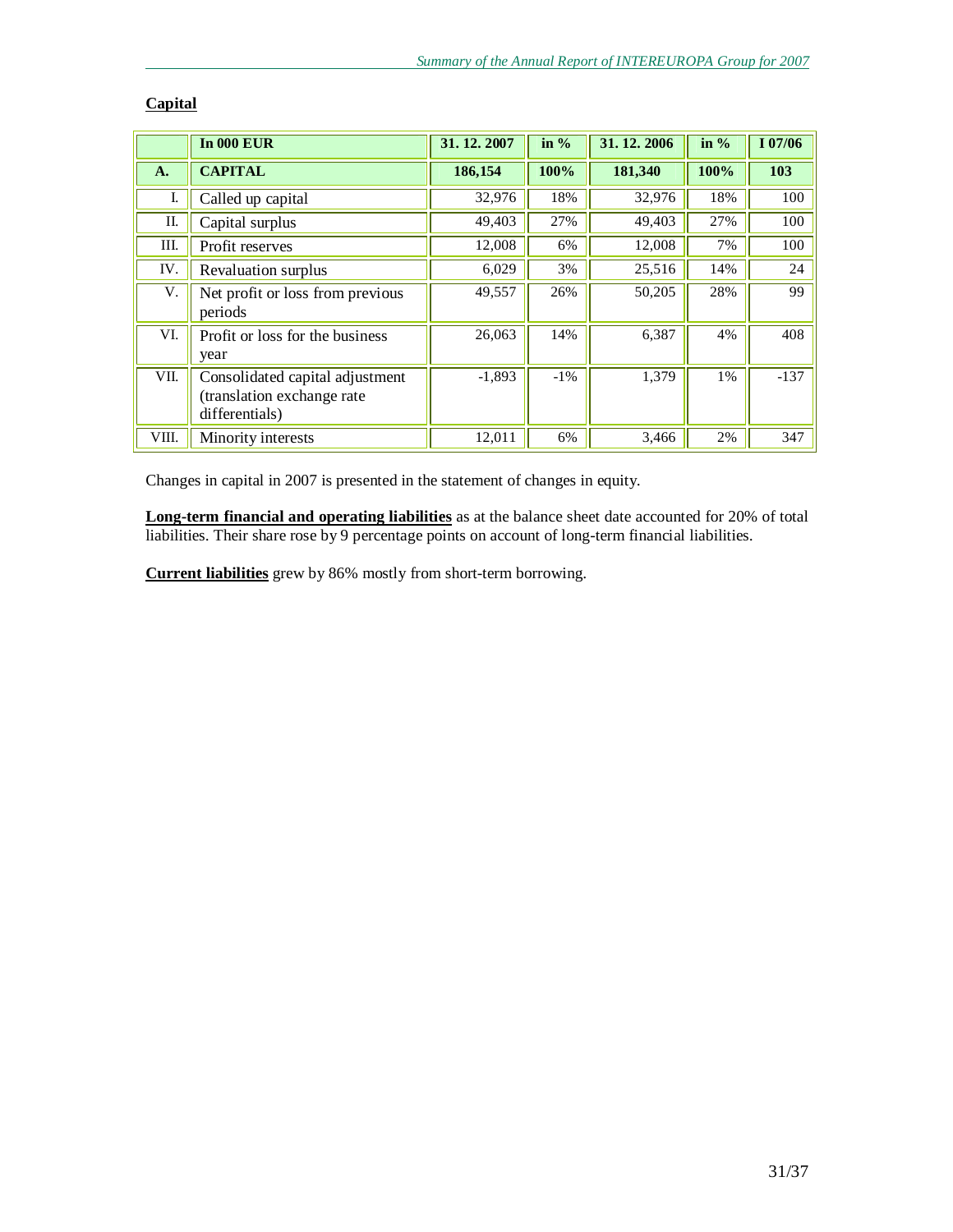|       | <b>In 000 EUR</b>                                                               | 31.12.2007 | in $%$ | 31.12.2006 | in $%$ | I 07/06 |
|-------|---------------------------------------------------------------------------------|------------|--------|------------|--------|---------|
| A.    | <b>CAPITAL</b>                                                                  | 186,154    | 100%   | 181,340    | 100%   | 103     |
| I.    | Called up capital                                                               | 32,976     | 18%    | 32,976     | 18%    | 100     |
| II.   | Capital surplus                                                                 | 49,403     | 27%    | 49,403     | 27%    | 100     |
| III.  | Profit reserves                                                                 | 12,008     | 6%     | 12,008     | 7%     | 100     |
| IV.   | Revaluation surplus                                                             | 6,029      | 3%     | 25,516     | 14%    | 24      |
| V.    | Net profit or loss from previous<br>periods                                     | 49,557     | 26%    | 50,205     | 28%    | 99      |
| VI.   | Profit or loss for the business<br>year                                         | 26,063     | 14%    | 6,387      | 4%     | 408     |
| VII.  | Consolidated capital adjustment<br>(translation exchange rate<br>differentials) | $-1,893$   | $-1\%$ | 1,379      | $1\%$  | $-137$  |
| VIII. | Minority interests                                                              | 12,011     | 6%     | 3,466      | 2%     | 347     |

# **Capital**

Changes in capital in 2007 is presented in the statement of changes in equity.

**Long-term financial and operating liabilities** as at the balance sheet date accounted for 20% of total liabilities. Their share rose by 9 percentage points on account of long-term financial liabilities.

**Current liabilities** grew by 86% mostly from short-term borrowing.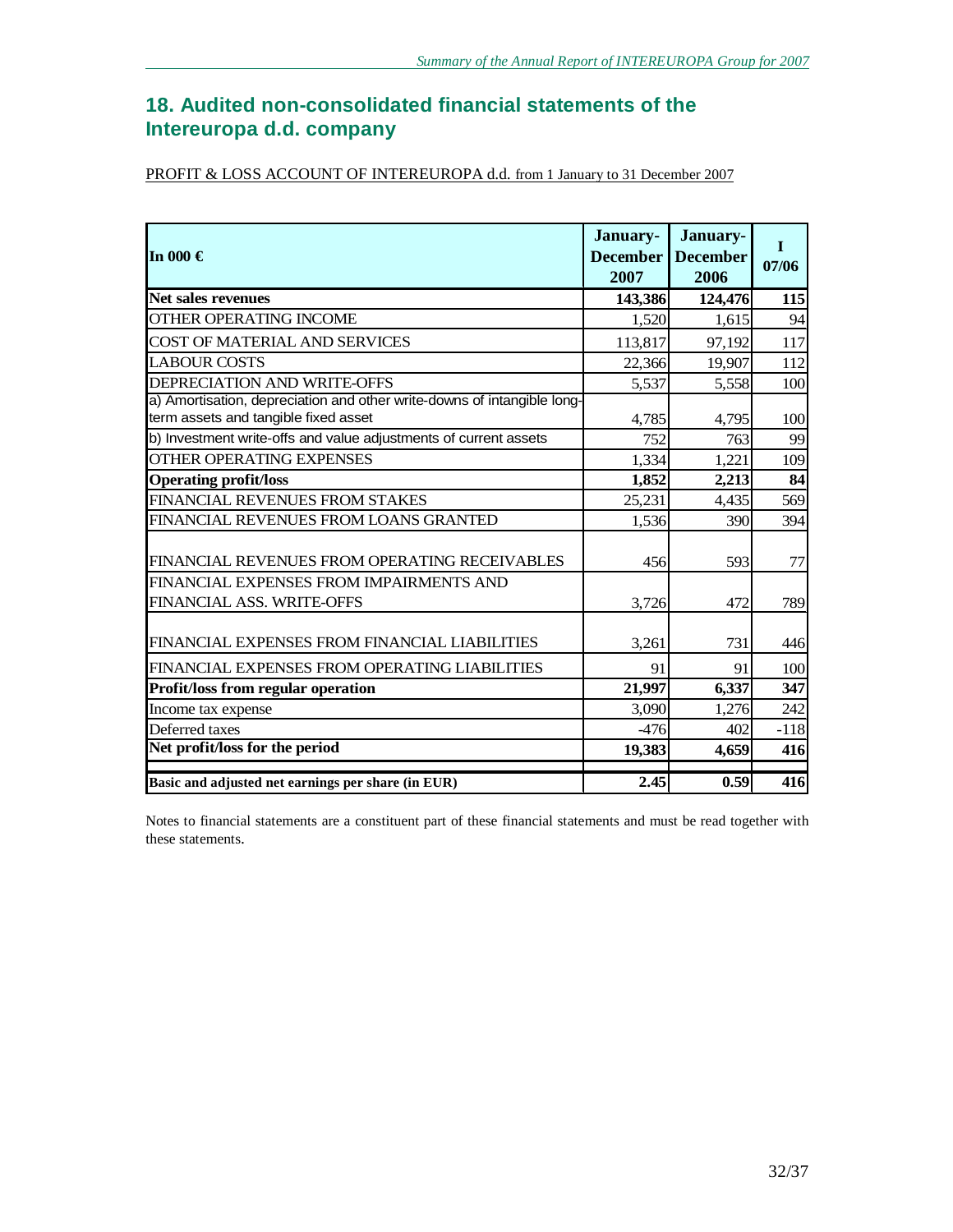# **18. Audited non-consolidated financial statements of the Intereuropa d.d. company**

| PROFIT & LOSS ACCOUNT OF INTEREUROPA d.d. from 1 January to 31 December 2007 |
|------------------------------------------------------------------------------|
|------------------------------------------------------------------------------|

| In 000 $\in$                                                                                                    | January-<br><b>December</b><br>2007 | January-<br><b>December</b><br>2006 | $\mathbf I$<br>07/06 |
|-----------------------------------------------------------------------------------------------------------------|-------------------------------------|-------------------------------------|----------------------|
| <b>Net sales revenues</b>                                                                                       | 143,386                             | 124,476                             | 115                  |
| OTHER OPERATING INCOME                                                                                          | 1,520                               | 1,615                               | 94                   |
| COST OF MATERIAL AND SERVICES                                                                                   | 113,817                             | 97,192                              | 117                  |
| <b>LABOUR COSTS</b>                                                                                             | 22,366                              | 19,907                              | 112                  |
| DEPRECIATION AND WRITE-OFFS                                                                                     | 5,537                               | 5,558                               | 100                  |
| a) Amortisation, depreciation and other write-downs of intangible long-<br>term assets and tangible fixed asset | 4,785                               | 4,795                               | 100                  |
| b) Investment write-offs and value adjustments of current assets                                                | 752                                 | 763                                 | 99                   |
| <b>OTHER OPERATING EXPENSES</b>                                                                                 | 1,334                               | 1,221                               | 109                  |
| <b>Operating profit/loss</b>                                                                                    | 1,852                               | 2,213                               | 84                   |
| FINANCIAL REVENUES FROM STAKES                                                                                  | 25,231                              | 4,435                               | 569                  |
| FINANCIAL REVENUES FROM LOANS GRANTED                                                                           | 1,536                               | 390                                 | 394                  |
| FINANCIAL REVENUES FROM OPERATING RECEIVABLES                                                                   | 456                                 | 593                                 | 77                   |
| FINANCIAL EXPENSES FROM IMPAIRMENTS AND<br>FINANCIAL ASS. WRITE-OFFS                                            | 3,726                               | 472                                 | 789                  |
| FINANCIAL EXPENSES FROM FINANCIAL LIABILITIES                                                                   | 3,261                               | 731                                 | 446                  |
| FINANCIAL EXPENSES FROM OPERATING LIABILITIES                                                                   | 91                                  | 91                                  | 100                  |
| Profit/loss from regular operation                                                                              | 21,997                              | 6,337                               | 347                  |
| Income tax expense                                                                                              | 3,090                               | 1,276                               | 242                  |
| Deferred taxes                                                                                                  | $-476$                              | 402                                 | $-118$               |
| Net profit/loss for the period                                                                                  | 19,383                              | 4,659                               | 416                  |
| Basic and adjusted net earnings per share (in EUR)                                                              | 2.45                                | 0.59                                | 416                  |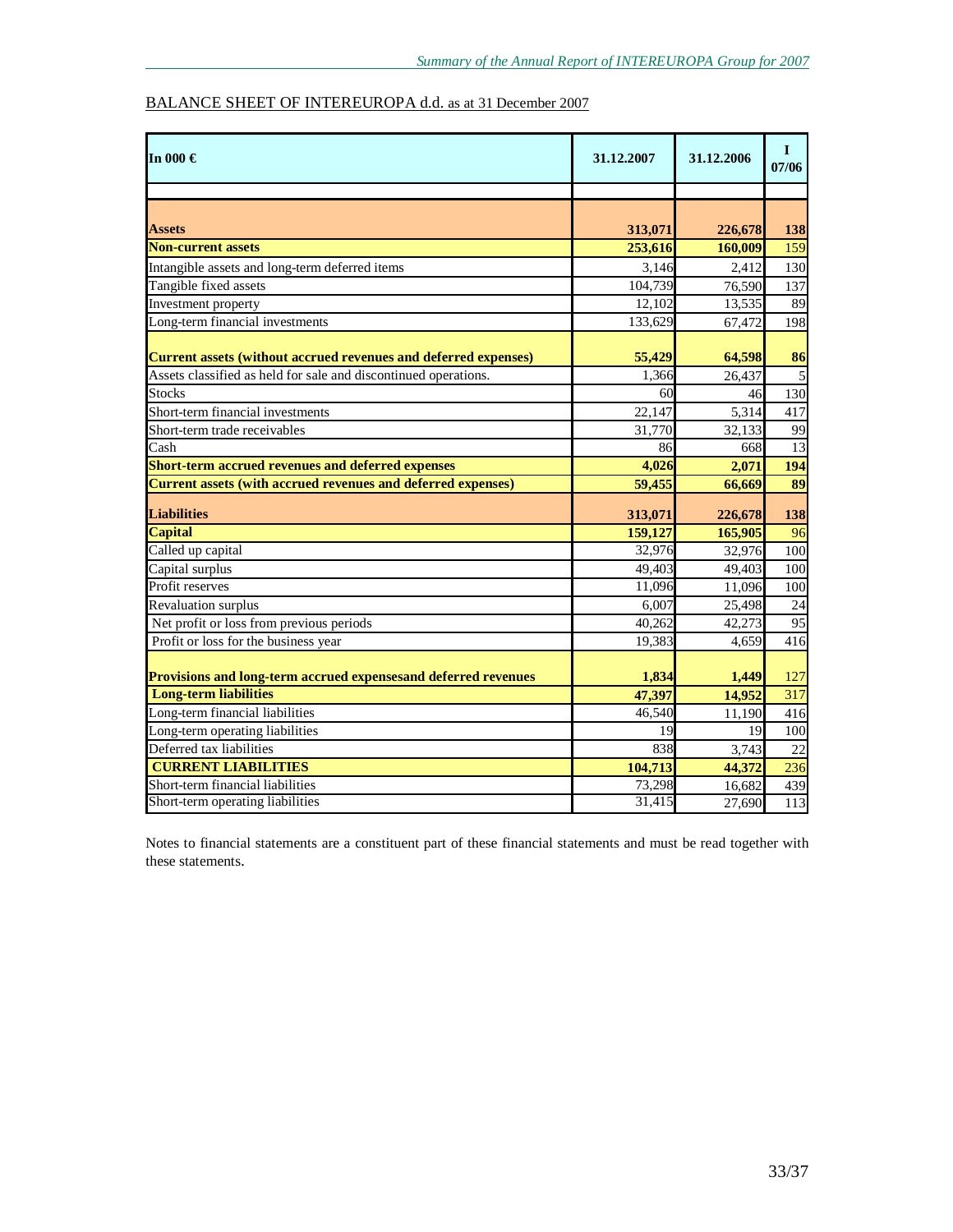# BALANCE SHEET OF INTEREUROPA d.d. as at 31 December 2007

| In 000 $\in$                                                    | 31.12.2007 | 31.12.2006 | $\mathbf I$<br>07/06 |
|-----------------------------------------------------------------|------------|------------|----------------------|
|                                                                 |            |            |                      |
|                                                                 |            |            |                      |
| <b>Assets</b>                                                   | 313,071    | 226,678    | 138                  |
| <b>Non-current assets</b>                                       | 253,616    | 160,009    | 159                  |
| Intangible assets and long-term deferred items                  | 3,146      | 2,412      | 130                  |
| Tangible fixed assets                                           | 104,739    | 76,590     | 137                  |
| Investment property                                             | 12.102     | 13.535     | 89                   |
| Long-term financial investments                                 | 133,629    | 67,472     | 198                  |
| Current assets (without accrued revenues and deferred expenses) | 55,429     | 64,598     | 86                   |
| Assets classified as held for sale and discontinued operations. | 1.366      | 26,437     | 5                    |
| <b>Stocks</b>                                                   | 60         | 46         | 130                  |
| Short-term financial investments                                | 22,147     | 5,314      | 417                  |
| Short-term trade receivables                                    | 31,770     | 32.133     | 99                   |
| Cash                                                            | 86         | 668        | 13                   |
| Short-term accrued revenues and deferred expenses               | 4,026      | 2,071      | 194                  |
| Current assets (with accrued revenues and deferred expenses)    | 59,455     | 66.669     | 89                   |
| <b>Liabilities</b>                                              | 313,071    | 226,678    | 138                  |
| <b>Capital</b>                                                  | 159,127    | 165,905    | 96                   |
| Called up capital                                               | 32,976     | 32,976     | 100                  |
| Capital surplus                                                 | 49,403     | 49,403     | 100                  |
| Profit reserves                                                 | 11,096     | 11,096     | $\overline{100}$     |
| <b>Revaluation</b> surplus                                      | 6.007      | 25,498     | 24                   |
| Net profit or loss from previous periods                        | 40,262     | 42,273     | $\overline{95}$      |
| Profit or loss for the business year                            | 19,383     | 4,659      | 416                  |
| Provisions and long-term accrued expensesand deferred revenues  | 1,834      | 1,449      | 127                  |
| <b>Long-term liabilities</b>                                    | 47,397     | 14,952     | 317                  |
| Long-term financial liabilities                                 | 46,540     | 11,190     | 416                  |
| Long-term operating liabilities                                 | 19         | 19         | 100                  |
| Deferred tax liabilities                                        | 838        | 3,743      | 22                   |
| <b>CURRENT LIABILITIES</b>                                      | 104,713    | 44,372     | 236                  |
| Short-term financial liabilities                                | 73.298     | 16,682     | 439                  |
| Short-term operating liabilities                                | 31,415     | 27,690     | 113                  |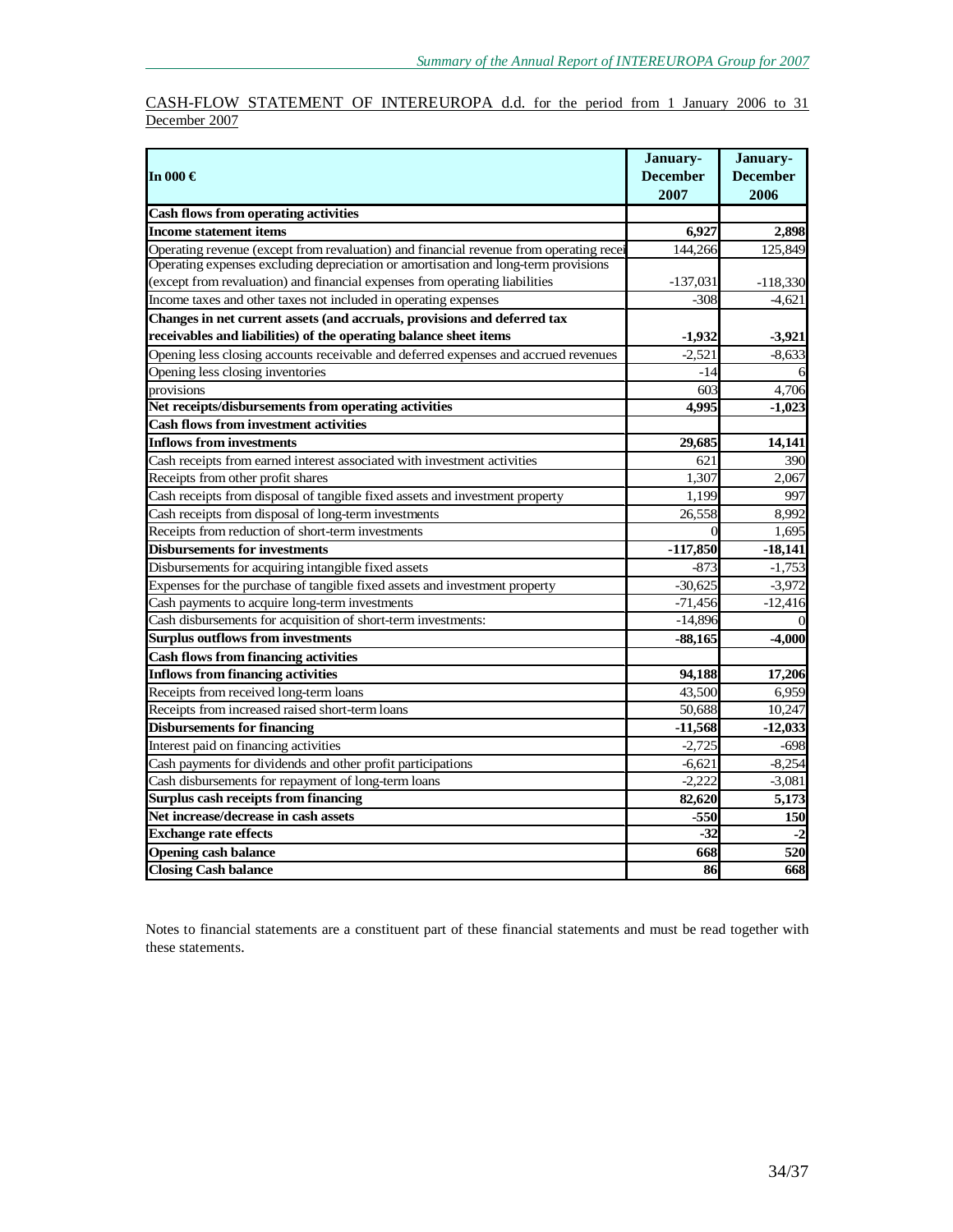## CASH-FLOW STATEMENT OF INTEREUROPA d.d. for the period from 1 January 2006 to 31 December 2007

| In 000 $\in$                                                                           | January-<br><b>December</b> | January-<br><b>December</b> |
|----------------------------------------------------------------------------------------|-----------------------------|-----------------------------|
|                                                                                        | 2007                        | 2006                        |
| <b>Cash flows from operating activities</b>                                            |                             |                             |
| <b>Income statement items</b>                                                          | 6,927                       | 2,898                       |
| Operating revenue (except from revaluation) and financial revenue from operating recei | 144,266                     | 125,849                     |
| Operating expenses excluding depreciation or amortisation and long-term provisions     |                             |                             |
| (except from revaluation) and financial expenses from operating liabilities            | $-137,031$                  | $-118,330$                  |
| Income taxes and other taxes not included in operating expenses                        | $-308$                      | $-4.621$                    |
| Changes in net current assets (and accruals, provisions and deferred tax               |                             |                             |
| receivables and liabilities) of the operating balance sheet items                      | -1,932                      | $-3,921$                    |
| Opening less closing accounts receivable and deferred expenses and accrued revenues    | $-2,521$                    | $-8,633$                    |
| Opening less closing inventories                                                       | -14                         |                             |
| provisions                                                                             | 60 <sup>3</sup>             | 4,706                       |
| Net receipts/disbursements from operating activities                                   | 4.995                       | $-1,023$                    |
| <b>Cash flows from investment activities</b>                                           |                             |                             |
| <b>Inflows from investments</b>                                                        | 29,685                      | 14,141                      |
| Cash receipts from earned interest associated with investment activities               | 621                         | 390                         |
| Receipts from other profit shares                                                      | 1,307                       | 2,067                       |
| Cash receipts from disposal of tangible fixed assets and investment property           | 1,199                       | 997                         |
| Cash receipts from disposal of long-term investments                                   | 26,558                      | 8,992                       |
| Receipts from reduction of short-term investments                                      |                             | 1,695                       |
| <b>Disbursements for investments</b>                                                   | $-117,850$                  | $-18,141$                   |
| Disbursements for acquiring intangible fixed assets                                    | $-873$                      | $-1,753$                    |
| Expenses for the purchase of tangible fixed assets and investment property             | $-30,625$                   | $-3,972$                    |
| Cash payments to acquire long-term investments                                         | $-71,456$                   | $-12,416$                   |
| Cash disbursements for acquisition of short-term investments:                          | $-14,896$                   |                             |
| <b>Surplus outflows from investments</b>                                               | $-88,165$                   | $-4,000$                    |
| <b>Cash flows from financing activities</b>                                            |                             |                             |
| <b>Inflows from financing activities</b>                                               | 94,188                      | 17,206                      |
| Receipts from received long-term loans                                                 | 43.500                      | 6,959                       |
| Receipts from increased raised short-term loans                                        | 50,688                      | 10,247                      |
| <b>Disbursements for financing</b>                                                     | $-11,568$                   | $-12,033$                   |
| Interest paid on financing activities                                                  | $-2,725$                    | $-698$                      |
| Cash payments for dividends and other profit participations                            | $-6,621$                    | $-8,254$                    |
| Cash disbursements for repayment of long-term loans                                    | $-2,222$                    | $-3,081$                    |
| Surplus cash receipts from financing                                                   | 82,620                      | 5,173                       |
| Net increase/decrease in cash assets                                                   | $-550$                      | 150                         |
| <b>Exchange rate effects</b>                                                           | $-32$                       | $-2$                        |
| <b>Opening cash balance</b>                                                            | 668                         | 520                         |
| <b>Closing Cash balance</b>                                                            | 86                          | 668                         |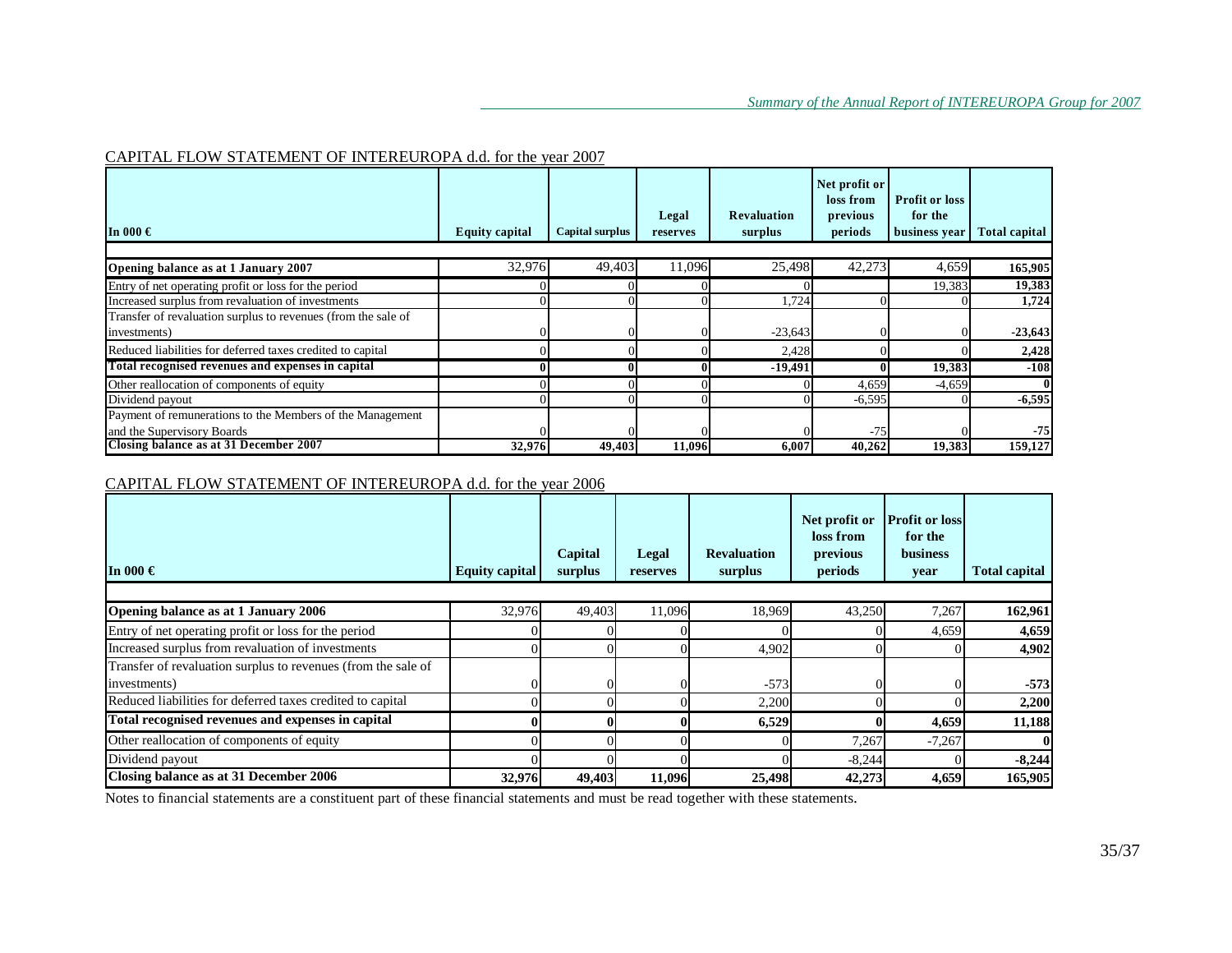# CAPITAL FLOW STATEMENT OF INTEREUROPA d.d. for the year 2007

| In 000 $\in$                                                                            | <b>Equity capital</b> | Capital surplus | Legal<br>reserves | <b>Revaluation</b><br>surplus | Net profit or<br>loss from<br>previous<br>periods | <b>Profit or loss</b><br>for the<br>business year | <b>Total capital</b> |
|-----------------------------------------------------------------------------------------|-----------------------|-----------------|-------------------|-------------------------------|---------------------------------------------------|---------------------------------------------------|----------------------|
| Opening balance as at 1 January 2007                                                    | 32,976                | 49.403          | 11,096            | 25,498                        | 42,273                                            | 4,659                                             | 165,905              |
| Entry of net operating profit or loss for the period                                    |                       |                 |                   |                               |                                                   | 19,383                                            | 19,383               |
| Increased surplus from revaluation of investments                                       |                       |                 |                   | 1,724                         |                                                   |                                                   | 1,724                |
| Transfer of revaluation surplus to revenues (from the sale of<br>investments)           |                       |                 |                   | $-23,643$                     |                                                   |                                                   | $-23,643$            |
| Reduced liabilities for deferred taxes credited to capital                              |                       |                 |                   | 2,428                         |                                                   |                                                   | 2,428                |
| Total recognised revenues and expenses in capital                                       |                       |                 |                   | $-19,491$                     |                                                   | 19,383                                            | $-108$               |
| Other reallocation of components of equity                                              |                       |                 |                   |                               | 4,659                                             | $-4,659$                                          |                      |
| Dividend payout                                                                         |                       |                 |                   |                               | $-6,595$                                          |                                                   | $-6,595$             |
| Payment of remunerations to the Members of the Management<br>and the Supervisory Boards |                       |                 |                   |                               | $-75$                                             |                                                   | $-75$                |
| Closing balance as at 31 December 2007                                                  | 32,976                | 49,403          | 11,096            | 6,007                         | 40,262                                            | 19,383                                            | 159,127              |

# CAPITAL FLOW STATEMENT OF INTEREUROPA d.d. for the year 2006

| In 000 $\in$                                                  | Equity capital | Capital<br>surplus | Legal<br>reserves | <b>Revaluation</b><br>surplus | Net profit or<br>loss from<br>previous<br>periods | <b>Profit or loss</b><br>for the<br><b>business</b><br>year | <b>Total capital</b> |
|---------------------------------------------------------------|----------------|--------------------|-------------------|-------------------------------|---------------------------------------------------|-------------------------------------------------------------|----------------------|
|                                                               |                |                    |                   |                               |                                                   |                                                             |                      |
| Opening balance as at 1 January 2006                          | 32,976         | 49,403             | 11,096            | 18,969                        | 43,250                                            | 7,267                                                       | 162,961              |
| Entry of net operating profit or loss for the period          |                |                    |                   |                               |                                                   | 4,659                                                       | 4,659                |
| Increased surplus from revaluation of investments             |                |                    |                   | 4,902                         |                                                   |                                                             | 4,902                |
| Transfer of revaluation surplus to revenues (from the sale of |                |                    |                   |                               |                                                   |                                                             |                      |
| investments)                                                  |                |                    |                   | $-573$                        |                                                   |                                                             | $-573$               |
| Reduced liabilities for deferred taxes credited to capital    |                |                    |                   | 2,200                         |                                                   |                                                             | 2,200                |
| Total recognised revenues and expenses in capital             |                |                    |                   | 6,529                         |                                                   | 4,659                                                       | 11,188               |
| Other reallocation of components of equity                    |                |                    |                   |                               | 7,267                                             | $-7,267$                                                    | 0                    |
| Dividend payout                                               |                |                    |                   |                               | $-8,244$                                          |                                                             | $-8,244$             |
| Closing balance as at 31 December 2006                        | 32,976         | 49,403             | 11,096            | 25,498                        | 42,273                                            | 4,659                                                       | 165,905              |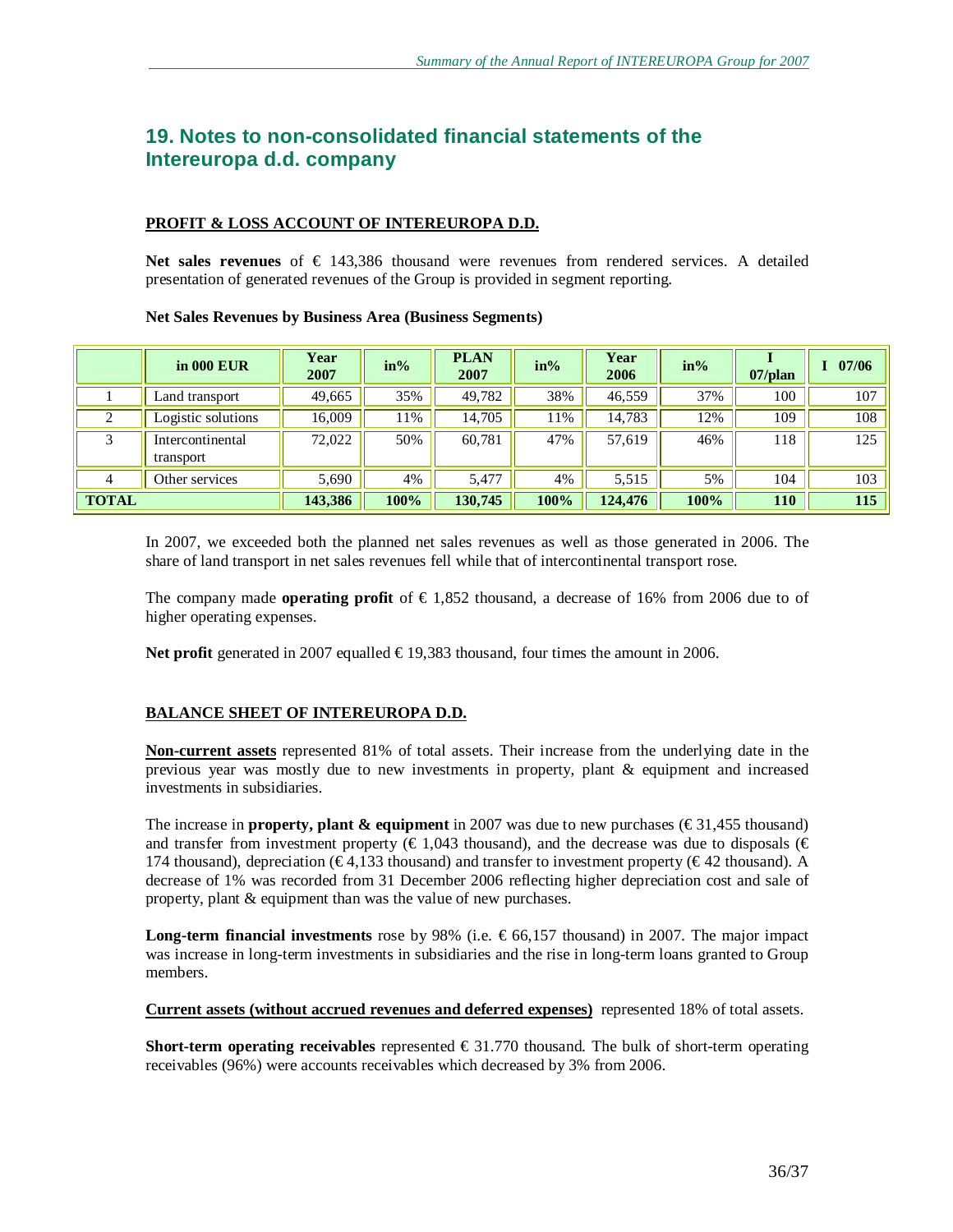# **19. Notes to non-consolidated financial statements of the Intereuropa d.d. company**

#### **PROFIT & LOSS ACCOUNT OF INTEREUROPA D.D.**

**Net sales revenues** of € 143,386 thousand were revenues from rendered services. A detailed presentation of generated revenues of the Group is provided in segment reporting.

#### **Net Sales Revenues by Business Area (Business Segments)**

|              | in 000 EUR                    | Year<br>2007 | $in\%$ | <b>PLAN</b><br>2007 | $in\%$ | Year<br>2006 | $in\%$ | $07$ /plan | 07/06 |
|--------------|-------------------------------|--------------|--------|---------------------|--------|--------------|--------|------------|-------|
|              | Land transport                | 49,665       | 35%    | 49,782              | 38%    | 46,559       | 37%    | 100        | 107   |
| ◠            | Logistic solutions            | 16,009       | 11%    | 14,705              | 1%     | 14,783       | 12%    | 109        | 108   |
| 3            | Intercontinental<br>transport | 72,022       | 50%    | 60,781              | 47%    | 57,619       | 46%    | 118        | 125   |
|              | Other services                | 5,690        | 4%     | 5.477               | 4%     | 5,515        | 5%     | 104        | 103   |
| <b>TOTAL</b> |                               | 143,386      | 100%   | 130,745             | 100%   | 124,476      | 100%   | 110        | 115   |

In 2007, we exceeded both the planned net sales revenues as well as those generated in 2006. The share of land transport in net sales revenues fell while that of intercontinental transport rose.

The company made **operating profit** of  $\in$  1,852 thousand, a decrease of 16% from 2006 due to of higher operating expenses.

**Net profit** generated in 2007 equalled  $\in$  19,383 thousand, four times the amount in 2006.

## **BALANCE SHEET OF INTEREUROPA D.D.**

**Non-current assets** represented 81% of total assets. Their increase from the underlying date in the previous year was mostly due to new investments in property, plant & equipment and increased investments in subsidiaries.

The increase in **property, plant & equipment** in 2007 was due to new purchases ( $\epsilon$ 31,455 thousand) and transfer from investment property ( $\in$  1,043 thousand), and the decrease was due to disposals ( $\in$ 174 thousand), depreciation ( $\epsilon$ 4,133 thousand) and transfer to investment property ( $\epsilon$ 42 thousand). A decrease of 1% was recorded from 31 December 2006 reflecting higher depreciation cost and sale of property, plant & equipment than was the value of new purchases.

**Long-term <b>financial investments** rose by 98% (i.e.  $\in 66,157$  thousand) in 2007. The major impact was increase in long-term investments in subsidiaries and the rise in long-term loans granted to Group members.

**Current assets (without accrued revenues and deferred expenses)** represented 18% of total assets.

**Short-term operating receivables** represented  $\epsilon$  31.770 thousand. The bulk of short-term operating receivables (96%) were accounts receivables which decreased by 3% from 2006.